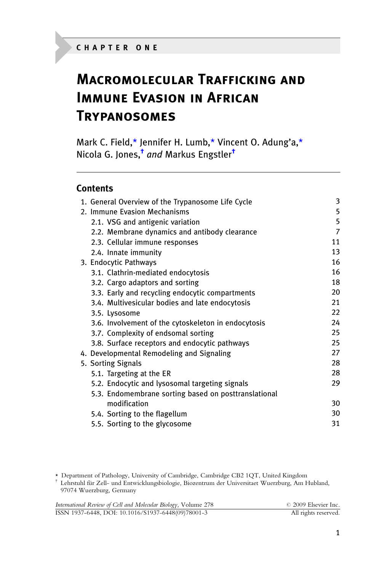# Macromolecular Trafficking and Immune Evasion in African **TRYPANOSOMES**

Mark C. Field,\* Jennifer H. Lumb,\* Vincent O. Adung'a,\* Nicola G. Jones,<sup>†</sup> and Markus Engstler<sup>†</sup>

# **Contents**

|                                                      | 3  |
|------------------------------------------------------|----|
| 1. General Overview of the Trypanosome Life Cycle    |    |
| 2. Immune Evasion Mechanisms                         | 5  |
| 2.1. VSG and antigenic variation                     | 5  |
| 2.2. Membrane dynamics and antibody clearance        | 7  |
| 2.3. Cellular immune responses                       | 11 |
| 2.4. Innate immunity                                 | 13 |
| 3. Endocytic Pathways                                | 16 |
| 3.1. Clathrin-mediated endocytosis                   | 16 |
| 3.2. Cargo adaptors and sorting                      | 18 |
| 3.3. Early and recycling endocytic compartments      | 20 |
| 3.4. Multivesicular bodies and late endocytosis      | 21 |
| 3.5. Lysosome                                        | 22 |
| 3.6. Involvement of the cytoskeleton in endocytosis  | 24 |
| 3.7. Complexity of endsomal sorting                  | 25 |
| 3.8. Surface receptors and endocytic pathways        | 25 |
| 4. Developmental Remodeling and Signaling            | 27 |
| 5. Sorting Signals                                   | 28 |
| 5.1. Targeting at the ER                             | 28 |
| 5.2. Endocytic and lysosomal targeting signals       | 29 |
| 5.3. Endomembrane sorting based on posttranslational |    |
| modification                                         | 30 |
| 5.4. Sorting to the flagellum                        | 30 |
| 5.5. Sorting to the glycosome                        | 31 |
|                                                      |    |

\* Department of Pathology, University of Cambridge, Cambridge CB2 1QT, United Kingdom { Lehrstuhl fu¨r Zell- und Entwicklungsbiologie, Biozentrum der Universitaet Wuerzburg, Am Hubland, 97074 Wuerzburg, Germany

| International Review of Cell and Molecular Biology, Volume 278 | © 2009 Elsevier Inc. |
|----------------------------------------------------------------|----------------------|
| ISSN 1937-6448, DOI: 10.1016/S1937-6448(09)78001-3             | All rights reserved. |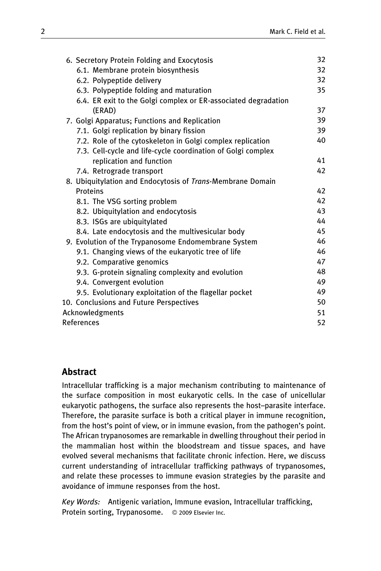| 6. Secretory Protein Folding and Exocytosis                    | 32 |
|----------------------------------------------------------------|----|
| 6.1. Membrane protein biosynthesis                             | 32 |
| 6.2. Polypeptide delivery                                      | 32 |
| 6.3. Polypeptide folding and maturation                        | 35 |
| 6.4. ER exit to the Golgi complex or ER-associated degradation |    |
| (ERAD)                                                         | 37 |
| 7. Golgi Apparatus: Functions and Replication                  | 39 |
| 7.1. Golgi replication by binary fission                       | 39 |
| 7.2. Role of the cytoskeleton in Golgi complex replication     | 40 |
| 7.3. Cell-cycle and life-cycle coordination of Golgi complex   |    |
| replication and function                                       | 41 |
| 7.4. Retrograde transport                                      | 42 |
| 8. Ubiquitylation and Endocytosis of Trans-Membrane Domain     |    |
| Proteins                                                       | 42 |
| 8.1. The VSG sorting problem                                   | 42 |
| 8.2. Ubiquitylation and endocytosis                            | 43 |
| 8.3. ISGs are ubiquitylated                                    | 44 |
| 8.4. Late endocytosis and the multivesicular body              | 45 |
| 9. Evolution of the Trypanosome Endomembrane System            | 46 |
| 9.1. Changing views of the eukaryotic tree of life             | 46 |
| 9.2. Comparative genomics                                      | 47 |
| 9.3. G-protein signaling complexity and evolution              | 48 |
| 9.4. Convergent evolution                                      | 49 |
| 9.5. Evolutionary exploitation of the flagellar pocket         | 49 |
| 10. Conclusions and Future Perspectives                        | 50 |
| Acknowledgments                                                | 51 |
| References                                                     | 52 |

. . . . . . . . .<br>Intracellular trafficking is a major mechanism contributing to maintenance of the surface composition in most eukaryotic cells. In the case of unicellular eukaryotic pathogens, the surface also represents the host–parasite interface. Therefore, the parasite surface is both a critical player in immune recognition, from the host's point of view, or in immune evasion, from the pathogen's point. The African trypanosomes are remarkable in dwelling throughout their period in the mammalian host within the bloodstream and tissue spaces, and have evolved several mechanisms that facilitate chronic infection. Here, we discuss current understanding of intracellular trafficking pathways of trypanosomes, and relate these processes to immune evasion strategies by the parasite and avoidance of immune responses from the host.

Key Words: Antigenic variation, Immune evasion, Intracellular trafficking, Protein sorting, Trypanosome. © 2009 Elsevier Inc.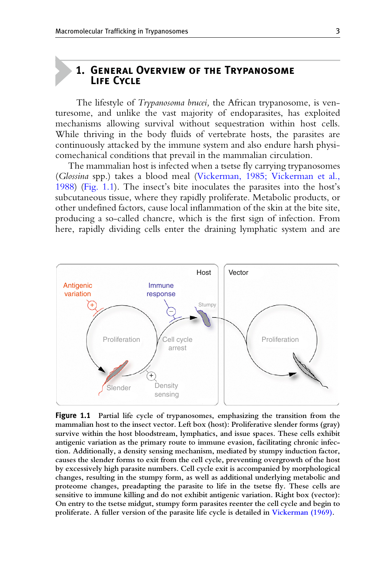### <span id="page-2-0"></span>1. General Overview of the Trypanosome Life Cycle

The lifestyle of Trypanosoma brucei, the African trypanosome, is venturesome, and unlike the vast majority of endoparasites, has exploited mechanisms allowing survival without sequestration within host cells. While thriving in the body fluids of vertebrate hosts, the parasites are continuously attacked by the immune system and also endure harsh physicomechanical conditions that prevail in the mammalian circulation.

The mammalian host is infected when a tsetse fly carrying trypanosomes (Glossina spp.) takes a blood meal [\(Vickerman, 1985; Vickerman et al.,](#page-65-0) [1988](#page-65-0)) (Fig. 1.1). The insect's bite inoculates the parasites into the host's subcutaneous tissue, where they rapidly proliferate. Metabolic products, or other undefined factors, cause local inflammation of the skin at the bite site, producing a so-called chancre, which is the first sign of infection. From here, rapidly dividing cells enter the draining lymphatic system and are



**Figure 1.1** Partial life cycle of trypanosomes, emphasizing the transition from the mammalian host to the insect vector. Left box (host): Proliferative slender forms (gray) survive within the host bloodstream, lymphatics, and issue spaces. These cells exhibit antigenic variation as the primary route to immune evasion, facilitating chronic infection. Additionally, a density sensing mechanism, mediated by stumpy induction factor, causes the slender forms to exit from the cell cycle, preventing overgrowth of the host by excessively high parasite numbers. Cell cycle exit is accompanied by morphological changes, resulting in the stumpy form, as well as additional underlying metabolic and proteome changes, preadapting the parasite to life in the tsetse fly. These cells are sensitive to immune killing and do not exhibit antigenic variation. Right box (vector): On entry to the tsetse midgut, stumpy form parasites reenter the cell cycle and begin to proliferate. A fuller version of the parasite life cycle is detailed in [Vickerman \(1969\).](#page-65-0)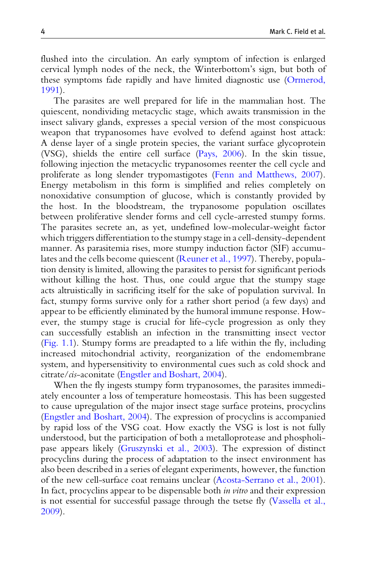flushed into the circulation. An early symptom of infection is enlarged cervical lymph nodes of the neck, the Winterbottom's sign, but both of these symptoms fade rapidly and have limited diagnostic use [\(Ormerod,](#page-61-0) [1991\)](#page-61-0).

The parasites are well prepared for life in the mammalian host. The quiescent, nondividing metacyclic stage, which awaits transmission in the insect salivary glands, expresses a special version of the most conspicuous weapon that trypanosomes have evolved to defend against host attack: A dense layer of a single protein species, the variant surface glycoprotein (VSG), shields the entire cell surface ([Pays, 2006\)](#page-61-0). In the skin tissue, following injection the metacyclic trypanosomes reenter the cell cycle and proliferate as long slender trypomastigotes [\(Fenn and Matthews, 2007\)](#page-55-0). Energy metabolism in this form is simplified and relies completely on nonoxidative consumption of glucose, which is constantly provided by the host. In the bloodstream, the trypanosome population oscillates between proliferative slender forms and cell cycle-arrested stumpy forms. The parasites secrete an, as yet, undefined low-molecular-weight factor which triggers differentiation to the stumpy stage in a cell-density-dependent manner. As parasitemia rises, more stumpy induction factor (SIF) accumulates and the cells become quiescent ([Reuner et al., 1997](#page-62-0)). Thereby, population density is limited, allowing the parasites to persist for significant periods without killing the host. Thus, one could argue that the stumpy stage acts altruistically in sacrificing itself for the sake of population survival. In fact, stumpy forms survive only for a rather short period (a few days) and appear to be efficiently eliminated by the humoral immune response. However, the stumpy stage is crucial for life-cycle progression as only they can successfully establish an infection in the transmitting insect vector ([Fig. 1.1](#page-2-0)). Stumpy forms are preadapted to a life within the fly, including increased mitochondrial activity, reorganization of the endomembrane system, and hypersensitivity to environmental cues such as cold shock and citrate/cis-aconitate ([Engstler and Boshart, 2004](#page-54-0)).

When the fly ingests stumpy form trypanosomes, the parasites immediately encounter a loss of temperature homeostasis. This has been suggested to cause upregulation of the major insect stage surface proteins, procyclins ([Engstler and Boshart, 2004](#page-54-0)). The expression of procyclins is accompanied by rapid loss of the VSG coat. How exactly the VSG is lost is not fully understood, but the participation of both a metalloprotease and phospholipase appears likely ([Gruszynski et al., 2003](#page-56-0)). The expression of distinct procyclins during the process of adaptation to the insect environment has also been described in a series of elegant experiments, however, the function of the new cell-surface coat remains unclear ([Acosta-Serrano et al., 2001\)](#page-51-0). In fact, procyclins appear to be dispensable both in vitro and their expression is not essential for successful passage through the tsetse fly [\(Vassella et al.,](#page-65-0) [2009\)](#page-65-0).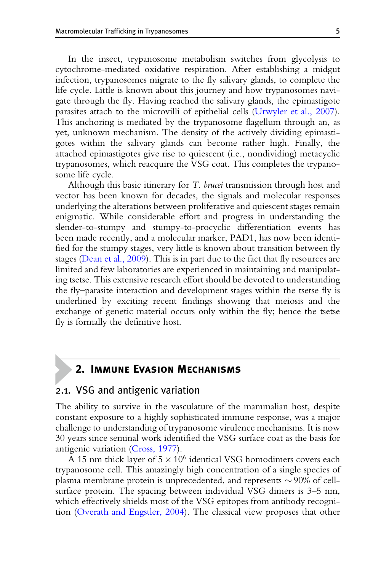In the insect, trypanosome metabolism switches from glycolysis to cytochrome-mediated oxidative respiration. After establishing a midgut infection, trypanosomes migrate to the fly salivary glands, to complete the life cycle. Little is known about this journey and how trypanosomes navigate through the fly. Having reached the salivary glands, the epimastigote parasites attach to the microvilli of epithelial cells ([Urwyler et al., 2007](#page-64-0)). This anchoring is mediated by the trypanosome flagellum through an, as yet, unknown mechanism. The density of the actively dividing epimastigotes within the salivary glands can become rather high. Finally, the attached epimastigotes give rise to quiescent (i.e., nondividing) metacyclic trypanosomes, which reacquire the VSG coat. This completes the trypanosome life cycle.

Although this basic itinerary for T. brucei transmission through host and vector has been known for decades, the signals and molecular responses underlying the alterations between proliferative and quiescent stages remain enigmatic. While considerable effort and progress in understanding the slender-to-stumpy and stumpy-to-procyclic differentiation events has been made recently, and a molecular marker, PAD1, has now been identified for the stumpy stages, very little is known about transition between fly stages ([Dean et al., 2009](#page-54-0)). This is in part due to the fact that fly resources are limited and few laboratories are experienced in maintaining and manipulating tsetse. This extensive research effort should be devoted to understanding the fly–parasite interaction and development stages within the tsetse fly is underlined by exciting recent findings showing that meiosis and the exchange of genetic material occurs only within the fly; hence the tsetse fly is formally the definitive host.

# 2. Immune Evasion Mechanisms

#### 2.1. VSG and antigenic variation

The ability to survive in the vasculature of the mammalian host, despite constant exposure to a highly sophisticated immune response, was a major challenge to understanding of trypanosome virulence mechanisms. It is now 30 years since seminal work identified the VSG surface coat as the basis for antigenic variation [\(Cross, 1977\)](#page-54-0).

A 15 nm thick layer of  $5 \times 10^6$  identical VSG homodimers covers each trypanosome cell. This amazingly high concentration of a single species of plasma membrane protein is unprecedented, and represents  $\sim$  90% of cellsurface protein. The spacing between individual VSG dimers is 3–5 nm, which effectively shields most of the VSG epitopes from antibody recognition [\(Overath and Engstler, 2004\)](#page-61-0). The classical view proposes that other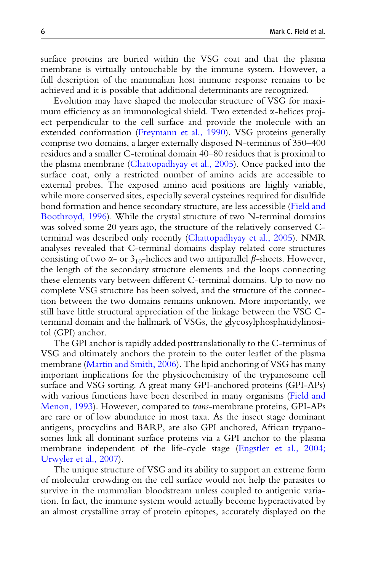surface proteins are buried within the VSG coat and that the plasma membrane is virtually untouchable by the immune system. However, a full description of the mammalian host immune response remains to be achieved and it is possible that additional determinants are recognized.

Evolution may have shaped the molecular structure of VSG for maximum efficiency as an immunological shield. Two extended  $\alpha$ -helices project perpendicular to the cell surface and provide the molecule with an extended conformation ([Freymann et al., 1990\)](#page-55-0). VSG proteins generally comprise two domains, a larger externally disposed N-terminus of 350–400 residues and a smaller C-terminal domain 40–80 residues that is proximal to the plasma membrane ([Chattopadhyay et al., 2005\)](#page-53-0). Once packed into the surface coat, only a restricted number of amino acids are accessible to external probes. The exposed amino acid positions are highly variable, while more conserved sites, especially several cysteines required for disulfide bond formation and hence secondary structure, are less accessible ([Field and](#page-55-0) [Boothroyd, 1996](#page-55-0)). While the crystal structure of two N-terminal domains was solved some 20 years ago, the structure of the relatively conserved Cterminal was described only recently [\(Chattopadhyay et al., 2005\)](#page-53-0). NMR analyses revealed that C-terminal domains display related core structures consisting of two  $\alpha$ - or  $\mathfrak{Z}_{10}$ -helices and two antiparallel  $\beta$ -sheets. However, the length of the secondary structure elements and the loops connecting these elements vary between different C-terminal domains. Up to now no complete VSG structure has been solved, and the structure of the connection between the two domains remains unknown. More importantly, we still have little structural appreciation of the linkage between the VSG Cterminal domain and the hallmark of VSGs, the glycosylphosphatidylinositol (GPI) anchor.

The GPI anchor is rapidly added posttranslationally to the C-terminus of VSG and ultimately anchors the protein to the outer leaflet of the plasma membrane ([Martin and Smith, 2006\)](#page-59-0). The lipid anchoring of VSG has many important implications for the physicochemistry of the trypanosome cell surface and VSG sorting. A great many GPI-anchored proteins (GPI-APs) with various functions have been described in many organisms [\(Field and](#page-55-0) [Menon, 1993](#page-55-0)). However, compared to trans-membrane proteins, GPI-APs are rare or of low abundance in most taxa. As the insect stage dominant antigens, procyclins and BARP, are also GPI anchored, African trypanosomes link all dominant surface proteins via a GPI anchor to the plasma membrane independent of the life-cycle stage [\(Engstler et al., 2004;](#page-54-0) [Urwyler et al., 2007](#page-54-0)).

The unique structure of VSG and its ability to support an extreme form of molecular crowding on the cell surface would not help the parasites to survive in the mammalian bloodstream unless coupled to antigenic variation. In fact, the immune system would actually become hyperactivated by an almost crystalline array of protein epitopes, accurately displayed on the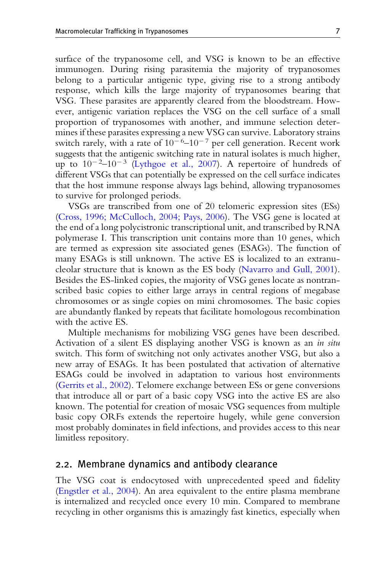surface of the trypanosome cell, and VSG is known to be an effective immunogen. During rising parasitemia the majority of trypanosomes belong to a particular antigenic type, giving rise to a strong antibody response, which kills the large majority of trypanosomes bearing that VSG. These parasites are apparently cleared from the bloodstream. However, antigenic variation replaces the VSG on the cell surface of a small proportion of trypanosomes with another, and immune selection determines if these parasites expressing a new VSG can survive. Laboratory strains switch rarely, with a rate of  $10^{-6}$ – $10^{-7}$  per cell generation. Recent work suggests that the antigenic switching rate in natural isolates is much higher, up to  $10^{-2}$ – $10^{-3}$  [\(Lythgoe et al., 2007\)](#page-59-0). A repertoire of hundreds of different VSGs that can potentially be expressed on the cell surface indicates that the host immune response always lags behind, allowing trypanosomes to survive for prolonged periods.

VSGs are transcribed from one of 20 telomeric expression sites (ESs) [\(Cross, 1996; McCulloch, 2004; Pays, 2006\)](#page-54-0). The VSG gene is located at the end of a long polycistronic transcriptional unit, and transcribed by RNA polymerase I. This transcription unit contains more than 10 genes, which are termed as expression site associated genes (ESAGs). The function of many ESAGs is still unknown. The active ES is localized to an extranucleolar structure that is known as the ES body ([Navarro and Gull, 2001](#page-60-0)). Besides the ES-linked copies, the majority of VSG genes locate as nontranscribed basic copies to either large arrays in central regions of megabase chromosomes or as single copies on mini chromosomes. The basic copies are abundantly flanked by repeats that facilitate homologous recombination with the active ES.

Multiple mechanisms for mobilizing VSG genes have been described. Activation of a silent ES displaying another VSG is known as an in situ switch. This form of switching not only activates another VSG, but also a new array of ESAGs. It has been postulated that activation of alternative ESAGs could be involved in adaptation to various host environments [\(Gerrits et al., 2002\)](#page-55-0). Telomere exchange between ESs or gene conversions that introduce all or part of a basic copy VSG into the active ES are also known. The potential for creation of mosaic VSG sequences from multiple basic copy ORFs extends the repertoire hugely, while gene conversion most probably dominates in field infections, and provides access to this near limitless repository.

#### 2.2. Membrane dynamics and antibody clearance

The VSG coat is endocytosed with unprecedented speed and fidelity [\(Engstler et al., 2004\)](#page-54-0). An area equivalent to the entire plasma membrane is internalized and recycled once every 10 min. Compared to membrane recycling in other organisms this is amazingly fast kinetics, especially when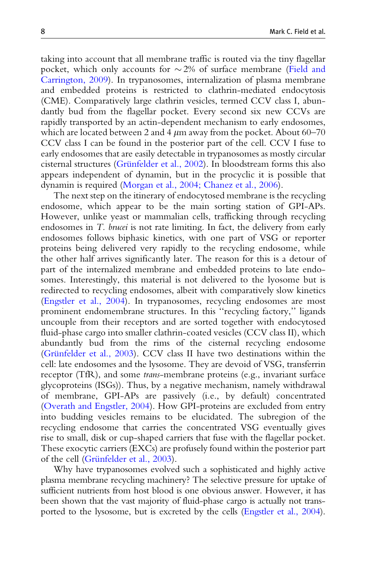taking into account that all membrane traffic is routed via the tiny flagellar pocket, which only accounts for  $\sim$  2% of surface membrane [\(Field and](#page-55-0) [Carrington, 2009\)](#page-55-0). In trypanosomes, internalization of plasma membrane and embedded proteins is restricted to clathrin-mediated endocytosis (CME). Comparatively large clathrin vesicles, termed CCV class I, abundantly bud from the flagellar pocket. Every second six new CCVs are rapidly transported by an actin-dependent mechanism to early endosomes, which are located between 2 and 4  $\mu$ m away from the pocket. About 60–70 CCV class I can be found in the posterior part of the cell. CCV I fuse to early endosomes that are easily detectable in trypanosomes as mostly circular cisternal structures (Grünfelder et al., 2002). In bloodstream forms this also appears independent of dynamin, but in the procyclic it is possible that dynamin is required [\(Morgan et al., 2004; Chanez et al., 2006](#page-60-0)).

The next step on the itinerary of endocytosed membrane is the recycling endosome, which appear to be the main sorting station of GPI-APs. However, unlike yeast or mammalian cells, trafficking through recycling endosomes in T. brucei is not rate limiting. In fact, the delivery from early endosomes follows biphasic kinetics, with one part of VSG or reporter proteins being delivered very rapidly to the recycling endosome, while the other half arrives significantly later. The reason for this is a detour of part of the internalized membrane and embedded proteins to late endosomes. Interestingly, this material is not delivered to the lyosome but is redirected to recycling endosomes, albeit with comparatively slow kinetics ([Engstler et al., 2004\)](#page-54-0). In trypanosomes, recycling endosomes are most prominent endomembrane structures. In this ''recycling factory,'' ligands uncouple from their receptors and are sorted together with endocytosed fluid-phase cargo into smaller clathrin-coated vesicles (CCV class II), which abundantly bud from the rims of the cisternal recycling endosome (Grünfelder et al., 2003). CCV class II have two destinations within the cell: late endosomes and the lysosome. They are devoid of VSG, transferrin receptor (TfR), and some trans-membrane proteins (e.g., invariant surface glycoproteins (ISGs)). Thus, by a negative mechanism, namely withdrawal of membrane, GPI-APs are passively (i.e., by default) concentrated ([Overath and Engstler, 2004\)](#page-61-0). How GPI-proteins are excluded from entry into budding vesicles remains to be elucidated. The subregion of the recycling endosome that carries the concentrated VSG eventually gives rise to small, disk or cup-shaped carriers that fuse with the flagellar pocket. These exocytic carriers (EXCs) are profusely found within the posterior part of the cell (Grünfelder et al., 2003).

Why have trypanosomes evolved such a sophisticated and highly active plasma membrane recycling machinery? The selective pressure for uptake of sufficient nutrients from host blood is one obvious answer. However, it has been shown that the vast majority of fluid-phase cargo is actually not transported to the lysosome, but is excreted by the cells [\(Engstler et al., 2004](#page-54-0)).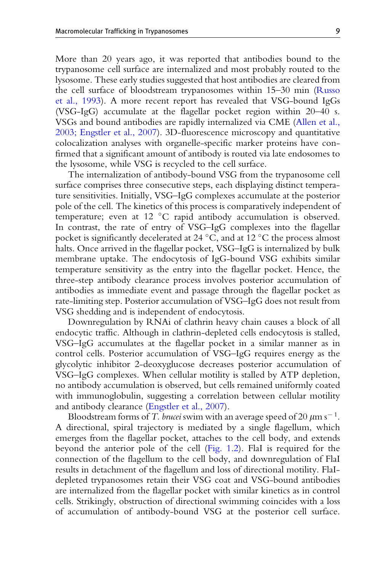More than 20 years ago, it was reported that antibodies bound to the trypanosome cell surface are internalized and most probably routed to the lysosome. These early studies suggested that host antibodies are cleared from the cell surface of bloodstream trypanosomes within 15–30 min ([Russo](#page-63-0) [et al., 1993](#page-63-0)). A more recent report has revealed that VSG-bound IgGs (VSG-IgG) accumulate at the flagellar pocket region within 20–40 s. VSGs and bound antibodies are rapidly internalized via CME ([Allen et al.,](#page-51-0) [2003; Engstler et al., 2007\)](#page-51-0). 3D-fluorescence microscopy and quantitative colocalization analyses with organelle-specific marker proteins have confirmed that a significant amount of antibody is routed via late endosomes to the lysosome, while VSG is recycled to the cell surface.

The internalization of antibody-bound VSG from the trypanosome cell surface comprises three consecutive steps, each displaying distinct temperature sensitivities. Initially, VSG–IgG complexes accumulate at the posterior pole of the cell. The kinetics of this process is comparatively independent of temperature; even at 12  $^{\circ}$ C rapid antibody accumulation is observed. In contrast, the rate of entry of VSG–IgG complexes into the flagellar pocket is significantly decelerated at 24  $^{\circ}$ C, and at 12  $^{\circ}$ C the process almost halts. Once arrived in the flagellar pocket, VSG–IgG is internalized by bulk membrane uptake. The endocytosis of IgG-bound VSG exhibits similar temperature sensitivity as the entry into the flagellar pocket. Hence, the three-step antibody clearance process involves posterior accumulation of antibodies as immediate event and passage through the flagellar pocket as rate-limiting step. Posterior accumulation of VSG–IgG does not result from VSG shedding and is independent of endocytosis.

Downregulation by RNAi of clathrin heavy chain causes a block of all endocytic traffic. Although in clathrin-depleted cells endocytosis is stalled, VSG–IgG accumulates at the flagellar pocket in a similar manner as in control cells. Posterior accumulation of VSG–IgG requires energy as the glycolytic inhibitor 2-deoxyglucose decreases posterior accumulation of VSG–IgG complexes. When cellular motility is stalled by ATP depletion, no antibody accumulation is observed, but cells remained uniformly coated with immunoglobulin, suggesting a correlation between cellular motility and antibody clearance [\(Engstler et al., 2007](#page-54-0)).

Bloodstream forms of T. brucei swim with an average speed of 20  $\mu$ m s<sup>-1</sup>. A directional, spiral trajectory is mediated by a single flagellum, which emerges from the flagellar pocket, attaches to the cell body, and extends beyond the anterior pole of the cell [\(Fig. 1.2](#page-9-0)). FlaI is required for the connection of the flagellum to the cell body, and downregulation of FlaI results in detachment of the flagellum and loss of directional motility. FlaIdepleted trypanosomes retain their VSG coat and VSG-bound antibodies are internalized from the flagellar pocket with similar kinetics as in control cells. Strikingly, obstruction of directional swimming coincides with a loss of accumulation of antibody-bound VSG at the posterior cell surface.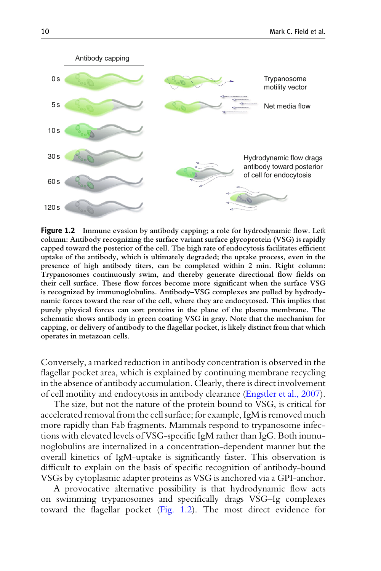<span id="page-9-0"></span>

Figure <sup>1</sup>.<sup>2</sup> Immune evasion by antibody capping; a role for hydrodynamic flow. Left column: Antibody recognizing the surface variant surface glycoprotein (VSG) is rapidly capped toward the posterior of the cell. The high rate of endocytosis facilitates efficient uptake of the antibody, which is ultimately degraded; the uptake process, even in the presence of high antibody titers, can be completed within 2 min. Right column: Trypanosomes continuously swim, and thereby generate directional flow fields on their cell surface. These flow forces become more significant when the surface VSG is recognized by immunoglobulins. Antibody–VSG complexes are pulled by hydrodynamic forces toward the rear of the cell, where they are endocytosed. This implies that purely physical forces can sort proteins in the plane of the plasma membrane. The schematic shows antibody in green coating VSG in gray. Note that the mechanism for capping, or delivery of antibody to the flagellar pocket, is likely distinct from that which operates in metazoan cells.

Conversely, a marked reduction in antibody concentration is observed in the flagellar pocket area, which is explained by continuing membrane recycling in the absence of antibody accumulation. Clearly, there is direct involvement of cell motility and endocytosis in antibody clearance [\(Engstler et al., 2007\)](#page-54-0).

The size, but not the nature of the protein bound to VSG, is critical for accelerated removal from the cell surface; for example, IgM is removed much more rapidly than Fab fragments. Mammals respond to trypanosome infections with elevated levels of VSG-specific IgM rather than IgG. Both immunoglobulins are internalized in a concentration-dependent manner but the overall kinetics of IgM-uptake is significantly faster. This observation is difficult to explain on the basis of specific recognition of antibody-bound VSGs by cytoplasmic adapter proteins as VSG is anchored via a GPI-anchor.

A provocative alternative possibility is that hydrodynamic flow acts on swimming trypanosomes and specifically drags VSG–Ig complexes toward the flagellar pocket (Fig. 1.2). The most direct evidence for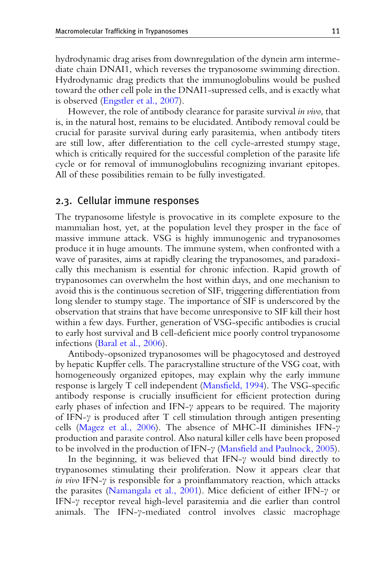hydrodynamic drag arises from downregulation of the dynein arm intermediate chain DNAI1, which reverses the trypanosome swimming direction. Hydrodynamic drag predicts that the immunoglobulins would be pushed toward the other cell pole in the DNAI1-supressed cells, and is exactly what is observed ([Engstler et al., 2007\)](#page-54-0).

However, the role of antibody clearance for parasite survival in vivo, that is, in the natural host, remains to be elucidated. Antibody removal could be crucial for parasite survival during early parasitemia, when antibody titers are still low, after differentiation to the cell cycle-arrested stumpy stage, which is critically required for the successful completion of the parasite life cycle or for removal of immunoglobulins recognizing invariant epitopes. All of these possibilities remain to be fully investigated.

#### 2.3. Cellular immune responses

The trypanosome lifestyle is provocative in its complete exposure to the mammalian host, yet, at the population level they prosper in the face of massive immune attack. VSG is highly immunogenic and trypanosomes produce it in huge amounts. The immune system, when confronted with a wave of parasites, aims at rapidly clearing the trypanosomes, and paradoxically this mechanism is essential for chronic infection. Rapid growth of trypanosomes can overwhelm the host within days, and one mechanism to avoid this is the continuous secretion of SIF, triggering differentiation from long slender to stumpy stage. The importance of SIF is underscored by the observation that strains that have become unresponsive to SIF kill their host within a few days. Further, generation of VSG-specific antibodies is crucial to early host survival and B cell-deficient mice poorly control trypanosome infections ([Baral et al., 2006](#page-52-0)).

Antibody-opsonized trypanosomes will be phagocytosed and destroyed by hepatic Kupffer cells. The paracrystalline structure of the VSG coat, with homogeneously organized epitopes, may explain why the early immune response is largely T cell independent ([Mansfield, 1994](#page-59-0)). The VSG-specific antibody response is crucially insufficient for efficient protection during early phases of infection and IFN- $\gamma$  appears to be required. The majority of IFN- $\gamma$  is produced after T cell stimulation through antigen presenting cells [\(Magez et al., 2006](#page-59-0)). The absence of MHC-II diminishes IFN- $\gamma$ production and parasite control. Also natural killer cells have been proposed to be involved in the production of IFN- $\gamma$  ([Mansfield and Paulnock, 2005](#page-59-0)).

In the beginning, it was believed that IFN- $\gamma$  would bind directly to trypanosomes stimulating their proliferation. Now it appears clear that *in vivo* IFN- $\gamma$  is responsible for a proinflammatory reaction, which attacks the parasites ([Namangala et al., 2001](#page-60-0)). Mice deficient of either IFN- $\gamma$  or IFN-g receptor reveal high-level parasitemia and die earlier than control animals. The  $IFN-\gamma$ -mediated control involves classic macrophage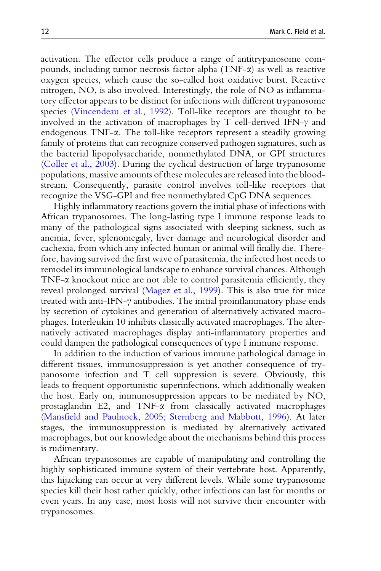activation. The effector cells produce a range of antitrypanosome compounds, including tumor necrosis factor alpha (TNF-a) as well as reactive oxygen species, which cause the so-called host oxidative burst. Reactive nitrogen, NO, is also involved. Interestingly, the role of NO as inflammatory effector appears to be distinct for infections with different trypanosome species ([Vincendeau et al., 1992](#page-65-0)). Toll-like receptors are thought to be involved in the activation of macrophages by  $T$  cell-derived IFN- $\gamma$  and endogenous TNF-a. The toll-like receptors represent a steadily growing family of proteins that can recognize conserved pathogen signatures, such as the bacterial lipopolysaccharide, nonmethylated DNA, or GPI structures ([Coller et al., 2003](#page-53-0)). During the cyclical destruction of large trypanosome populations, massive amounts of these molecules are released into the bloodstream. Consequently, parasite control involves toll-like receptors that recognize the VSG-GPI and free nonmethylated CpG DNA sequences.

Highly inflammatory reactions govern the initial phase of infections with African trypanosomes. The long-lasting type I immune response leads to many of the pathological signs associated with sleeping sickness, such as anemia, fever, splenomegaly, liver damage and neurological disorder and cachexia, from which any infected human or animal will finally die. Therefore, having survived the first wave of parasitemia, the infected host needs to remodel its immunological landscape to enhance survival chances. Although TNF-a knockout mice are not able to control parasitemia efficiently, they reveal prolonged survival [\(Magez et al., 1999](#page-59-0)). This is also true for mice treated with anti-IFN- $\gamma$  antibodies. The initial proinflammatory phase ends by secretion of cytokines and generation of alternatively activated macrophages. Interleukin 10 inhibits classically activated macrophages. The alternatively activated macrophages display anti-inflammatory properties and could dampen the pathological consequences of type I immune response.

In addition to the induction of various immune pathological damage in different tissues, immunosuppression is yet another consequence of trypanosome infection and T cell suppression is severe. Obviously, this leads to frequent opportunistic superinfections, which additionally weaken the host. Early on, immunosuppression appears to be mediated by NO, prostaglandin E2, and TNF-a from classically activated macrophages ([Mansfield and Paulnock, 2005; Sternberg and Mabbott, 1996\)](#page-59-0). At later stages, the immunosuppression is mediated by alternatively activated macrophages, but our knowledge about the mechanisms behind this process is rudimentary.

African trypanosomes are capable of manipulating and controlling the highly sophisticated immune system of their vertebrate host. Apparently, this hijacking can occur at very different levels. While some trypanosome species kill their host rather quickly, other infections can last for months or even years. In any case, most hosts will not survive their encounter with trypanosomes.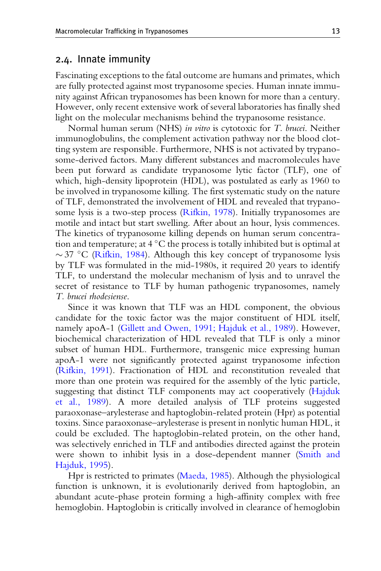# 2.4. Innate immunity

Fascinating exceptions to the fatal outcome are humans and primates, which are fully protected against most trypanosome species. Human innate immunity against African trypanosomes has been known for more than a century. However, only recent extensive work of several laboratories has finally shed light on the molecular mechanisms behind the trypanosome resistance.

Normal human serum (NHS) in vitro is cytotoxic for T. brucei. Neither immunoglobulins, the complement activation pathway nor the blood clotting system are responsible. Furthermore, NHS is not activated by trypanosome-derived factors. Many different substances and macromolecules have been put forward as candidate trypanosome lytic factor (TLF), one of which, high-density lipoprotein (HDL), was postulated as early as 1960 to be involved in trypanosome killing. The first systematic study on the nature of TLF, demonstrated the involvement of HDL and revealed that trypanosome lysis is a two-step process [\(Rifkin, 1978\)](#page-62-0). Initially trypanosomes are motile and intact but start swelling. After about an hour, lysis commences. The kinetics of trypanosome killing depends on human serum concentration and temperature; at  $4^{\circ}$ C the process is totally inhibited but is optimal at  $\sim$  37 °C [\(Rifkin, 1984](#page-62-0)). Although this key concept of trypanosome lysis by TLF was formulated in the mid-1980s, it required 20 years to identify TLF, to understand the molecular mechanism of lysis and to unravel the secret of resistance to TLF by human pathogenic trypanosomes, namely T. brucei rhodesiense.

Since it was known that TLF was an HDL component, the obvious candidate for the toxic factor was the major constituent of HDL itself, namely apoA-1 ([Gillett and Owen, 1991; Hajduk et al., 1989](#page-55-0)). However, biochemical characterization of HDL revealed that TLF is only a minor subset of human HDL. Furthermore, transgenic mice expressing human apoA-1 were not significantly protected against trypanosome infection [\(Rifkin, 1991](#page-62-0)). Fractionation of HDL and reconstitution revealed that more than one protein was required for the assembly of the lytic particle, suggesting that distinct TLF components may act cooperatively [\(Hajduk](#page-56-0) [et al., 1989](#page-56-0)). A more detailed analysis of TLF proteins suggested paraoxonase–arylesterase and haptoglobin-related protein (Hpr) as potential toxins. Since paraoxonase–arylesterase is present in nonlytic human HDL, it could be excluded. The haptoglobin-related protein, on the other hand, was selectively enriched in TLF and antibodies directed against the protein were shown to inhibit lysis in a dose-dependent manner [\(Smith and](#page-64-0) [Hajduk, 1995\)](#page-64-0).

Hpr is restricted to primates ([Maeda, 1985\)](#page-59-0). Although the physiological function is unknown, it is evolutionarily derived from haptoglobin, an abundant acute-phase protein forming a high-affinity complex with free hemoglobin. Haptoglobin is critically involved in clearance of hemoglobin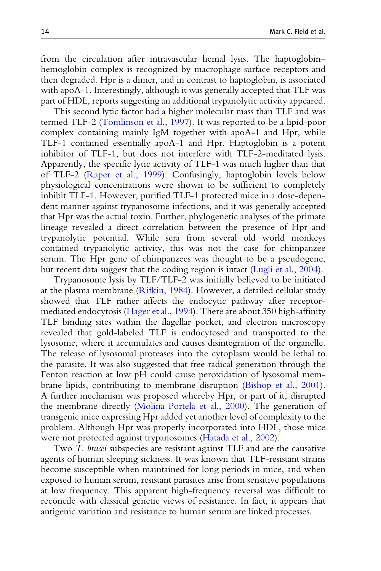from the circulation after intravascular hemal lysis. The haptoglobin– hemoglobin complex is recognized by macrophage surface receptors and then degraded. Hpr is a dimer, and in contrast to haptoglobin, is associated with apoA-1. Interestingly, although it was generally accepted that TLF was part of HDL, reports suggesting an additional trypanolytic activity appeared.

This second lytic factor had a higher molecular mass than TLF and was termed TLF-2 [\(Tomlinson et al., 1997](#page-64-0)). It was reported to be a lipid-poor complex containing mainly IgM together with apoA-1 and Hpr, while TLF-1 contained essentially apoA-1 and Hpr. Haptoglobin is a potent inhibitor of TLF-1, but does not interfere with TLF-2-meditated lysis. Apparently, the specific lytic activity of TLF-1 was much higher than that of TLF-2 [\(Raper et al., 1999\)](#page-62-0). Confusingly, haptoglobin levels below physiological concentrations were shown to be sufficient to completely inhibit TLF-1. However, purified TLF-1 protected mice in a dose-dependent manner against trypanosome infections, and it was generally accepted that Hpr was the actual toxin. Further, phylogenetic analyses of the primate lineage revealed a direct correlation between the presence of Hpr and trypanolytic potential. While sera from several old world monkeys contained trypanolytic activity, this was not the case for chimpanzee serum. The Hpr gene of chimpanzees was thought to be a pseudogene, but recent data suggest that the coding region is intact ([Lugli et al., 2004\)](#page-59-0).

Trypanosome lysis by TLF/TLF-2 was initially believed to be initiated at the plasma membrane [\(Rifkin, 1984\)](#page-62-0). However, a detailed cellular study showed that TLF rather affects the endocytic pathway after receptormediated endocytosis [\(Hager et al., 1994\)](#page-56-0). There are about 350 high-affinity TLF binding sites within the flagellar pocket, and electron microscopy revealed that gold-labeled TLF is endocytosed and transported to the lysosome, where it accumulates and causes disintegration of the organelle. The release of lysosomal proteases into the cytoplasm would be lethal to the parasite. It was also suggested that free radical generation through the Fenton reaction at low pH could cause peroxidation of lysosomal membrane lipids, contributing to membrane disruption ([Bishop et al., 2001\)](#page-52-0). A further mechanism was proposed whereby Hpr, or part of it, disrupted the membrane directly [\(Molina Portela et al., 2000](#page-60-0)). The generation of transgenic mice expressing Hpr added yet another level of complexity to the problem. Although Hpr was properly incorporated into HDL, those mice were not protected against trypanosomes ([Hatada et al., 2002](#page-56-0)).

Two T. brucei subspecies are resistant against TLF and are the causative agents of human sleeping sickness. It was known that TLF-resistant strains become susceptible when maintained for long periods in mice, and when exposed to human serum, resistant parasites arise from sensitive populations at low frequency. This apparent high-frequency reversal was difficult to reconcile with classical genetic views of resistance. In fact, it appears that antigenic variation and resistance to human serum are linked processes.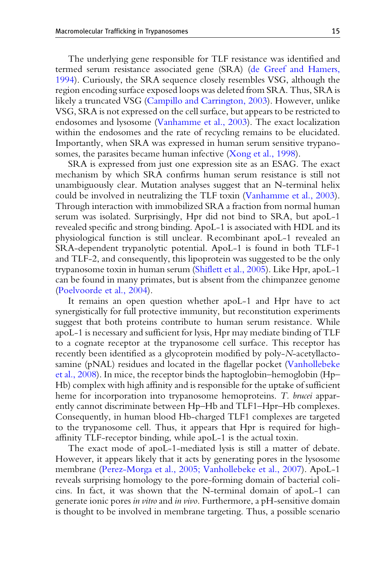The underlying gene responsible for TLF resistance was identified and termed serum resistance associated gene (SRA) [\(de Greef and Hamers,](#page-54-0) [1994](#page-54-0)). Curiously, the SRA sequence closely resembles VSG, although the region encoding surface exposed loops was deleted from SRA. Thus, SRA is likely a truncated VSG ([Campillo and Carrington, 2003\)](#page-53-0). However, unlike VSG, SRA is not expressed on the cell surface, but appears to be restricted to endosomes and lysosome [\(Vanhamme et al., 2003](#page-65-0)). The exact localization within the endosomes and the rate of recycling remains to be elucidated. Importantly, when SRA was expressed in human serum sensitive trypanosomes, the parasites became human infective ([Xong et al., 1998\)](#page-65-0).

SRA is expressed from just one expression site as an ESAG. The exact mechanism by which SRA confirms human serum resistance is still not unambiguously clear. Mutation analyses suggest that an N-terminal helix could be involved in neutralizing the TLF toxin [\(Vanhamme et al., 2003](#page-65-0)). Through interaction with immobilized SRA a fraction from normal human serum was isolated. Surprisingly, Hpr did not bind to SRA, but apoL-1 revealed specific and strong binding. ApoL-1 is associated with HDL and its physiological function is still unclear. Recombinant apoL-1 revealed an SRA-dependent trypanolytic potential. ApoL-1 is found in both TLF-1 and TLF-2, and consequently, this lipoprotein was suggested to be the only trypanosome toxin in human serum [\(Shiflett et al., 2005](#page-63-0)). Like Hpr, apoL-1 can be found in many primates, but is absent from the chimpanzee genome [\(Poelvoorde et al., 2004](#page-62-0)).

It remains an open question whether apoL-1 and Hpr have to act synergistically for full protective immunity, but reconstitution experiments suggest that both proteins contribute to human serum resistance. While apoL-1 is necessary and sufficient for lysis, Hpr may mediate binding of TLF to a cognate receptor at the trypanosome cell surface. This receptor has recently been identified as a glycoprotein modified by poly-N-acetyllactosamine (pNAL) residues and located in the flagellar pocket [\(Vanhollebeke](#page-65-0) [et al., 2008](#page-65-0)). In mice, the receptor binds the haptoglobin–hemoglobin (Hp– Hb) complex with high affinity and is responsible for the uptake of sufficient heme for incorporation into trypanosome hemoproteins. T. brucei apparently cannot discriminate between Hp–Hb and TLF1–Hpr–Hb complexes. Consequently, in human blood Hb-charged TLF1 complexes are targeted to the trypanosome cell. Thus, it appears that Hpr is required for highaffinity TLF-receptor binding, while apoL-1 is the actual toxin.

The exact mode of apoL-1-mediated lysis is still a matter of debate. However, it appears likely that it acts by generating pores in the lysosome membrane [\(Perez-Morga et al., 2005; Vanhollebeke et al., 2007\)](#page-61-0). ApoL-1 reveals surprising homology to the pore-forming domain of bacterial colicins. In fact, it was shown that the N-terminal domain of apoL-1 can generate ionic pores in vitro and in vivo. Furthermore, a pH-sensitive domain is thought to be involved in membrane targeting. Thus, a possible scenario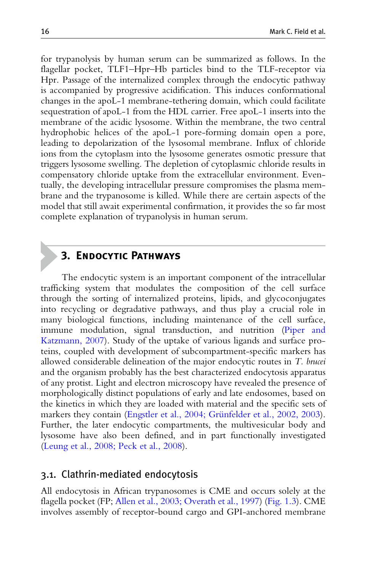for trypanolysis by human serum can be summarized as follows. In the flagellar pocket, TLF1–Hpr–Hb particles bind to the TLF-receptor via Hpr. Passage of the internalized complex through the endocytic pathway is accompanied by progressive acidification. This induces conformational changes in the apoL-1 membrane-tethering domain, which could facilitate sequestration of apoL-1 from the HDL carrier. Free apoL-1 inserts into the membrane of the acidic lysosome. Within the membrane, the two central hydrophobic helices of the apoL-1 pore-forming domain open a pore, leading to depolarization of the lysosomal membrane. Influx of chloride ions from the cytoplasm into the lysosome generates osmotic pressure that triggers lysosome swelling. The depletion of cytoplasmic chloride results in compensatory chloride uptake from the extracellular environment. Eventually, the developing intracellular pressure compromises the plasma membrane and the trypanosome is killed. While there are certain aspects of the model that still await experimental confirmation, it provides the so far most complete explanation of trypanolysis in human serum.

# 3. Endocytic Pathways

The endocytic system is an important component of the intracellular trafficking system that modulates the composition of the cell surface through the sorting of internalized proteins, lipids, and glycoconjugates into recycling or degradative pathways, and thus play a crucial role in many biological functions, including maintenance of the cell surface, immune modulation, signal transduction, and nutrition [\(Piper and](#page-61-0) [Katzmann, 2007](#page-61-0)). Study of the uptake of various ligands and surface proteins, coupled with development of subcompartment-specific markers has allowed considerable delineation of the major endocytic routes in T. brucei and the organism probably has the best characterized endocytosis apparatus of any protist. Light and electron microscopy have revealed the presence of morphologically distinct populations of early and late endosomes, based on the kinetics in which they are loaded with material and the specific sets of markers they contain (Engstler et al., 2004; Grünfelder et al., 2002, 2003). Further, the later endocytic compartments, the multivesicular body and lysosome have also been defined, and in part functionally investigated ([Leung et al., 2008; Peck et al., 2008\)](#page-58-0).

#### 3.1. Clathrin-mediated endocytosis

All endocytosis in African trypanosomes is CME and occurs solely at the flagella pocket (FP; [Allen et al., 2003; Overath et al., 1997](#page-51-0)) [\(Fig. 1.3\)](#page-16-0). CME involves assembly of receptor-bound cargo and GPI-anchored membrane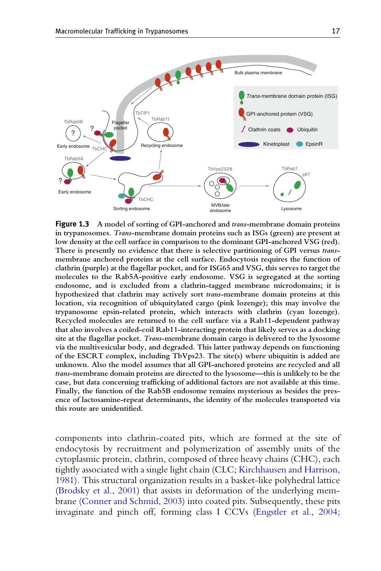<span id="page-16-0"></span>

**Figure 1.3** A model of sorting of GPI-anchored and *trans*-membrane domain proteins in trypanosomes. Trans-membrane domain proteins such as ISGs (green) are present at low density at the cell surface in comparison to the dominant GPI-anchored VSG (red). There is presently no evidence that there is selective partitioning of GPI versus *trans*membrane anchored proteins at the cell surface. Endocytosis requires the function of clathrin (purple) at the flagellar pocket, and for ISG65 and VSG, this serves to target the molecules to the Rab5A-positive early endosome. VSG is segregated at the sorting endosome, and is excluded from a clathrin-tagged membrane microdomains; it is hypothesized that clathrin may actively sort trans-membrane domain proteins at this location, via recognition of ubiquitylated cargo (pink lozenge); this may involve the trypanosome epsin-related protein, which interacts with clathrin (cyan lozenge). Recycled molecules are returned to the cell surface via a Rab11-dependent pathway that also involves a coiled-coil Rab11-interacting protein that likely serves as a docking site at the flagellar pocket. Trans-membrane domain cargo is delivered to the lysosome via the multivesicular body, and degraded. This latter pathway depends on functioning of the ESCRT complex, including TbVps23. The site(s) where ubiquitin is added are unknown. Also the model assumes that all GPI-anchored proteins are recycled and all trans-membrane domain proteins are directed to the lysosome—this is unlikely to be the case, but data concerning trafficking of additional factors are not available at this time. Finally, the function of the Rab5B endosome remains mysterious as besides the presence of lactosamine-repeat determinants, the identity of the molecules transported via this route are unidentified.

components into clathrin-coated pits, which are formed at the site of endocytosis by recruitment and polymerization of assembly units of the cytoplasmic protein, clathrin, composed of three heavy chains (CHC), each tightly associated with a single light chain (CLC; [Kirchhausen and Harrison,](#page-58-0) [1981](#page-58-0)). This structural organization results in a basket-like polyhedral lattice [\(Brodsky et al., 2001](#page-52-0)) that assists in deformation of the underlying membrane ([Conner and Schmid, 2003\)](#page-53-0) into coated pits. Subsequently, these pits invaginate and pinch off, forming class I CCVs ([Engstler et al., 2004;](#page-54-0)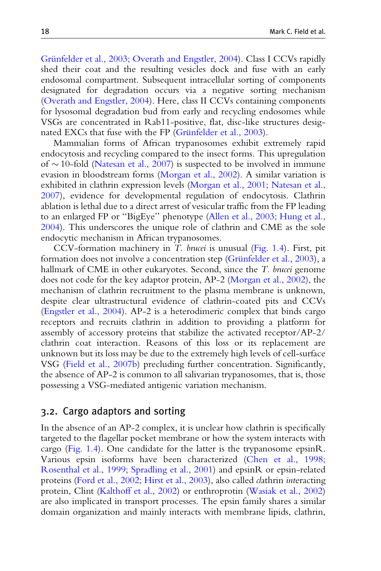Grünfelder et al., 2003; Overath and Engstler, 2004). Class I CCVs rapidly shed their coat and the resulting vesicles dock and fuse with an early endosomal compartment. Subsequent intracellular sorting of components designated for degradation occurs via a negative sorting mechanism ([Overath and Engstler, 2004](#page-61-0)). Here, class II CCVs containing components for lysosomal degradation bud from early and recycling endosomes while VSGs are concentrated in Rab11-positive, flat, disc-like structures designated EXCs that fuse with the FP (Grünfelder et al., 2003).

Mammalian forms of African trypanosomes exhibit extremely rapid endocytosis and recycling compared to the insect forms. This upregulation of  $\sim$  10-fold [\(Natesan et al., 2007\)](#page-60-0) is suspected to be involved in immune evasion in bloodstream forms ([Morgan et al., 2002\)](#page-60-0). A similar variation is exhibited in clathrin expression levels [\(Morgan et al., 2001; Natesan et al.,](#page-60-0) [2007\)](#page-60-0), evidence for developmental regulation of endocytosis. Clathrin ablation is lethal due to a direct arrest of vesicular traffic from the FP leading to an enlarged FP or ''BigEye'' phenotype ([Allen et al., 2003; Hung et al.,](#page-51-0) [2004\)](#page-51-0). This underscores the unique role of clathrin and CME as the sole endocytic mechanism in African trypanosomes.

CCV-formation machinery in T. brucei is unusual ([Fig. 1.4\)](#page-18-0). First, pit formation does not involve a concentration step (Grünfelder et al., 2003), a hallmark of CME in other eukaryotes. Second, since the T. brucei genome does not code for the key adaptor protein, AP-2 [\(Morgan et al., 2002](#page-60-0)), the mechanism of clathrin recruitment to the plasma membrane is unknown, despite clear ultrastructural evidence of clathrin-coated pits and CCVs ([Engstler et al., 2004\)](#page-54-0). AP-2 is a heterodimeric complex that binds cargo receptors and recruits clathrin in addition to providing a platform for assembly of accessory proteins that stabilize the activated receptor/AP-2/ clathrin coat interaction. Reasons of this loss or its replacement are unknown but its loss may be due to the extremely high levels of cell-surface VSG ([Field et al., 2007b](#page-55-0)) precluding further concentration. Significantly, the absence of AP-2 is common to all salivarian trypanosomes, that is, those possessing a VSG-mediated antigenic variation mechanism.

#### 3.2. Cargo adaptors and sorting

In the absence of an AP-2 complex, it is unclear how clathrin is specifically targeted to the flagellar pocket membrane or how the system interacts with cargo ([Fig. 1.4](#page-18-0)). One candidate for the latter is the trypanosome epsinR. Various epsin isoforms have been characterized [\(Chen et al., 1998;](#page-53-0) [Rosenthal et al., 1999; Spradling et al., 2001](#page-53-0)) and epsinR or epsin-related proteins [\(Ford et al., 2002; Hirst et al., 2003\)](#page-55-0), also called clathrin interacting protein, Clint [\(Kalthoff et al., 2002\)](#page-57-0) or enthroprotin [\(Wasiak et al., 2002\)](#page-65-0) are also implicated in transport processes. The epsin family shares a similar domain organization and mainly interacts with membrane lipids, clathrin,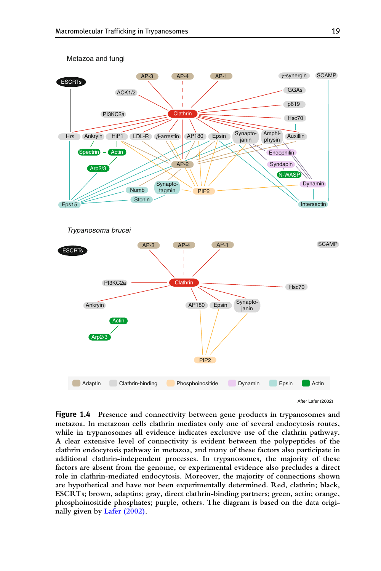<span id="page-18-0"></span>

Metazoa and fungi



**Figure 1.4** Presence and connectivity between gene products in trypanosomes and metazoa. In metazoan cells clathrin mediates only one of several endocytosis routes, while in trypanosomes all evidence indicates exclusive use of the clathrin pathway. A clear extensive level of connectivity is evident between the polypeptides of the clathrin endocytosis pathway in metazoa, and many of these factors also participate in additional clathrin-independent processes. In trypanosomes, the majority of these factors are absent from the genome, or experimental evidence also precludes a direct role in clathrin-mediated endocytosis. Moreover, the majority of connections shown are hypothetical and have not been experimentally determined. Red, clathrin; black, ESCRTs; brown, adaptins; gray, direct clathrin-binding partners; green, actin; orange, phosphoinositide phosphates; purple, others. The diagram is based on the data originally given by [Lafer \(2002\).](#page-58-0)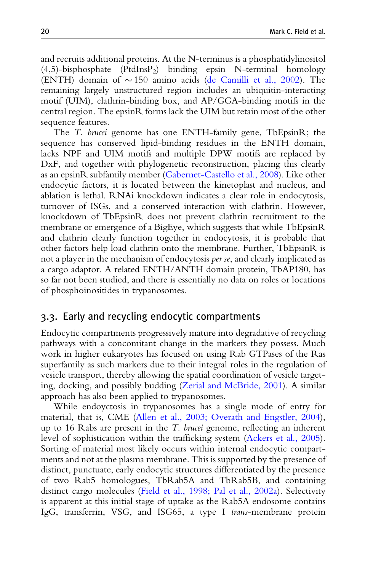and recruits additional proteins. At the N-terminus is a phosphatidylinositol  $(4,5)$ -bisphosphate (PtdInsP<sub>2</sub>) binding epsin N-terminal homology (ENTH) domain of  $\sim$  150 amino acids ([de Camilli et al., 2002\)](#page-54-0). The remaining largely unstructured region includes an ubiquitin-interacting motif (UIM), clathrin-binding box, and AP/GGA-binding motifs in the central region. The epsinR forms lack the UIM but retain most of the other sequence features.

The T. brucei genome has one ENTH-family gene, TbEpsinR; the sequence has conserved lipid-binding residues in the ENTH domain, lacks NPF and UIM motifs and multiple DPW motifs are replaced by DxF, and together with phylogenetic reconstruction, placing this clearly as an epsinR subfamily member ([Gabernet-Castello et al., 2008\)](#page-55-0). Like other endocytic factors, it is located between the kinetoplast and nucleus, and ablation is lethal. RNAi knockdown indicates a clear role in endocytosis, turnover of ISGs, and a conserved interaction with clathrin. However, knockdown of TbEpsinR does not prevent clathrin recruitment to the membrane or emergence of a BigEye, which suggests that while TbEpsinR and clathrin clearly function together in endocytosis, it is probable that other factors help load clathrin onto the membrane. Further, TbEpsinR is not a player in the mechanism of endocytosis per se, and clearly implicated as a cargo adaptor. A related ENTH/ANTH domain protein, TbAP180, has so far not been studied, and there is essentially no data on roles or locations of phosphoinositides in trypanosomes.

#### 3.3. Early and recycling endocytic compartments

Endocytic compartments progressively mature into degradative of recycling pathways with a concomitant change in the markers they possess. Much work in higher eukaryotes has focused on using Rab GTPases of the Ras superfamily as such markers due to their integral roles in the regulation of vesicle transport, thereby allowing the spatial coordination of vesicle targeting, docking, and possibly budding [\(Zerial and McBride, 2001](#page-66-0)). A similar approach has also been applied to trypanosomes.

While endoyctosis in trypanosomes has a single mode of entry for material, that is, CME [\(Allen et al., 2003; Overath and Engstler, 2004\)](#page-51-0), up to 16 Rabs are present in the T. brucei genome, reflecting an inherent level of sophistication within the trafficking system ([Ackers et al., 2005\)](#page-51-0). Sorting of material most likely occurs within internal endocytic compartments and not at the plasma membrane. This is supported by the presence of distinct, punctuate, early endocytic structures differentiated by the presence of two Rab5 homologues, TbRab5A and TbRab5B, and containing distinct cargo molecules ([Field et al., 1998; Pal et al., 2002a](#page-55-0)). Selectivity is apparent at this initial stage of uptake as the Rab5A endosome contains IgG, transferrin, VSG, and ISG65, a type I trans-membrane protein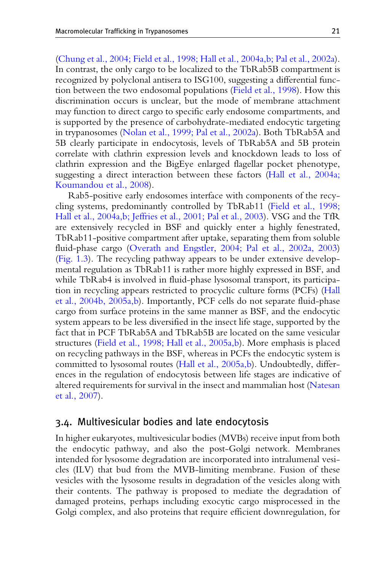[\(Chung et al., 2004; Field et al., 1998; Hall et al., 2004a,b; Pal et al., 2002a](#page-53-0)). In contrast, the only cargo to be localized to the TbRab5B compartment is recognized by polyclonal antisera to ISG100, suggesting a differential function between the two endosomal populations [\(Field et al., 1998](#page-55-0)). How this discrimination occurs is unclear, but the mode of membrane attachment may function to direct cargo to specific early endosome compartments, and is supported by the presence of carbohydrate-mediated endocytic targeting in trypanosomes [\(Nolan et al., 1999; Pal et al., 2002a\)](#page-61-0). Both TbRab5A and 5B clearly participate in endocytosis, levels of TbRab5A and 5B protein correlate with clathrin expression levels and knockdown leads to loss of clathrin expression and the BigEye enlarged flagellar pocket phenotype, suggesting a direct interaction between these factors [\(Hall et al., 2004a;](#page-56-0) [Koumandou et al., 2008\)](#page-56-0).

Rab5-positive early endosomes interface with components of the recycling systems, predominantly controlled by TbRab11 ([Field et al., 1998;](#page-55-0) [Hall et al., 2004a,b; Jeffries et al., 2001; Pal et al., 2003\)](#page-55-0). VSG and the TfR are extensively recycled in BSF and quickly enter a highly fenestrated, TbRab11-positive compartment after uptake, separating them from soluble fluid-phase cargo ([Overath and Engstler, 2004; Pal et al., 2002a, 2003](#page-61-0)) [\(Fig. 1.3\)](#page-16-0). The recycling pathway appears to be under extensive developmental regulation as TbRab11 is rather more highly expressed in BSF, and while TbRab4 is involved in fluid-phase lysosomal transport, its participation in recycling appears restricted to procyclic culture forms (PCFs) [\(Hall](#page-56-0) [et al., 2004b, 2005a,b](#page-56-0)). Importantly, PCF cells do not separate fluid-phase cargo from surface proteins in the same manner as BSF, and the endocytic system appears to be less diversified in the insect life stage, supported by the fact that in PCF TbRab5A and TbRab5B are located on the same vesicular structures [\(Field et al., 1998; Hall et al., 2005a,b](#page-55-0)). More emphasis is placed on recycling pathways in the BSF, whereas in PCFs the endocytic system is committed to lysosomal routes ([Hall et al., 2005a,b](#page-56-0)). Undoubtedly, differences in the regulation of endocytosis between life stages are indicative of altered requirements for survival in the insect and mammalian host [\(Natesan](#page-60-0) [et al., 2007\)](#page-60-0).

### 3.4. Multivesicular bodies and late endocytosis

In higher eukaryotes, multivesicular bodies (MVBs) receive input from both the endocytic pathway, and also the post-Golgi network. Membranes intended for lysosome degradation are incorporated into intralumenal vesicles (ILV) that bud from the MVB-limiting membrane. Fusion of these vesicles with the lysosome results in degradation of the vesicles along with their contents. The pathway is proposed to mediate the degradation of damaged proteins, perhaps including exocytic cargo misprocessed in the Golgi complex, and also proteins that require efficient downregulation, for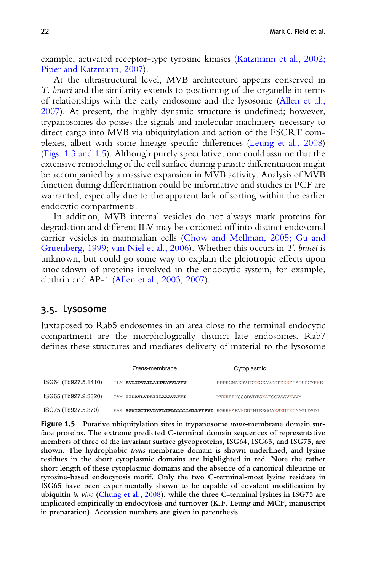<span id="page-21-0"></span>example, activated receptor-type tyrosine kinases ([Katzmann et al., 2002;](#page-57-0) [Piper and Katzmann, 2007](#page-57-0)).

At the ultrastructural level, MVB architecture appears conserved in T. brucei and the similarity extends to positioning of the organelle in terms of relationships with the early endosome and the lysosome ([Allen et al.,](#page-51-0) [2007\)](#page-51-0). At present, the highly dynamic structure is undefined; however, trypanosomes do posses the signals and molecular machinery necessary to direct cargo into MVB via ubiquitylation and action of the ESCRT complexes, albeit with some lineage-specific differences [\(Leung et al., 2008\)](#page-58-0) ([Figs. 1.3 and 1.5\)](#page-16-0). Although purely speculative, one could assume that the extensive remodeling of the cell surface during parasite differentiation might be accompanied by a massive expansion in MVB activity. Analysis of MVB function during differentiation could be informative and studies in PCF are warranted, especially due to the apparent lack of sorting within the earlier endocytic compartments.

In addition, MVB internal vesicles do not always mark proteins for degradation and different ILV may be cordoned off into distinct endosomal carrier vesicles in mammalian cells [\(Chow and Mellman, 2005; Gu and](#page-53-0) [Gruenberg, 1999; van Niel et al., 2006](#page-53-0)). Whether this occurs in T. brucei is unknown, but could go some way to explain the pleiotropic effects upon knockdown of proteins involved in the endocytic system, for example, clathrin and AP-1 [\(Allen et al., 2003, 2007](#page-51-0)).

#### 3.5. Lysosome

Juxtaposed to Rab5 endosomes in an area close to the terminal endocytic compartment are the morphologically distinct late endosomes. Rab7 defines these structures and mediates delivery of material to the lysosome

|                      | <i>Trans-membrane</i>    | Cytoplasmic                                                          |
|----------------------|--------------------------|----------------------------------------------------------------------|
| ISG64 (Tb927.5.1410) | ILM AVLIPVAILAIITAVVLVFV | RRRRGNAEDVIDEKGEAVSSPDKKGGATSPCYRKE                                  |
| ISG65 (Tb927.2.3320) | TAM IILAVLVPAIILAAAVAFFI | MVKRRRNSSODVDTGKAEGGVSSVKVVM                                         |
| ISG75 (Tb927.5.370)  |                          | EAK SGWIGTTKVLVFLIPLLLLLLGLLVFFVI RGRRKAEVKDDINIEEGGAKSKNTKTAAGLDSDI |

**Figure 1.5** Putative ubiquitylation sites in trypanosome *trans*-membrane domain surface proteins. The extreme predicted C-terminal domain sequences of representative members of three of the invariant surface glycoproteins, ISG64, ISG65, and ISG75, are shown. The hydrophobic trans-membrane domain is shown underlined, and lysine residues in the short cytoplasmic domains are highlighted in red. Note the rather short length of these cytoplasmic domains and the absence of a canonical dileucine or tyrosine-based endocytosis motif. Only the two C-terminal-most lysine residues in ISG65 have been experimentally shown to be capable of covalent modification by ubiquitin in vivo ([Chung et al., 2008](#page-53-0)), while the three C-terminal lysines in ISG75 are implicated empirically in endocytosis and turnover (K.F. Leung and MCF, manuscript in preparation). Accession numbers are given in parenthesis.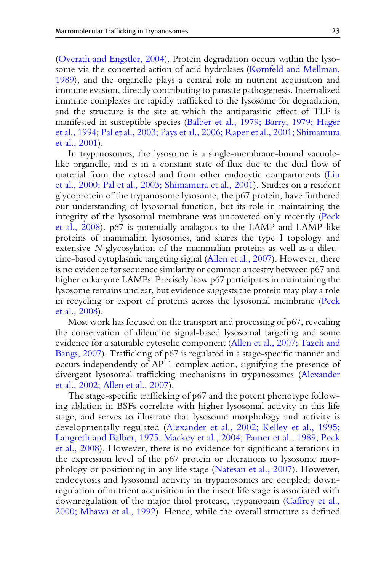[\(Overath and Engstler, 2004](#page-61-0)). Protein degradation occurs within the lysosome via the concerted action of acid hydrolases ([Kornfeld and Mellman,](#page-58-0) [1989](#page-58-0)), and the organelle plays a central role in nutrient acquisition and immune evasion, directly contributing to parasite pathogenesis. Internalized immune complexes are rapidly trafficked to the lysosome for degradation, and the structure is the site at which the antiparasitic effect of TLF is manifested in susceptible species ([Balber et al., 1979; Barry, 1979; Hager](#page-52-0) [et al., 1994; Pal et al., 2003; Pays et al., 2006; Raper et al., 2001; Shimamura](#page-52-0) [et al., 2001\)](#page-52-0).

In trypanosomes, the lysosome is a single-membrane-bound vacuolelike organelle, and is in a constant state of flux due to the dual flow of material from the cytosol and from other endocytic compartments ([Liu](#page-58-0) [et al., 2000; Pal et al., 2003; Shimamura et al., 2001](#page-58-0)). Studies on a resident glycoprotein of the trypanosome lysosome, the p67 protein, have furthered our understanding of lysosomal function, but its role in maintaining the integrity of the lysosomal membrane was uncovered only recently [\(Peck](#page-61-0) [et al., 2008\)](#page-61-0). p67 is potentially analagous to the LAMP and LAMP-like proteins of mammalian lysosomes, and shares the type I topology and extensive N-glycosylation of the mammalian proteins as well as a dileucine-based cytoplasmic targeting signal ([Allen et al., 2007](#page-51-0)). However, there is no evidence for sequence similarity or common ancestry between p67 and higher eukaryote LAMPs. Precisely how p67 participates in maintaining the lysosome remains unclear, but evidence suggests the protein may play a role in recycling or export of proteins across the lysosomal membrane [\(Peck](#page-61-0) [et al., 2008\)](#page-61-0).

Most work has focused on the transport and processing of p67, revealing the conservation of dileucine signal-based lysosomal targeting and some evidence for a saturable cytosolic component ([Allen et al., 2007; Tazeh and](#page-51-0) [Bangs, 2007](#page-51-0)). Trafficking of p67 is regulated in a stage-specific manner and occurs independently of AP-1 complex action, signifying the presence of divergent lysosomal trafficking mechanisms in trypanosomes [\(Alexander](#page-51-0) [et al., 2002; Allen et al., 2007](#page-51-0)).

The stage-specific trafficking of p67 and the potent phenotype following ablation in BSFs correlate with higher lysosomal activity in this life stage, and serves to illustrate that lysosome morphology and activity is developmentally regulated ([Alexander et al., 2002; Kelley et al., 1995;](#page-51-0) [Langreth and Balber, 1975; Mackey et al., 2004; Pamer et al., 1989; Peck](#page-51-0) [et al., 2008\)](#page-51-0). However, there is no evidence for significant alterations in the expression level of the p67 protein or alterations to lysosome morphology or positioning in any life stage [\(Natesan et al., 2007](#page-60-0)). However, endocytosis and lysosomal activity in trypanosomes are coupled; downregulation of nutrient acquisition in the insect life stage is associated with downregulation of the major thiol protease, trypanopain [\(Caffrey et al.,](#page-53-0) [2000; Mbawa et al., 1992\)](#page-53-0). Hence, while the overall structure as defined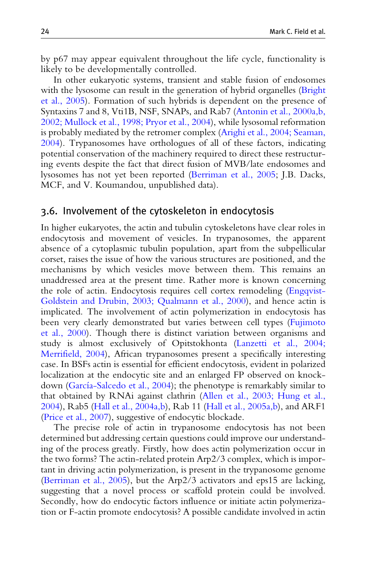by p67 may appear equivalent throughout the life cycle, functionality is likely to be developmentally controlled.

In other eukaryotic systems, transient and stable fusion of endosomes with the lysosome can result in the generation of hybrid organelles ([Bright](#page-52-0) [et al., 2005](#page-52-0)). Formation of such hybrids is dependent on the presence of Syntaxins 7 and 8, Vti1B, NSF, SNAPs, and Rab7 ([Antonin et al., 2000a,b,](#page-51-0) [2002; Mullock et al., 1998; Pryor et al., 2004\)](#page-51-0), while lysosomal reformation is probably mediated by the retromer complex [\(Arighi et al., 2004; Seaman,](#page-51-0) [2004\)](#page-51-0). Trypanosomes have orthologues of all of these factors, indicating potential conservation of the machinery required to direct these restructuring events despite the fact that direct fusion of MVB/late endosomes and lysosomes has not yet been reported ([Berriman et al., 2005;](#page-52-0) J.B. Dacks, MCF, and V. Koumandou, unpublished data).

#### 3.6. Involvement of the cytoskeleton in endocytosis

In higher eukaryotes, the actin and tubulin cytoskeletons have clear roles in endocytosis and movement of vesicles. In trypanosomes, the apparent absence of a cytoplasmic tubulin population, apart from the subpellicular corset, raises the issue of how the various structures are positioned, and the mechanisms by which vesicles move between them. This remains an unaddressed area at the present time. Rather more is known concerning the role of actin. Endocytosis requires cell cortex remodeling [\(Engqvist-](#page-54-0)[Goldstein and Drubin, 2003; Qualmann et al., 2000\)](#page-54-0), and hence actin is implicated. The involvement of actin polymerization in endocytosis has been very clearly demonstrated but varies between cell types ([Fujimoto](#page-55-0) [et al., 2000\)](#page-55-0). Though there is distinct variation between organisms and study is almost exclusively of Opitstokhonta [\(Lanzetti et al., 2004;](#page-58-0) [Merrifield, 2004\)](#page-58-0), African trypanosomes present a specifically interesting case. In BSFs actin is essential for efficient endocytosis, evident in polarized localization at the endocytic site and an enlarged FP observed on knockdown (García-Salcedo et al., 2004); the phenotype is remarkably similar to that obtained by RNAi against clathrin [\(Allen et al., 2003; Hung et al.,](#page-51-0) [2004\)](#page-51-0), Rab5 [\(Hall et al., 2004a,b](#page-56-0)), Rab 11 ([Hall et al., 2005a,b\)](#page-56-0), and ARF1 ([Price et al., 2007](#page-62-0)), suggestive of endocytic blockade.

The precise role of actin in trypanosome endocytosis has not been determined but addressing certain questions could improve our understanding of the process greatly. Firstly, how does actin polymerization occur in the two forms? The actin-related protein Arp2/3 complex, which is important in driving actin polymerization, is present in the trypanosome genome ([Berriman et al., 2005](#page-52-0)), but the Arp2/3 activators and eps15 are lacking, suggesting that a novel process or scaffold protein could be involved. Secondly, how do endocytic factors influence or initiate actin polymerization or F-actin promote endocytosis? A possible candidate involved in actin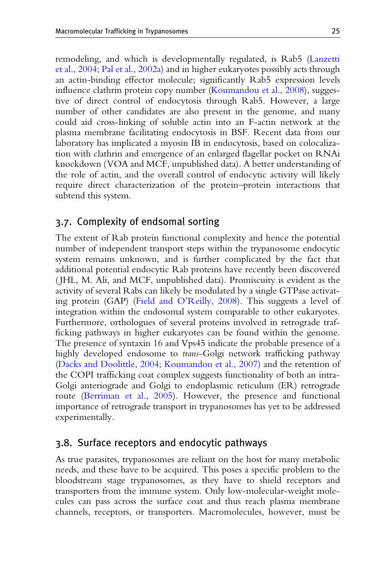remodeling, and which is developmentally regulated, is Rab5 [\(Lanzetti](#page-58-0) [et al., 2004; Pal et al., 2002a](#page-58-0)) and in higher eukaryotes possibly acts through an actin-binding effector molecule; significantly Rab5 expression levels influence clathrin protein copy number [\(Koumandou et al., 2008\)](#page-58-0), suggestive of direct control of endocytosis through Rab5. However, a large number of other candidates are also present in the genome, and many could aid cross-linking of soluble actin into an F-actin network at the plasma membrane facilitating endocytosis in BSF. Recent data from our laboratory has implicated a myosin IB in endocytosis, based on colocalization with clathrin and emergence of an enlarged flagellar pocket on RNAi knockdown (VOA and MCF, unpublished data). A better understanding of the role of actin, and the overall control of endocytic activity will likely require direct characterization of the protein–protein interactions that subtend this system.

#### 3.7. Complexity of endsomal sorting

The extent of Rab protein functional complexity and hence the potential number of independent transport steps within the trypanosome endocytic system remains unknown, and is further complicated by the fact that additional potential endocytic Rab proteins have recently been discovered ( JHL, M. Ali, and MCF, unpublished data). Promiscuity is evident as the activity of several Rabs can likely be modulated by a single GTPase activating protein (GAP) [\(Field and O'Reilly, 2008\)](#page-55-0). This suggests a level of integration within the endosomal system comparable to other eukaryotes. Furthermore, orthologues of several proteins involved in retrograde trafficking pathways in higher eukaryotes can be found within the genome. The presence of syntaxin 16 and Vps45 indicate the probable presence of a highly developed endosome to *trans*-Golgi network trafficking pathway [\(Dacks and Doolittle, 2004; Koumandou et al., 2007](#page-54-0)) and the retention of the COPI trafficking coat complex suggests functionality of both an intra-Golgi anteriograde and Golgi to endoplasmic reticulum (ER) retrograde route [\(Berriman et al., 2005\)](#page-52-0). However, the presence and functional importance of retrograde transport in trypanosomes has yet to be addressed experimentally.

#### 3.8. Surface receptors and endocytic pathways

As true parasites, trypanosomes are reliant on the host for many metabolic needs, and these have to be acquired. This poses a specific problem to the bloodstream stage trypanosomes, as they have to shield receptors and transporters from the immune system. Only low-molecular-weight molecules can pass across the surface coat and thus reach plasma membrane channels, receptors, or transporters. Macromolecules, however, must be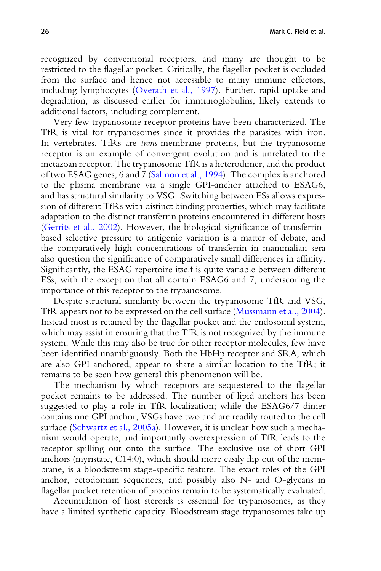recognized by conventional receptors, and many are thought to be restricted to the flagellar pocket. Critically, the flagellar pocket is occluded from the surface and hence not accessible to many immune effectors, including lymphocytes [\(Overath et al., 1997](#page-61-0)). Further, rapid uptake and degradation, as discussed earlier for immunoglobulins, likely extends to additional factors, including complement.

Very few trypanosome receptor proteins have been characterized. The TfR is vital for trypanosomes since it provides the parasites with iron. In vertebrates, TfRs are trans-membrane proteins, but the trypanosome receptor is an example of convergent evolution and is unrelated to the metazoan receptor. The trypanosome TfR is a heterodimer, and the product of two ESAG genes, 6 and 7 [\(Salmon et al., 1994\)](#page-63-0). The complex is anchored to the plasma membrane via a single GPI-anchor attached to ESAG6, and has structural similarity to VSG. Switching between ESs allows expression of different TfRs with distinct binding properties, which may facilitate adaptation to the distinct transferrin proteins encountered in different hosts ([Gerrits et al., 2002](#page-55-0)). However, the biological significance of transferrinbased selective pressure to antigenic variation is a matter of debate, and the comparatively high concentrations of transferrin in mammalian sera also question the significance of comparatively small differences in affinity. Significantly, the ESAG repertoire itself is quite variable between different ESs, with the exception that all contain ESAG6 and 7, underscoring the importance of this receptor to the trypanosome.

Despite structural similarity between the trypanosome TfR and VSG, TfR appears not to be expressed on the cell surface [\(Mussmann et al., 2004\)](#page-60-0). Instead most is retained by the flagellar pocket and the endosomal system, which may assist in ensuring that the TfR is not recognized by the immune system. While this may also be true for other receptor molecules, few have been identified unambiguously. Both the HbHp receptor and SRA, which are also GPI-anchored, appear to share a similar location to the TfR; it remains to be seen how general this phenomenon will be.

The mechanism by which receptors are sequestered to the flagellar pocket remains to be addressed. The number of lipid anchors has been suggested to play a role in TfR localization; while the ESAG6/7 dimer contains one GPI anchor, VSGs have two and are readily routed to the cell surface ([Schwartz et al., 2005a\)](#page-63-0). However, it is unclear how such a mechanism would operate, and importantly overexpression of TfR leads to the receptor spilling out onto the surface. The exclusive use of short GPI anchors (myristate, C14:0), which should more easily flip out of the membrane, is a bloodstream stage-specific feature. The exact roles of the GPI anchor, ectodomain sequences, and possibly also N- and O-glycans in flagellar pocket retention of proteins remain to be systematically evaluated.

Accumulation of host steroids is essential for trypanosomes, as they have a limited synthetic capacity. Bloodstream stage trypanosomes take up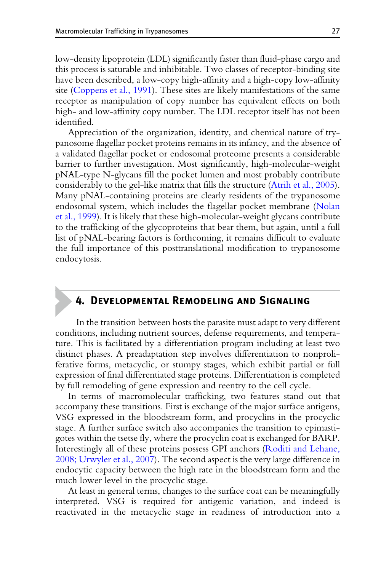low-density lipoprotein (LDL) significantly faster than fluid-phase cargo and this process is saturable and inhibitable. Two classes of receptor-binding site have been described, a low-copy high-affinity and a high-copy low-affinity site [\(Coppens et al., 1991](#page-53-0)). These sites are likely manifestations of the same receptor as manipulation of copy number has equivalent effects on both high- and low-affinity copy number. The LDL receptor itself has not been identified.

Appreciation of the organization, identity, and chemical nature of trypanosome flagellar pocket proteins remains in its infancy, and the absence of a validated flagellar pocket or endosomal proteome presents a considerable barrier to further investigation. Most significantly, high-molecular-weight pNAL-type N-glycans fill the pocket lumen and most probably contribute considerably to the gel-like matrix that fills the structure [\(Atrih et al., 2005](#page-51-0)). Many pNAL-containing proteins are clearly residents of the trypanosome endosomal system, which includes the flagellar pocket membrane [\(Nolan](#page-61-0) [et al., 1999\)](#page-61-0). It is likely that these high-molecular-weight glycans contribute to the trafficking of the glycoproteins that bear them, but again, until a full list of pNAL-bearing factors is forthcoming, it remains difficult to evaluate the full importance of this posttranslational modification to trypanosome endocytosis.

# 4. Developmental Remodeling and Signaling

In the transition between hosts the parasite must adapt to very different conditions, including nutrient sources, defense requirements, and temperature. This is facilitated by a differentiation program including at least two distinct phases. A preadaptation step involves differentiation to nonproliferative forms, metacyclic, or stumpy stages, which exhibit partial or full expression of final differentiated stage proteins. Differentiation is completed by full remodeling of gene expression and reentry to the cell cycle.

In terms of macromolecular trafficking, two features stand out that accompany these transitions. First is exchange of the major surface antigens, VSG expressed in the bloodstream form, and procyclins in the procyclic stage. A further surface switch also accompanies the transition to epimastigotes within the tsetse fly, where the procyclin coat is exchanged for BARP. Interestingly all of these proteins possess GPI anchors ([Roditi and Lehane,](#page-62-0) [2008; Urwyler et al., 2007\)](#page-62-0). The second aspect is the very large difference in endocytic capacity between the high rate in the bloodstream form and the much lower level in the procyclic stage.

At least in general terms, changes to the surface coat can be meaningfully interpreted. VSG is required for antigenic variation, and indeed is reactivated in the metacyclic stage in readiness of introduction into a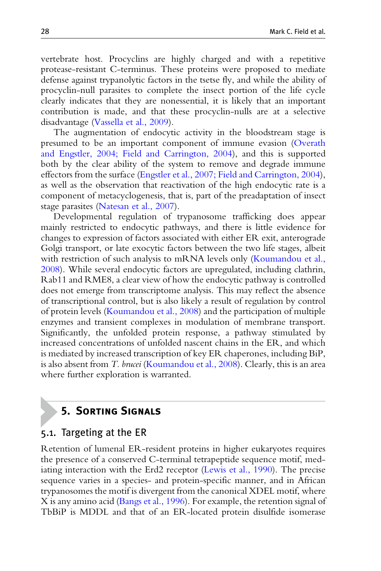vertebrate host. Procyclins are highly charged and with a repetitive protease-resistant C-terminus. These proteins were proposed to mediate defense against trypanolytic factors in the tsetse fly, and while the ability of procyclin-null parasites to complete the insect portion of the life cycle clearly indicates that they are nonessential, it is likely that an important contribution is made, and that these procyclin-nulls are at a selective disadvantage ([Vassella et al., 2009\)](#page-65-0).

The augmentation of endocytic activity in the bloodstream stage is presumed to be an important component of immune evasion [\(Overath](#page-61-0) [and Engstler, 2004; Field and Carrington, 2004](#page-61-0)), and this is supported both by the clear ability of the system to remove and degrade immune effectors from the surface ([Engstler et al., 2007; Field and Carrington, 2004\)](#page-54-0), as well as the observation that reactivation of the high endocytic rate is a component of metacyclogenesis, that is, part of the preadaptation of insect stage parasites ([Natesan et al., 2007\)](#page-60-0).

Developmental regulation of trypanosome trafficking does appear mainly restricted to endocytic pathways, and there is little evidence for changes to expression of factors associated with either ER exit, anterograde Golgi transport, or late exocytic factors between the two life stages, albeit with restriction of such analysis to mRNA levels only [\(Koumandou et al.,](#page-58-0) [2008\)](#page-58-0). While several endocytic factors are upregulated, including clathrin, Rab11 and RME8, a clear view of how the endocytic pathway is controlled does not emerge from transcriptome analysis. This may reflect the absence of transcriptional control, but is also likely a result of regulation by control of protein levels ([Koumandou et al., 2008](#page-58-0)) and the participation of multiple enzymes and transient complexes in modulation of membrane transport. Significantly, the unfolded protein response, a pathway stimulated by increased concentrations of unfolded nascent chains in the ER, and which is mediated by increased transcription of key ER chaperones, including BiP, is also absent from T. brucei ([Koumandou et al., 2008](#page-58-0)). Clearly, this is an area where further exploration is warranted.

# 5. Sorting Signals

#### 5.1. Targeting at the ER

Retention of lumenal ER-resident proteins in higher eukaryotes requires the presence of a conserved C-terminal tetrapeptide sequence motif, mediating interaction with the Erd2 receptor [\(Lewis et al., 1990\)](#page-58-0). The precise sequence varies in a species- and protein-specific manner, and in African trypanosomes the motif is divergent from the canonical XDEL motif, where X is any amino acid [\(Bangs et al., 1996](#page-52-0)). For example, the retention signal of TbBiP is MDDL and that of an ER-located protein disulfide isomerase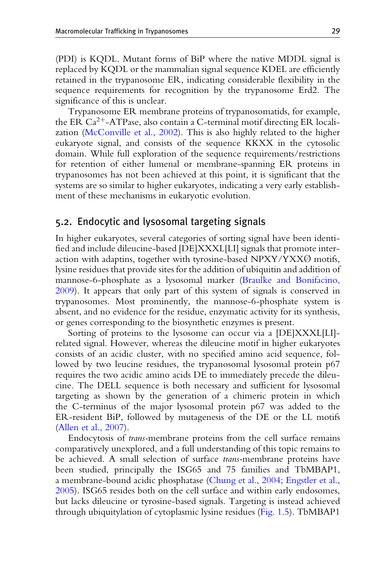(PDI) is KQDL. Mutant forms of BiP where the native MDDL signal is replaced by KQDL or the mammalian signal sequence KDEL are efficiently retained in the trypanosome ER, indicating considerable flexibility in the sequence requirements for recognition by the trypanosome Erd2. The significance of this is unclear.

Trypanosome ER membrane proteins of trypanosomatids, for example, the ER  $Ca^{2+}-ATP$ ase, also contain a C-terminal motif directing ER localization [\(McConville et al., 2002\)](#page-59-0). This is also highly related to the higher eukaryote signal, and consists of the sequence KKXX in the cytosolic domain. While full exploration of the sequence requirements/restrictions for retention of either lumenal or membrane-spanning ER proteins in trypanosomes has not been achieved at this point, it is significant that the systems are so similar to higher eukaryotes, indicating a very early establishment of these mechanisms in eukaryotic evolution.

# 5.2. Endocytic and lysosomal targeting signals

In higher eukaryotes, several categories of sorting signal have been identified and include dileucine-based [DE]XXXL[LI] signals that promote interaction with adaptins, together with tyrosine-based  $NPXY/YXXO$  motifs, lysine residues that provide sites for the addition of ubiquitin and addition of mannose-6-phosphate as a lysosomal marker ([Braulke and Bonifacino,](#page-52-0) [2009](#page-52-0)). It appears that only part of this system of signals is conserved in trypanosomes. Most prominently, the mannose-6-phosphate system is absent, and no evidence for the residue, enzymatic activity for its synthesis, or genes corresponding to the biosynthetic enzymes is present.

Sorting of proteins to the lysosome can occur via a [DE]XXXL[LI] related signal. However, whereas the dileucine motif in higher eukaryotes consists of an acidic cluster, with no specified amino acid sequence, followed by two leucine residues, the trypanosomal lysosomal protein p67 requires the two acidic amino acids DE to immediately precede the dileucine. The DELL sequence is both necessary and sufficient for lysosomal targeting as shown by the generation of a chimeric protein in which the C-terminus of the major lysosomal protein p67 was added to the ER-resident BiP, followed by mutagenesis of the DE or the LL motifs [\(Allen et al., 2007](#page-51-0)).

Endocytosis of trans-membrane proteins from the cell surface remains comparatively unexplored, and a full understanding of this topic remains to be achieved. A small selection of surface trans-membrane proteins have been studied, principally the ISG65 and 75 families and TbMBAP1, a membrane-bound acidic phosphatase ([Chung et al., 2004; Engstler et al.,](#page-53-0) [2005](#page-53-0)). ISG65 resides both on the cell surface and within early endosomes, but lacks dileucine or tyrosine-based signals. Targeting is instead achieved through ubiquitylation of cytoplasmic lysine residues [\(Fig. 1.5\)](#page-21-0). TbMBAP1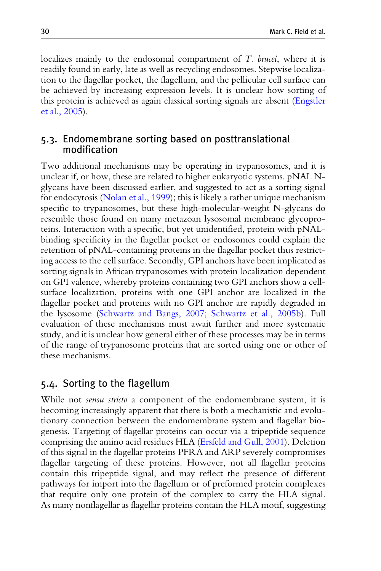localizes mainly to the endosomal compartment of T. brucei, where it is readily found in early, late as well as recycling endosomes. Stepwise localization to the flagellar pocket, the flagellum, and the pellicular cell surface can be achieved by increasing expression levels. It is unclear how sorting of this protein is achieved as again classical sorting signals are absent [\(Engstler](#page-54-0) [et al., 2005\)](#page-54-0).

#### 5.3. Endomembrane sorting based on posttranslational modification

Two additional mechanisms may be operating in trypanosomes, and it is unclear if, or how, these are related to higher eukaryotic systems. pNAL Nglycans have been discussed earlier, and suggested to act as a sorting signal for endocytosis ([Nolan et al., 1999](#page-61-0)); this is likely a rather unique mechanism specific to trypanosomes, but these high-molecular-weight N-glycans do resemble those found on many metazoan lysosomal membrane glycoproteins. Interaction with a specific, but yet unidentified, protein with pNALbinding specificity in the flagellar pocket or endosomes could explain the retention of pNAL-containing proteins in the flagellar pocket thus restricting access to the cell surface. Secondly, GPI anchors have been implicated as sorting signals in African trypanosomes with protein localization dependent on GPI valence, whereby proteins containing two GPI anchors show a cellsurface localization, proteins with one GPI anchor are localized in the flagellar pocket and proteins with no GPI anchor are rapidly degraded in the lysosome [\(Schwartz and Bangs, 2007; Schwartz et al., 2005b](#page-63-0)). Full evaluation of these mechanisms must await further and more systematic study, and it is unclear how general either of these processes may be in terms of the range of trypanosome proteins that are sorted using one or other of these mechanisms.

# 5.4. Sorting to the flagellum

While not *sensu stricto* a component of the endomembrane system, it is becoming increasingly apparent that there is both a mechanistic and evolutionary connection between the endomembrane system and flagellar biogenesis. Targeting of flagellar proteins can occur via a tripeptide sequence comprising the amino acid residues HLA ([Ersfeld and Gull, 2001](#page-55-0)). Deletion of this signal in the flagellar proteins PFRA and ARP severely compromises flagellar targeting of these proteins. However, not all flagellar proteins contain this tripeptide signal, and may reflect the presence of different pathways for import into the flagellum or of preformed protein complexes that require only one protein of the complex to carry the HLA signal. As many nonflagellar as flagellar proteins contain the HLA motif, suggesting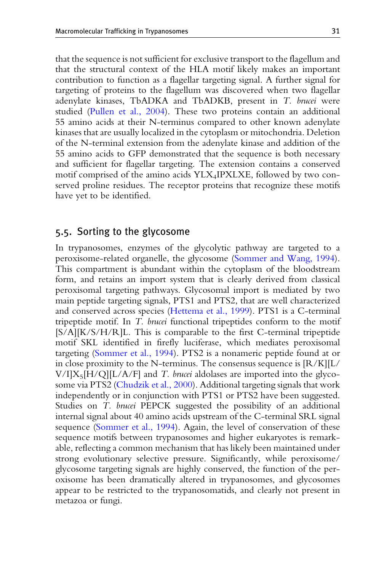that the sequence is not sufficient for exclusive transport to the flagellum and that the structural context of the HLA motif likely makes an important contribution to function as a flagellar targeting signal. A further signal for targeting of proteins to the flagellum was discovered when two flagellar adenylate kinases, TbADKA and TbADKB, present in T. brucei were studied ([Pullen et al., 2004\)](#page-62-0). These two proteins contain an additional 55 amino acids at their N-terminus compared to other known adenylate kinases that are usually localized in the cytoplasm or mitochondria. Deletion of the N-terminal extension from the adenylate kinase and addition of the 55 amino acids to GFP demonstrated that the sequence is both necessary and sufficient for flagellar targeting. The extension contains a conserved motif comprised of the amino acids YLX4IPXLXE, followed by two conserved proline residues. The receptor proteins that recognize these motifs have yet to be identified.

#### 5.5. Sorting to the glycosome

In trypanosomes, enzymes of the glycolytic pathway are targeted to a peroxisome-related organelle, the glycosome ([Sommer and Wang, 1994](#page-64-0)). This compartment is abundant within the cytoplasm of the bloodstream form, and retains an import system that is clearly derived from classical peroxisomal targeting pathways. Glycosomal import is mediated by two main peptide targeting signals, PTS1 and PTS2, that are well characterized and conserved across species ([Hettema et al., 1999\)](#page-57-0). PTS1 is a C-terminal tripeptide motif. In T. brucei functional tripeptides conform to the motif [S/A][K/S/H/R]L. This is comparable to the first C-terminal tripeptide motif SKL identified in firefly luciferase, which mediates peroxisomal targeting [\(Sommer et al., 1994\)](#page-64-0). PTS2 is a nonameric peptide found at or in close proximity to the N-terminus. The consensus sequence is  $[R/K][L/$  $V/I[X_5[H/Q][L/A/F]$  and T. brucei aldolases are imported into the glycosome via PTS2 ([Chudzik et al., 2000](#page-53-0)). Additional targeting signals that work independently or in conjunction with PTS1 or PTS2 have been suggested. Studies on T. brucei PEPCK suggested the possibility of an additional internal signal about 40 amino acids upstream of the C-terminal SRL signal sequence ([Sommer et al., 1994](#page-64-0)). Again, the level of conservation of these sequence motifs between trypanosomes and higher eukaryotes is remarkable, reflecting a common mechanism that has likely been maintained under strong evolutionary selective pressure. Significantly, while peroxisome/ glycosome targeting signals are highly conserved, the function of the peroxisome has been dramatically altered in trypanosomes, and glycosomes appear to be restricted to the trypanosomatids, and clearly not present in metazoa or fungi.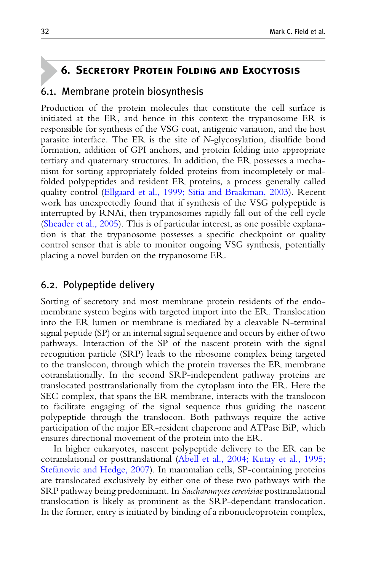# 6. Secretory Protein Folding and Exocytosis

#### 6.1. Membrane protein biosynthesis

Production of the protein molecules that constitute the cell surface is initiated at the ER, and hence in this context the trypanosome ER is responsible for synthesis of the VSG coat, antigenic variation, and the host parasite interface. The ER is the site of N-glycosylation, disulfide bond formation, addition of GPI anchors, and protein folding into appropriate tertiary and quaternary structures. In addition, the ER possesses a mechanism for sorting appropriately folded proteins from incompletely or malfolded polypeptides and resident ER proteins, a process generally called quality control [\(Ellgaard et al., 1999; Sitia and Braakman, 2003](#page-54-0)). Recent work has unexpectedly found that if synthesis of the VSG polypeptide is interrupted by RNAi, then trypanosomes rapidly fall out of the cell cycle ([Sheader et al., 2005](#page-63-0)). This is of particular interest, as one possible explanation is that the trypanosome possesses a specific checkpoint or quality control sensor that is able to monitor ongoing VSG synthesis, potentially placing a novel burden on the trypanosome ER.

#### 6.2. Polypeptide delivery

Sorting of secretory and most membrane protein residents of the endomembrane system begins with targeted import into the ER. Translocation into the ER lumen or membrane is mediated by a cleavable N-terminal signal peptide (SP) or an internal signal sequence and occurs by either of two pathways. Interaction of the SP of the nascent protein with the signal recognition particle (SRP) leads to the ribosome complex being targeted to the translocon, through which the protein traverses the ER membrane cotranslationally. In the second SRP-independent pathway proteins are translocated posttranslationally from the cytoplasm into the ER. Here the SEC complex, that spans the ER membrane, interacts with the translocon to facilitate engaging of the signal sequence thus guiding the nascent polypeptide through the translocon. Both pathways require the active participation of the major ER-resident chaperone and ATPase BiP, which ensures directional movement of the protein into the ER.

In higher eukaryotes, nascent polypeptide delivery to the ER can be cotranslational or posttranslational [\(Abell et al., 2004; Kutay et al., 1995;](#page-51-0) [Stefanovic and Hedge, 2007\)](#page-51-0). In mammalian cells, SP-containing proteins are translocated exclusively by either one of these two pathways with the SRP pathway being predominant. In Saccharomyces cerevisiae posttranslational translocation is likely as prominent as the SRP-dependant translocation. In the former, entry is initiated by binding of a ribonucleoprotein complex,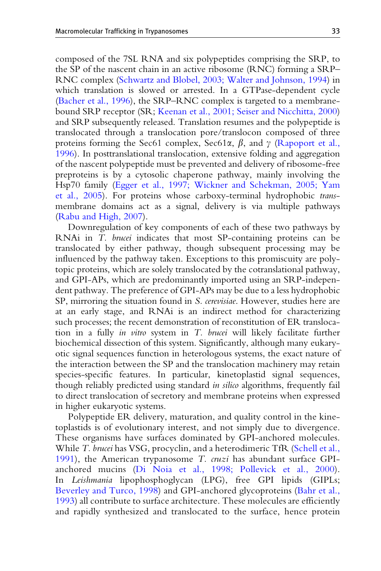composed of the 7SL RNA and six polypeptides comprising the SRP, to the SP of the nascent chain in an active ribosome (RNC) forming a SRP– RNC complex [\(Schwartz and Blobel, 2003; Walter and Johnson, 1994\)](#page-63-0) in which translation is slowed or arrested. In a GTPase-dependent cycle [\(Bacher et al., 1996\)](#page-51-0), the SRP–RNC complex is targeted to a membranebound SRP receptor (SR; [Keenan et al., 2001; Seiser and Nicchitta, 2000](#page-57-0)) and SRP subsequently released. Translation resumes and the polypeptide is translocated through a translocation pore/translocon composed of three proteins forming the Sec61 complex, Sec61 $\alpha$ ,  $\beta$ , and  $\gamma$  [\(Rapoport et al.,](#page-62-0) [1996](#page-62-0)). In posttranslational translocation, extensive folding and aggregation of the nascent polypeptide must be prevented and delivery of ribosome-free preproteins is by a cytosolic chaperone pathway, mainly involving the Hsp70 family ([Egger et al., 1997; Wickner and Schekman, 2005; Yam](#page-54-0) [et al., 2005\)](#page-54-0). For proteins whose carboxy-terminal hydrophobic transmembrane domains act as a signal, delivery is via multiple pathways [\(Rabu and High, 2007\)](#page-62-0).

Downregulation of key components of each of these two pathways by RNAi in T. brucei indicates that most SP-containing proteins can be translocated by either pathway, though subsequent processing may be influenced by the pathway taken. Exceptions to this promiscuity are polytopic proteins, which are solely translocated by the cotranslational pathway, and GPI-APs, which are predominantly imported using an SRP-independent pathway. The preference of GPI-APs may be due to a less hydrophobic SP, mirroring the situation found in S. cerevisiae. However, studies here are at an early stage, and RNAi is an indirect method for characterizing such processes; the recent demonstration of reconstitution of ER translocation in a fully in vitro system in T. brucei will likely facilitate further biochemical dissection of this system. Significantly, although many eukaryotic signal sequences function in heterologous systems, the exact nature of the interaction between the SP and the translocation machinery may retain species-specific features. In particular, kinetoplastid signal sequences, though reliably predicted using standard in silico algorithms, frequently fail to direct translocation of secretory and membrane proteins when expressed in higher eukaryotic systems.

Polypeptide ER delivery, maturation, and quality control in the kinetoplastids is of evolutionary interest, and not simply due to divergence. These organisms have surfaces dominated by GPI-anchored molecules. While T. brucei has VSG, procyclin, and a heterodimeric TfR [\(Schell et al.,](#page-63-0) [1991\)](#page-63-0), the American trypanosome T. cruzi has abundant surface GPIanchored mucins ([Di Noia et al., 1998; Pollevick et al., 2000](#page-54-0)). In Leishmania lipophosphoglycan (LPG), free GPI lipids (GIPLs; [Beverley and Turco, 1998](#page-52-0)) and GPI-anchored glycoproteins [\(Bahr et al.,](#page-51-0) [1993\)](#page-51-0) all contribute to surface architecture. These molecules are efficiently and rapidly synthesized and translocated to the surface, hence protein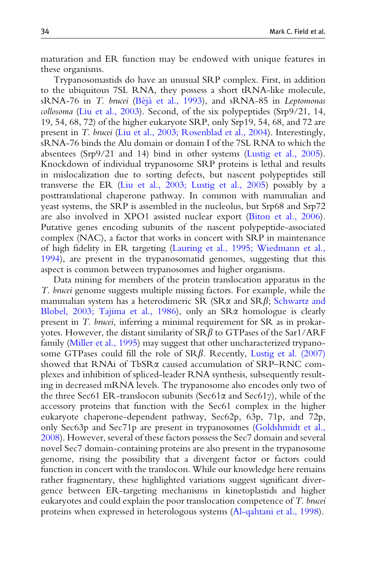maturation and ER function may be endowed with unique features in these organisms.

Trypanosomastids do have an unusual SRP complex. First, in addition to the ubiquitous 7SL RNA, they possess a short tRNA-like molecule, sRNA-76 in T. brucei (Béjà [et al., 1993](#page-52-0)), and sRNA-85 in Leptomonas collosoma ([Liu et al., 2003\)](#page-59-0). Second, of the six polypeptides (Srp9/21, 14, 19, 54, 68, 72) of the higher eukaryote SRP, only Srp19, 54, 68, and 72 are present in T. brucei ([Liu et al., 2003; Rosenblad et al., 2004](#page-59-0)). Interestingly, sRNA-76 binds the Alu domain or domain I of the 7SL RNA to which the absentees (Srp9/21 and 14) bind in other systems ([Lustig et al., 2005\)](#page-59-0). Knockdown of individual trypanosome SRP proteins is lethal and results in mislocalization due to sorting defects, but nascent polypeptides still transverse the ER [\(Liu et al., 2003; Lustig et al., 2005](#page-59-0)) possibly by a posttranslational chaperone pathway. In common with mammalian and yeast systems, the SRP is assembled in the nucleolus, but Srp68 and Srp72 are also involved in XPO1 assisted nuclear export [\(Biton et al., 2006\)](#page-52-0). Putative genes encoding subunits of the nascent polypeptide-associated complex (NAC), a factor that works in concert with SRP in maintenance of high fidelity in ER targeting ([Lauring et al., 1995; Wiedmann et al.,](#page-58-0) [1994\)](#page-58-0), are present in the trypanosomatid genomes, suggesting that this aspect is common between trypanosomes and higher organisms.

Data mining for members of the protein translocation apparatus in the T. brucei genome suggests multiple missing factors. For example, while the mammalian system has a heterodimeric SR (SR $\alpha$  and SR $\beta$ ; [Schwartz and](#page-63-0) [Blobel, 2003; Tajima et al., 1986\)](#page-63-0), only an  $SR\alpha$  homologue is clearly present in T. brucei, inferring a minimal requirement for SR as in prokaryotes. However, the distant similarity of  $SR\beta$  to GTPases of the Sar1/ARF family ([Miller et al., 1995\)](#page-60-0) may suggest that other uncharacterized trypanosome GTPases could fill the role of  $SR\beta$ . Recently, [Lustig et al. \(2007\)](#page-59-0) showed that RNAi of TbSR $\alpha$  caused accumulation of SRP–RNC complexes and inhibition of spliced-leader RNA synthesis, subsequently resulting in decreased mRNA levels. The trypanosome also encodes only two of the three Sec61 ER-translocon subunits (Sec61 $\alpha$  and Sec61 $\gamma$ ), while of the accessory proteins that function with the Sec61 complex in the higher eukaryote chaperone-dependent pathway, Sec62p, 63p, 71p, and 72p, only Sec63p and Sec71p are present in trypanosomes [\(Goldshmidt et al.,](#page-56-0) [2008\)](#page-56-0). However, several of these factors possess the Sec7 domain and several novel Sec7 domain-containing proteins are also present in the trypanosome genome, rising the possibility that a divergent factor or factors could function in concert with the translocon. While our knowledge here remains rather fragmentary, these highlighted variations suggest significant divergence between ER-targeting mechanisms in kinetoplastids and higher eukaryotes and could explain the poor translocation competence of T. brucei proteins when expressed in heterologous systems [\(Al-qahtani et al., 1998](#page-51-0)).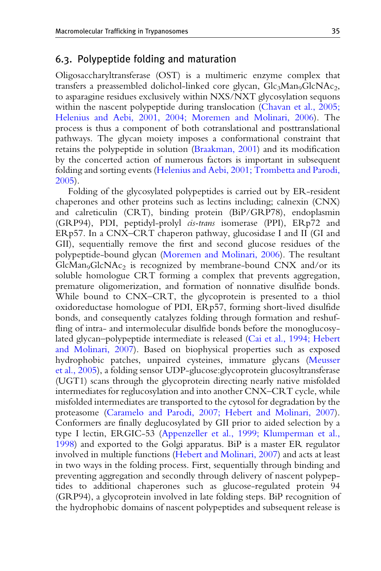# 6.3. Polypeptide folding and maturation

Oligosaccharyltransferase (OST) is a multimeric enzyme complex that transfers a preassembled dolichol-linked core glycan,  $Glc<sub>3</sub>Man<sub>9</sub>GlcNAc<sub>2</sub>$ , to asparagine residues exclusively within NXS/NXT glycosylation sequons within the nascent polypeptide during translocation [\(Chavan et al., 2005;](#page-53-0) [Helenius and Aebi, 2001, 2004; Moremen and Molinari, 2006\)](#page-53-0). The process is thus a component of both cotranslational and posttranslational pathways. The glycan moiety imposes a conformational constraint that retains the polypeptide in solution [\(Braakman, 2001](#page-52-0)) and its modification by the concerted action of numerous factors is important in subsequent folding and sorting events ([Helenius and Aebi, 2001; Trombetta and Parodi,](#page-57-0) [2005](#page-57-0)).

Folding of the glycosylated polypeptides is carried out by ER-resident chaperones and other proteins such as lectins including; calnexin (CNX) and calreticulin (CRT), binding protein (BiP/GRP78), endoplasmin (GRP94), PDI, peptidyl-prolyl cis-trans isomerase (PPI), ERp72 and ERp57. In a CNX–CRT chaperon pathway, glucosidase I and II (GI and GII), sequentially remove the first and second glucose residues of the polypeptide-bound glycan ([Moremen and Molinari, 2006](#page-60-0)). The resultant  $GlcMan<sub>9</sub>GlcNAc<sub>2</sub>$  is recognized by membrane-bound CNX and/or its soluble homologue CRT forming a complex that prevents aggregation, premature oligomerization, and formation of nonnative disulfide bonds. While bound to CNX–CRT, the glycoprotein is presented to a thiol oxidoreductase homologue of PDI, ERp57, forming short-lived disulfide bonds, and consequently catalyzes folding through formation and reshuffling of intra- and intermolecular disulfide bonds before the monoglucosylated glycan–polypeptide intermediate is released [\(Cai et al., 1994; Hebert](#page-53-0) [and Molinari, 2007](#page-53-0)). Based on biophysical properties such as exposed hydrophobic patches, unpaired cysteines, immature glycans ([Meusser](#page-60-0) [et al., 2005\)](#page-60-0), a folding sensor UDP-glucose:glycoprotein glucosyltransferase (UGT1) scans through the glycoprotein directing nearly native misfolded intermediates for reglucosylation and into another CNX–CRT cycle, while misfolded intermediates are transported to the cytosol for degradation by the proteasome [\(Caramelo and Parodi, 2007; Hebert and Molinari, 2007](#page-53-0)). Conformers are finally deglucosylated by GII prior to aided selection by a type I lectin, ERGIC-53 [\(Appenzeller et al., 1999; Klumperman et al.,](#page-51-0) [1998](#page-51-0)) and exported to the Golgi apparatus. BiP is a master ER regulator involved in multiple functions ([Hebert and Molinari, 2007\)](#page-57-0) and acts at least in two ways in the folding process. First, sequentially through binding and preventing aggregation and secondly through delivery of nascent polypeptides to additional chaperones such as glucose-regulated protein 94 (GRP94), a glycoprotein involved in late folding steps. BiP recognition of the hydrophobic domains of nascent polypeptides and subsequent release is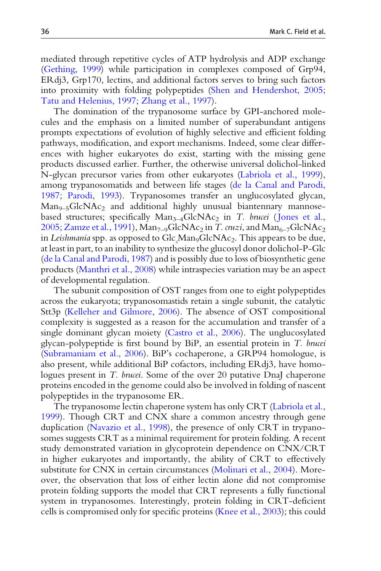mediated through repetitive cycles of ATP hydrolysis and ADP exchange ([Gething, 1999](#page-55-0)) while participation in complexes composed of Grp94, ERdj3, Grp170, lectins, and additional factors serves to bring such factors into proximity with folding polypeptides [\(Shen and Hendershot, 2005;](#page-63-0) [Tatu and Helenius, 1997; Zhang et al., 1997\)](#page-63-0).

The domination of the trypanosome surface by GPI-anchored molecules and the emphasis on a limited number of superabundant antigens prompts expectations of evolution of highly selective and efficient folding pathways, modification, and export mechanisms. Indeed, some clear differences with higher eukaryotes do exist, starting with the missing gene products discussed earlier. Further, the otherwise universal dolichol-linked N-glycan precursor varies from other eukaryotes [\(Labriola et al., 1999\)](#page-58-0), among trypanosomatids and between life stages ([de la Canal and Parodi,](#page-54-0) [1987; Parodi, 1993](#page-54-0)). Trypanosomes transfer an unglucosylated glycan,  $Man_{9-5}GlcNAc_2$  and additional highly unusual biantennary mannosebased structures; specifically  $Man_{3-4}GlcNAc_2$  in T. brucei ([Jones et al.,](#page-57-0) [2005; Zamze et al., 1991\)](#page-57-0), Man<sub>7–9</sub>GlcNAc<sub>2</sub> in *T. cruzi*, and Man<sub>6–7</sub>GlcNAc<sub>2</sub> in Leishmania spp. as opposed to Glc<sub>3</sub>Man<sub>9</sub>GlcNAc<sub>2</sub>. This appears to be due, at least in part, to an inability to synthesize the glucosyl donor dolichol-P-Glc ([de la Canal and Parodi, 1987](#page-54-0)) and is possibly due to loss of biosynthetic gene products [\(Manthri et al., 2008\)](#page-59-0) while intraspecies variation may be an aspect of developmental regulation.

The subunit composition of OST ranges from one to eight polypeptides across the eukaryota; trypanosomastids retain a single subunit, the catalytic Stt3p [\(Kelleher and Gilmore, 2006\)](#page-57-0). The absence of OST compositional complexity is suggested as a reason for the accumulation and transfer of a single dominant glycan moiety [\(Castro et al., 2006\)](#page-53-0). The unglucosylated glycan-polypeptide is first bound by BiP, an essential protein in T. brucei ([Subramaniam et al., 2006\)](#page-64-0). BiP's cochaperone, a GRP94 homologue, is also present, while additional BiP cofactors, including ERdj3, have homologues present in T. brucei. Some of the over 20 putative DnaJ chaperone proteins encoded in the genome could also be involved in folding of nascent polypeptides in the trypanosome ER.

The trypanosome lectin chaperone system has only CRT [\(Labriola et al.,](#page-58-0) [1999\)](#page-58-0). Though CRT and CNX share a common ancestry through gene duplication ([Navazio et al., 1998\)](#page-60-0), the presence of only CRT in trypanosomes suggests CRT as a minimal requirement for protein folding. A recent study demonstrated variation in glycoprotein dependence on CNX/CRT in higher eukaryotes and importantly, the ability of CRT to effectively substitute for CNX in certain circumstances ([Molinari et al., 2004](#page-60-0)). Moreover, the observation that loss of either lectin alone did not compromise protein folding supports the model that CRT represents a fully functional system in trypanosomes. Interestingly, protein folding in CRT-deficient cells is compromised only for specific proteins ([Knee et al., 2003](#page-58-0)); this could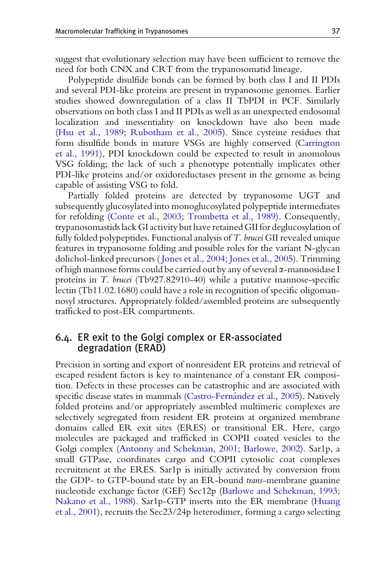suggest that evolutionary selection may have been sufficient to remove the need for both CNX and CRT from the trypanosomatid lineage.

Polypeptide disulfide bonds can be formed by both class I and II PDIs and several PDI-like proteins are present in trypanosome genomes. Earlier studies showed downregulation of a class II TbPDI in PCF. Similarly observations on both class I and II PDIs as well as an unexpected endosomal localization and inessentiality on knockdown have also been made [\(Hsu et al., 1989; Rubotham et al., 2005\)](#page-57-0). Since cysteine residues that form disulfide bonds in mature VSGs are highly conserved ([Carrington](#page-53-0) [et al., 1991\)](#page-53-0), PDI knockdown could be expected to result in anomolous VSG folding; the lack of such a phenotype potentially implicates other PDI-like proteins and/or oxidoreductases present in the genome as being capable of assisting VSG to fold.

Partially folded proteins are detected by trypanosome UGT and subsequently glucosylated into monoglucosylated polypeptide intermediates for refolding ([Conte et al., 2003; Trombetta et al., 1989\)](#page-53-0). Consequently, trypanosomastids lack GI activity but have retained GII for deglucosylation of fully folded polypeptides. Functional analysis of  $T$ . brucei GII revealed unique features in trypanosome folding and possible roles for the variant N-glycan dolichol-linked precursors ( [Jones et al., 2004; Jones et al., 2005](#page-57-0)). Trimming of high mannose forms could be carried out by any of several  $\alpha$ -mannosidase I proteins in T. brucei (Tb927.82910-40) while a putative mannose-specific lectin (Tb11.02.1680) could have a role in recognition of specific oligomannosyl structures. Appropriately folded/assembled proteins are subsequently trafficked to post-ER compartments.

### 6.4. ER exit to the Golgi complex or ER-associated degradation (ERAD)

Precision in sorting and export of nonresident ER proteins and retrieval of escaped resident factors is key to maintenance of a constant ER composition. Defects in these processes can be catastrophic and are associated with specific disease states in mammals (Castro-Fernández et al., 2005). Natively folded proteins and/or appropriately assembled multimeric complexes are selectively segregated from resident ER proteins at organized membrane domains called ER exit sites (ERES) or transitional ER. Here, cargo molecules are packaged and trafficked in COPII coated vesicles to the Golgi complex [\(Antonny and Schekman, 2001; Barlowe, 2002](#page-51-0)). Sar1p, a small GTPase, coordinates cargo and COPII cytosolic coat complexes recruitment at the ERES. Sar1p is initially activated by conversion from the GDP- to GTP-bound state by an ER-bound trans-membrane guanine nucleotide exchange factor (GEF) Sec12p ([Barlowe and Schekman, 1993;](#page-52-0) [Nakano et al., 1988\)](#page-52-0). Sar1p-GTP inserts into the ER membrane [\(Huang](#page-57-0) [et al., 2001](#page-57-0)), recruits the Sec23/24p heterodimer, forming a cargo selecting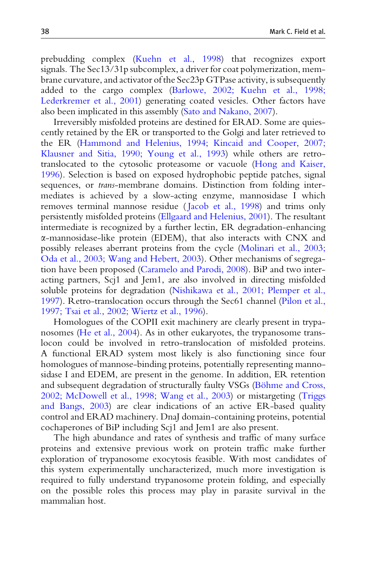prebudding complex ([Kuehn et al., 1998\)](#page-58-0) that recognizes export signals. The Sec13/31p subcomplex, a driver for coat polymerization, membrane curvature, and activator of the Sec23p GTPase activity, is subsequently added to the cargo complex ([Barlowe, 2002; Kuehn et al., 1998;](#page-52-0) [Lederkremer et al., 2001](#page-52-0)) generating coated vesicles. Other factors have also been implicated in this assembly [\(Sato and Nakano, 2007\)](#page-63-0).

Irreversibly misfolded proteins are destined for ERAD. Some are quiescently retained by the ER or transported to the Golgi and later retrieved to the ER [\(Hammond and Helenius, 1994; Kincaid and Cooper, 2007;](#page-56-0) [Klausner and Sitia, 1990; Young et al., 1993\)](#page-56-0) while others are retrotranslocated to the cytosolic proteasome or vacuole ([Hong and Kaiser,](#page-57-0) [1996\)](#page-57-0). Selection is based on exposed hydrophobic peptide patches, signal sequences, or trans-membrane domains. Distinction from folding intermediates is achieved by a slow-acting enzyme, mannosidase I which removes terminal mannose residue ([Jacob et al., 1998](#page-57-0)) and trims only persistently misfolded proteins [\(Ellgaard and Helenius, 2001](#page-54-0)). The resultant intermediate is recognized by a further lectin, ER degradation-enhancing a-mannosidase-like protein (EDEM), that also interacts with CNX and possibly releases aberrant proteins from the cycle ([Molinari et al., 2003;](#page-60-0) [Oda et al., 2003; Wang and Hebert, 2003](#page-60-0)). Other mechanisms of segregation have been proposed [\(Caramelo and Parodi, 2008](#page-53-0)). BiP and two interacting partners, Scj1 and Jem1, are also involved in directing misfolded soluble proteins for degradation [\(Nishikawa et al., 2001; Plemper et al.,](#page-61-0) [1997\)](#page-61-0). Retro-translocation occurs through the Sec61 channel [\(Pilon et al.,](#page-61-0) [1997; Tsai et al., 2002; Wiertz et al., 1996\)](#page-61-0).

Homologues of the COPII exit machinery are clearly present in trypanosomes [\(He et al., 2004](#page-56-0)). As in other eukaryotes, the trypanosome translocon could be involved in retro-translocation of misfolded proteins. A functional ERAD system most likely is also functioning since four homologues of mannose-binding proteins, potentially representing mannosidase I and EDEM, are present in the genome. In addition, ER retention and subsequent degradation of structurally faulty VSGs (Böhme and Cross, [2002; McDowell et al., 1998; Wang et al., 2003](#page-52-0)) or mistargeting ([Triggs](#page-64-0) [and Bangs, 2003](#page-64-0)) are clear indications of an active ER-based quality control and ERAD machinery. DnaJ domain-containing proteins, potential cochaperones of BiP including Scj1 and Jem1 are also present.

The high abundance and rates of synthesis and traffic of many surface proteins and extensive previous work on protein traffic make further exploration of trypanosome exocytosis feasible. With most candidates of this system experimentally uncharacterized, much more investigation is required to fully understand trypanosome protein folding, and especially on the possible roles this process may play in parasite survival in the mammalian host.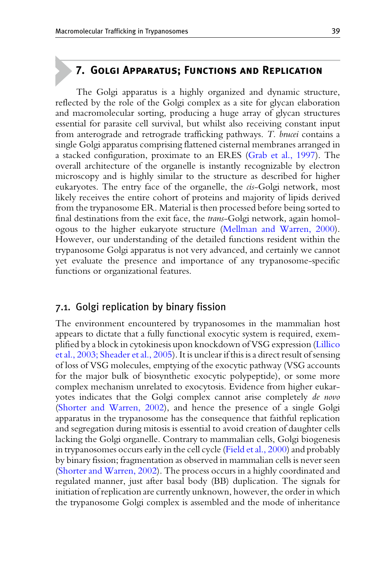# 7. Golgi Apparatus; Functions and Replication

The Golgi apparatus is a highly organized and dynamic structure, reflected by the role of the Golgi complex as a site for glycan elaboration and macromolecular sorting, producing a huge array of glycan structures essential for parasite cell survival, but whilst also receiving constant input from anterograde and retrograde trafficking pathways. T. brucei contains a single Golgi apparatus comprising flattened cisternal membranes arranged in a stacked configuration, proximate to an ERES [\(Grab et al., 1997](#page-56-0)). The overall architecture of the organelle is instantly recognizable by electron microscopy and is highly similar to the structure as described for higher eukaryotes. The entry face of the organelle, the *cis*-Golgi network, most likely receives the entire cohort of proteins and majority of lipids derived from the trypanosome ER. Material is then processed before being sorted to final destinations from the exit face, the *trans*-Golgi network, again homologous to the higher eukaryote structure ([Mellman and Warren, 2000](#page-59-0)). However, our understanding of the detailed functions resident within the trypanosome Golgi apparatus is not very advanced, and certainly we cannot yet evaluate the presence and importance of any trypanosome-specific functions or organizational features.

#### 7.1. Golgi replication by binary fission

The environment encountered by trypanosomes in the mammalian host appears to dictate that a fully functional exocytic system is required, exemplified by a block in cytokinesis upon knockdown of VSG expression [\(Lillico](#page-58-0) [et al., 2003; Sheader et al., 2005](#page-58-0)). It is unclear if this is a direct result of sensing of loss of VSG molecules, emptying of the exocytic pathway (VSG accounts for the major bulk of biosynthetic exocytic polypeptide), or some more complex mechanism unrelated to exocytosis. Evidence from higher eukaryotes indicates that the Golgi complex cannot arise completely *de novo* [\(Shorter and Warren, 2002\)](#page-64-0), and hence the presence of a single Golgi apparatus in the trypanosome has the consequence that faithful replication and segregation during mitosis is essential to avoid creation of daughter cells lacking the Golgi organelle. Contrary to mammalian cells, Golgi biogenesis in trypanosomes occurs early in the cell cycle ([Field et al., 2000](#page-55-0)) and probably by binary fission; fragmentation as observed in mammalian cells is never seen [\(Shorter and Warren, 2002\)](#page-64-0). The process occurs in a highly coordinated and regulated manner, just after basal body (BB) duplication. The signals for initiation of replication are currently unknown, however, the order in which the trypanosome Golgi complex is assembled and the mode of inheritance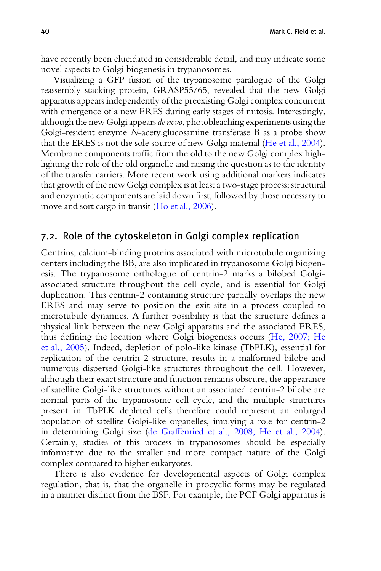have recently been elucidated in considerable detail, and may indicate some novel aspects to Golgi biogenesis in trypanosomes.

Visualizing a GFP fusion of the trypanosome paralogue of the Golgi reassembly stacking protein, GRASP55/65, revealed that the new Golgi apparatus appears independently of the preexisting Golgi complex concurrent with emergence of a new ERES during early stages of mitosis. Interestingly, although the new Golgi appears de novo, photobleaching experiments using the Golgi-resident enzyme N-acetylglucosamine transferase B as a probe show that the ERES is not the sole source of new Golgi material [\(He et al., 2004](#page-56-0)). Membrane components traffic from the old to the new Golgi complex highlighting the role of the old organelle and raising the question as to the identity of the transfer carriers. More recent work using additional markers indicates that growth of the new Golgi complex is at least a two-stage process; structural and enzymatic components are laid down first, followed by those necessary to move and sort cargo in transit ([Ho et al., 2006\)](#page-57-0).

#### 7.2. Role of the cytoskeleton in Golgi complex replication

Centrins, calcium-binding proteins associated with microtubule organizing centers including the BB, are also implicated in trypanosome Golgi biogenesis. The trypanosome orthologue of centrin-2 marks a bilobed Golgiassociated structure throughout the cell cycle, and is essential for Golgi duplication. This centrin-2 containing structure partially overlaps the new ERES and may serve to position the exit site in a process coupled to microtubule dynamics. A further possibility is that the structure defines a physical link between the new Golgi apparatus and the associated ERES, thus defining the location where Golgi biogenesis occurs ([He, 2007; He](#page-56-0) [et al., 2005\)](#page-56-0). Indeed, depletion of polo-like kinase (TbPLK), essential for replication of the centrin-2 structure, results in a malformed bilobe and numerous dispersed Golgi-like structures throughout the cell. However, although their exact structure and function remains obscure, the appearance of satellite Golgi-like structures without an associated centrin-2 bilobe are normal parts of the trypanosome cell cycle, and the multiple structures present in TbPLK depleted cells therefore could represent an enlarged population of satellite Golgi-like organelles, implying a role for centrin-2 in determining Golgi size ([de Graffenried et al., 2008; He et al., 2004](#page-54-0)). Certainly, studies of this process in trypanosomes should be especially informative due to the smaller and more compact nature of the Golgi complex compared to higher eukaryotes.

There is also evidence for developmental aspects of Golgi complex regulation, that is, that the organelle in procyclic forms may be regulated in a manner distinct from the BSF. For example, the PCF Golgi apparatus is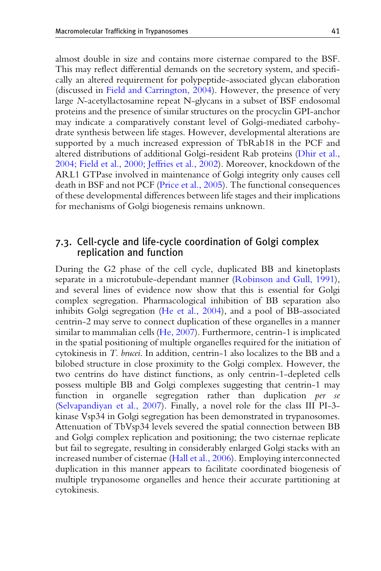almost double in size and contains more cisternae compared to the BSF. This may reflect differential demands on the secretory system, and specifically an altered requirement for polypeptide-associated glycan elaboration (discussed in [Field and Carrington, 2004\)](#page-55-0). However, the presence of very large N-acetyllactosamine repeat N-glycans in a subset of BSF endosomal proteins and the presence of similar structures on the procyclin GPI-anchor may indicate a comparatively constant level of Golgi-mediated carbohydrate synthesis between life stages. However, developmental alterations are supported by a much increased expression of TbRab18 in the PCF and altered distributions of additional Golgi-resident Rab proteins ([Dhir et al.,](#page-54-0) [2004; Field et al., 2000; Jeffries et al., 2002](#page-54-0)). Moreover, knockdown of the ARL1 GTPase involved in maintenance of Golgi integrity only causes cell death in BSF and not PCF ([Price et al., 2005](#page-62-0)). The functional consequences of these developmental differences between life stages and their implications for mechanisms of Golgi biogenesis remains unknown.

#### 7.3. Cell-cycle and life-cycle coordination of Golgi complex replication and function

During the G2 phase of the cell cycle, duplicated BB and kinetoplasts separate in a microtubule-dependant manner [\(Robinson and Gull, 1991](#page-62-0)), and several lines of evidence now show that this is essential for Golgi complex segregation. Pharmacological inhibition of BB separation also inhibits Golgi segregation [\(He et al., 2004\)](#page-56-0), and a pool of BB-associated centrin-2 may serve to connect duplication of these organelles in a manner similar to mammalian cells ([He, 2007\)](#page-56-0). Furthermore, centrin-1 is implicated in the spatial positioning of multiple organelles required for the initiation of cytokinesis in T. brucei. In addition, centrin-1 also localizes to the BB and a bilobed structure in close proximity to the Golgi complex. However, the two centrins do have distinct functions, as only centrin-1-depleted cells possess multiple BB and Golgi complexes suggesting that centrin-1 may function in organelle segregation rather than duplication per se [\(Selvapandiyan et al., 2007\)](#page-63-0). Finally, a novel role for the class III PI-3 kinase Vsp34 in Golgi segregation has been demonstrated in trypanosomes. Attenuation of TbVsp34 levels severed the spatial connection between BB and Golgi complex replication and positioning; the two cisternae replicate but fail to segregate, resulting in considerably enlarged Golgi stacks with an increased number of cisternae ([Hall et al., 2006](#page-56-0)). Employing interconnected duplication in this manner appears to facilitate coordinated biogenesis of multiple trypanosome organelles and hence their accurate partitioning at cytokinesis.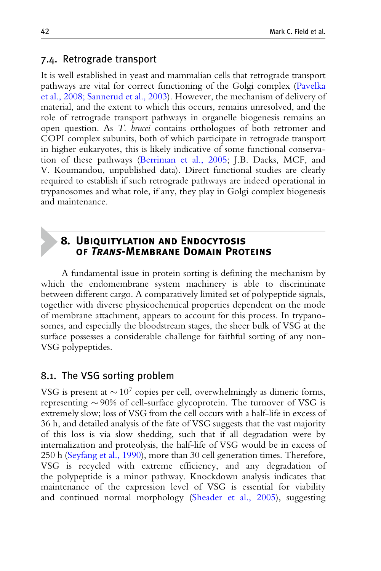#### 7.4. Retrograde transport

It is well established in yeast and mammalian cells that retrograde transport pathways are vital for correct functioning of the Golgi complex [\(Pavelka](#page-61-0) [et al., 2008; Sannerud et al., 2003](#page-61-0)). However, the mechanism of delivery of material, and the extent to which this occurs, remains unresolved, and the role of retrograde transport pathways in organelle biogenesis remains an open question. As T. brucei contains orthologues of both retromer and COPI complex subunits, both of which participate in retrograde transport in higher eukaryotes, this is likely indicative of some functional conservation of these pathways ([Berriman et al., 2005;](#page-52-0) J.B. Dacks, MCF, and V. Koumandou, unpublished data). Direct functional studies are clearly required to establish if such retrograde pathways are indeed operational in trypanosomes and what role, if any, they play in Golgi complex biogenesis and maintenance.

# 8. Ubiquitylation and Endocytosis of Trans-Membrane Domain Proteins

A fundamental issue in protein sorting is defining the mechanism by which the endomembrane system machinery is able to discriminate between different cargo. A comparatively limited set of polypeptide signals, together with diverse physicochemical properties dependent on the mode of membrane attachment, appears to account for this process. In trypanosomes, and especially the bloodstream stages, the sheer bulk of VSG at the surface possesses a considerable challenge for faithful sorting of any non-VSG polypeptides.

#### 8.1. The VSG sorting problem

VSG is present at  $\sim 10^7$  copies per cell, overwhelmingly as dimeric forms, representing  $\sim$  90% of cell-surface glycoprotein. The turnover of VSG is extremely slow; loss of VSG from the cell occurs with a half-life in excess of 36 h, and detailed analysis of the fate of VSG suggests that the vast majority of this loss is via slow shedding, such that if all degradation were by internalization and proteolysis, the half-life of VSG would be in excess of 250 h ([Seyfang et al., 1990\)](#page-63-0), more than 30 cell generation times. Therefore, VSG is recycled with extreme efficiency, and any degradation of the polypeptide is a minor pathway. Knockdown analysis indicates that maintenance of the expression level of VSG is essential for viability and continued normal morphology ([Sheader et al., 2005\)](#page-63-0), suggesting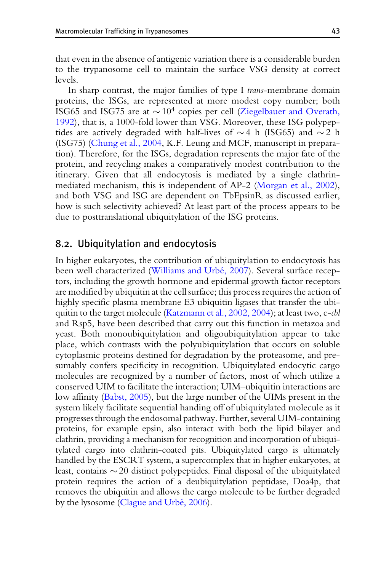that even in the absence of antigenic variation there is a considerable burden to the trypanosome cell to maintain the surface VSG density at correct levels.

In sharp contrast, the major families of type I trans-membrane domain proteins, the ISGs, are represented at more modest copy number; both ISG65 and ISG75 are at  $\sim 10^4$  copies per cell [\(Ziegelbauer and Overath,](#page-66-0) [1992](#page-66-0)), that is, a 1000-fold lower than VSG. Moreover, these ISG polypeptides are actively degraded with half-lives of  $\sim$  4 h (ISG65) and  $\sim$  2 h (ISG75) [\(Chung et al., 2004,](#page-53-0) K.F. Leung and MCF, manuscript in preparation). Therefore, for the ISGs, degradation represents the major fate of the protein, and recycling makes a comparatively modest contribution to the itinerary. Given that all endocytosis is mediated by a single clathrinmediated mechanism, this is independent of AP-2 [\(Morgan et al., 2002](#page-60-0)), and both VSG and ISG are dependent on TbEpsinR as discussed earlier, how is such selectivity achieved? At least part of the process appears to be due to posttranslational ubiquitylation of the ISG proteins.

# 8.2. Ubiquitylation and endocytosis

In higher eukaryotes, the contribution of ubiquitylation to endocytosis has been well characterized (Williams and Urbé, 2007). Several surface receptors, including the growth hormone and epidermal growth factor receptors are modified by ubiquitin at the cell surface; this process requires the action of highly specific plasma membrane E3 ubiquitin ligases that transfer the ubi-quitin to the target molecule [\(Katzmann et al., 2002, 2004\)](#page-57-0); at least two, c-cbl and Rsp5, have been described that carry out this function in metazoa and yeast. Both monoubiquitylation and oligoubiquitylation appear to take place, which contrasts with the polyubiquitylation that occurs on soluble cytoplasmic proteins destined for degradation by the proteasome, and presumably confers specificity in recognition. Ubiquitylated endocytic cargo molecules are recognized by a number of factors, most of which utilize a conserved UIM to facilitate the interaction; UIM–ubiquitin interactions are low affinity ([Babst, 2005](#page-51-0)), but the large number of the UIMs present in the system likely facilitate sequential handing off of ubiquitylated molecule as it progresses through the endosomal pathway. Further, several UIM-containing proteins, for example epsin, also interact with both the lipid bilayer and clathrin, providing a mechanism for recognition and incorporation of ubiquitylated cargo into clathrin-coated pits. Ubiquitylated cargo is ultimately handled by the ESCRT system, a supercomplex that in higher eukaryotes, at least, contains  $\sim$  20 distinct polypeptides. Final disposal of the ubiquitylated protein requires the action of a deubiquitylation peptidase, Doa4p, that removes the ubiquitin and allows the cargo molecule to be further degraded by the lysosome (Clague and Urbé, 2006).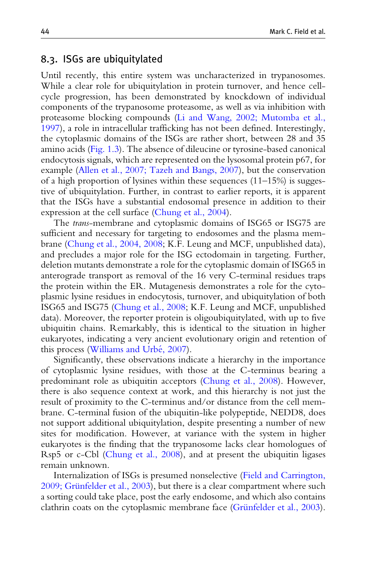#### 8.3. ISGs are ubiquitylated

Until recently, this entire system was uncharacterized in trypanosomes. While a clear role for ubiquitylation in protein turnover, and hence cellcycle progression, has been demonstrated by knockdown of individual components of the trypanosome proteasome, as well as via inhibition with proteasome blocking compounds ([Li and Wang, 2002; Mutomba et al.,](#page-58-0) [1997\)](#page-58-0), a role in intracellular trafficking has not been defined. Interestingly, the cytoplasmic domains of the ISGs are rather short, between 28 and 35 amino acids [\(Fig. 1.3\)](#page-16-0). The absence of dileucine or tyrosine-based canonical endocytosis signals, which are represented on the lysosomal protein p67, for example ([Allen et al., 2007; Tazeh and Bangs, 2007\)](#page-51-0), but the conservation of a high proportion of lysines within these sequences  $(11-15%)$  is suggestive of ubiquitylation. Further, in contrast to earlier reports, it is apparent that the ISGs have a substantial endosomal presence in addition to their expression at the cell surface [\(Chung et al., 2004\)](#page-53-0).

The trans-membrane and cytoplasmic domains of ISG65 or ISG75 are sufficient and necessary for targeting to endosomes and the plasma membrane [\(Chung et al., 2004, 2008;](#page-53-0) K.F. Leung and MCF, unpublished data), and precludes a major role for the ISG ectodomain in targeting. Further, deletion mutants demonstrate a role for the cytoplasmic domain of ISG65 in anterograde transport as removal of the 16 very C-terminal residues traps the protein within the ER. Mutagenesis demonstrates a role for the cytoplasmic lysine residues in endocytosis, turnover, and ubiquitylation of both ISG65 and ISG75 [\(Chung et al., 2008](#page-53-0); K.F. Leung and MCF, unpublished data). Moreover, the reporter protein is oligoubiquitylated, with up to five ubiquitin chains. Remarkably, this is identical to the situation in higher eukaryotes, indicating a very ancient evolutionary origin and retention of this process (Williams and Urbé,  $2007$ ).

Significantly, these observations indicate a hierarchy in the importance of cytoplasmic lysine residues, with those at the C-terminus bearing a predominant role as ubiquitin acceptors [\(Chung et al., 2008](#page-53-0)). However, there is also sequence context at work, and this hierarchy is not just the result of proximity to the C-terminus and/or distance from the cell membrane. C-terminal fusion of the ubiquitin-like polypeptide, NEDD8, does not support additional ubiquitylation, despite presenting a number of new sites for modification. However, at variance with the system in higher eukaryotes is the finding that the trypanosome lacks clear homologues of Rsp5 or c-Cbl [\(Chung et al., 2008](#page-53-0)), and at present the ubiquitin ligases remain unknown.

Internalization of ISGs is presumed nonselective [\(Field and Carrington,](#page-55-0)  $2009$ ; Grünfelder et al.,  $2003$ ), but there is a clear compartment where such a sorting could take place, post the early endosome, and which also contains clathrin coats on the cytoplasmic membrane face (Grünfelder et al., 2003).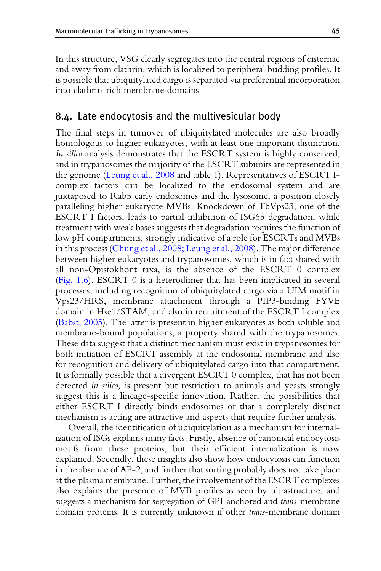In this structure, VSG clearly segregates into the central regions of cisternae and away from clathrin, which is localized to peripheral budding profiles. It is possible that ubiquitylated cargo is separated via preferential incorporation into clathrin-rich membrane domains.

#### 8.4. Late endocytosis and the multivesicular body

The final steps in turnover of ubiquitylated molecules are also broadly homologous to higher eukaryotes, with at least one important distinction. In silico analysis demonstrates that the ESCRT system is highly conserved, and in trypanosomes the majority of the ESCRT subunits are represented in the genome [\(Leung et al., 2008](#page-58-0) and table 1). Representatives of ESCRT Icomplex factors can be localized to the endosomal system and are juxtaposed to Rab5 early endosomes and the lysosome, a position closely paralleling higher eukaryote MVBs. Knockdown of TbVps23, one of the ESCRT I factors, leads to partial inhibition of ISG65 degradation, while treatment with weak bases suggests that degradation requires the function of low pH compartments, strongly indicative of a role for ESCRTs and MVBs in this process [\(Chung et al., 2008; Leung et al., 2008](#page-53-0)). The major difference between higher eukaryotes and trypanosomes, which is in fact shared with all non-Opistokhont taxa, is the absence of the ESCRT 0 complex [\(Fig. 1.6](#page-45-0)). ESCRT 0 is a heterodimer that has been implicated in several processes, including recognition of ubiquitylated cargo via a UIM motif in Vps23/HRS, membrane attachment through a PIP3-binding FYVE domain in Hse1/STAM, and also in recruitment of the ESCRT I complex [\(Babst, 2005](#page-51-0)). The latter is present in higher eukaryotes as both soluble and membrane-bound populations, a property shared with the trypanosomes. These data suggest that a distinct mechanism must exist in trypanosomes for both initiation of ESCRT assembly at the endosomal membrane and also for recognition and delivery of ubiquitylated cargo into that compartment. It is formally possible that a divergent ESCRT 0 complex, that has not been detected *in silico*, is present but restriction to animals and yeasts strongly suggest this is a lineage-specific innovation. Rather, the possibilities that either ESCRT I directly binds endosomes or that a completely distinct mechanism is acting are attractive and aspects that require further analysis.

Overall, the identification of ubiquitylation as a mechanism for internalization of ISGs explains many facts. Firstly, absence of canonical endocytosis motifs from these proteins, but their efficient internalization is now explained. Secondly, these insights also show how endocytosis can function in the absence of AP-2, and further that sorting probably does not take place at the plasma membrane. Further, the involvement of the ESCRT complexes also explains the presence of MVB profiles as seen by ultrastructure, and suggests a mechanism for segregation of GPI-anchored and *trans*-membrane domain proteins. It is currently unknown if other trans-membrane domain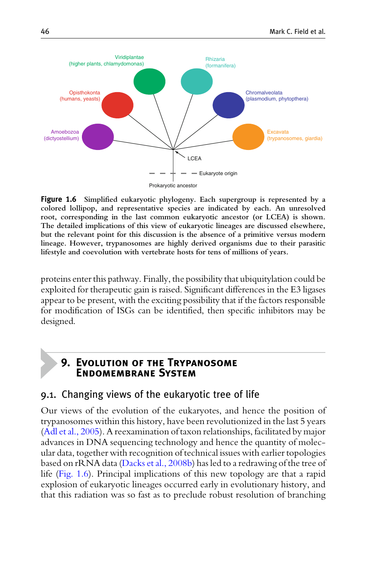<span id="page-45-0"></span>

Figure <sup>1</sup>.<sup>6</sup> Simplified eukaryotic phylogeny. Each supergroup is represented by a colored lollipop, and representative species are indicated by each. An unresolved root, corresponding in the last common eukaryotic ancestor (or LCEA) is shown. The detailed implications of this view of eukaryotic lineages are discussed elsewhere, but the relevant point for this discussion is the absence of a primitive versus modern lineage. However, trypanosomes are highly derived organisms due to their parasitic lifestyle and coevolution with vertebrate hosts for tens of millions of years.

proteins enter this pathway. Finally, the possibility that ubiquitylation could be exploited for therapeutic gain is raised. Significant differences in the E3 ligases appear to be present, with the exciting possibility that if the factors responsible for modification of ISGs can be identified, then specific inhibitors may be designed.

# 9. Evolution of the Trypanosome ENDOMEMBRANE SYSTEM

# 9.1. Changing views of the eukaryotic tree of life

Our views of the evolution of the eukaryotes, and hence the position of trypanosomes within this history, have been revolutionized in the last 5 years ([Adl et al., 2005\)](#page-51-0). A reexamination of taxon relationships, facilitated by major advances in DNA sequencing technology and hence the quantity of molecular data, together with recognition of technical issues with earlier topologies based on rRNA data [\(Dacks et al., 2008b\)](#page-54-0) has led to a redrawing of the tree of life (Fig. 1.6). Principal implications of this new topology are that a rapid explosion of eukaryotic lineages occurred early in evolutionary history, and that this radiation was so fast as to preclude robust resolution of branching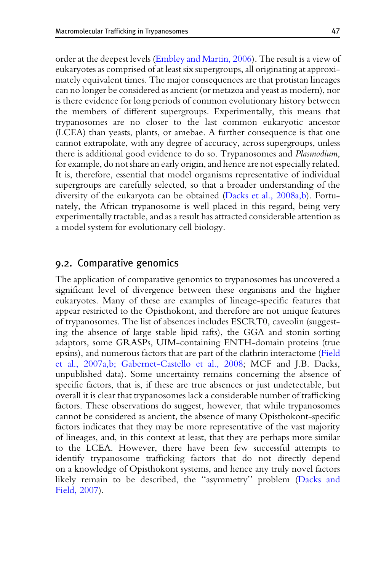order at the deepest levels [\(Embley and Martin, 2006](#page-54-0)). The result is a view of eukaryotes as comprised of at least six supergroups, all originating at approximately equivalent times. The major consequences are that protistan lineages can no longer be considered as ancient (or metazoa and yeast as modern), nor is there evidence for long periods of common evolutionary history between the members of different supergroups. Experimentally, this means that trypanosomes are no closer to the last common eukaryotic ancestor (LCEA) than yeasts, plants, or amebae. A further consequence is that one cannot extrapolate, with any degree of accuracy, across supergroups, unless there is additional good evidence to do so. Trypanosomes and Plasmodium, for example, do not share an early origin, and hence are not especially related. It is, therefore, essential that model organisms representative of individual supergroups are carefully selected, so that a broader understanding of the diversity of the eukaryota can be obtained [\(Dacks et al., 2008a,b](#page-54-0)). Fortunately, the African trypanosome is well placed in this regard, being very experimentally tractable, and as a result has attracted considerable attention as a model system for evolutionary cell biology.

# 9.2. Comparative genomics

The application of comparative genomics to trypanosomes has uncovered a significant level of divergence between these organisms and the higher eukaryotes. Many of these are examples of lineage-specific features that appear restricted to the Opisthokont, and therefore are not unique features of trypanosomes. The list of absences includes ESCRT0, caveolin (suggesting the absence of large stable lipid rafts), the GGA and stonin sorting adaptors, some GRASPs, UIM-containing ENTH-domain proteins (true epsins), and numerous factors that are part of the clathrin interactome ([Field](#page-55-0) [et al., 2007a,b; Gabernet-Castello et al., 2008;](#page-55-0) MCF and J.B. Dacks, unpublished data). Some uncertainty remains concerning the absence of specific factors, that is, if these are true absences or just undetectable, but overall it is clear that trypanosomes lack a considerable number of trafficking factors. These observations do suggest, however, that while trypanosomes cannot be considered as ancient, the absence of many Opisthokont-specific factors indicates that they may be more representative of the vast majority of lineages, and, in this context at least, that they are perhaps more similar to the LCEA. However, there have been few successful attempts to identify trypanosome trafficking factors that do not directly depend on a knowledge of Opisthokont systems, and hence any truly novel factors likely remain to be described, the ''asymmetry'' problem ([Dacks and](#page-54-0) [Field, 2007\)](#page-54-0).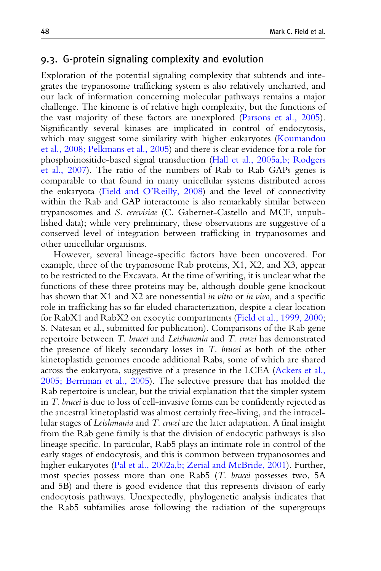# 9.3. G-protein signaling complexity and evolution

Exploration of the potential signaling complexity that subtends and integrates the trypanosome trafficking system is also relatively uncharted, and our lack of information concerning molecular pathways remains a major challenge. The kinome is of relative high complexity, but the functions of the vast majority of these factors are unexplored [\(Parsons et al., 2005\)](#page-61-0). Significantly several kinases are implicated in control of endocytosis, which may suggest some similarity with higher eukaryotes ([Koumandou](#page-58-0) [et al., 2008; Pelkmans et al., 2005\)](#page-58-0) and there is clear evidence for a role for phosphoinositide-based signal transduction [\(Hall et al., 2005a,b; Rodgers](#page-56-0) [et al., 2007](#page-56-0)). The ratio of the numbers of Rab to Rab GAPs genes is comparable to that found in many unicellular systems distributed across the eukaryota [\(Field and O'Reilly, 2008\)](#page-55-0) and the level of connectivity within the Rab and GAP interactome is also remarkably similar between trypanosomes and S. cerevisiae (C. Gabernet-Castello and MCF, unpublished data); while very preliminary, these observations are suggestive of a conserved level of integration between trafficking in trypanosomes and other unicellular organisms.

However, several lineage-specific factors have been uncovered. For example, three of the trypanosome Rab proteins, X1, X2, and X3, appear to be restricted to the Excavata. At the time of writing, it is unclear what the functions of these three proteins may be, although double gene knockout has shown that X1 and X2 are nonessential *in vitro* or *in vivo*, and a specific role in trafficking has so far eluded characterization, despite a clear location for RabX1 and RabX2 on exocytic compartments [\(Field et al., 1999, 2000](#page-55-0); S. Natesan et al., submitted for publication). Comparisons of the Rab gene repertoire between T. brucei and Leishmania and T. cruzi has demonstrated the presence of likely secondary losses in T. brucei as both of the other kinetoplastida genomes encode additional Rabs, some of which are shared across the eukaryota, suggestive of a presence in the LCEA [\(Ackers et al.,](#page-51-0) [2005; Berriman et al., 2005\)](#page-51-0). The selective pressure that has molded the Rab repertoire is unclear, but the trivial explanation that the simpler system in T. brucei is due to loss of cell-invasive forms can be confidently rejected as the ancestral kinetoplastid was almost certainly free-living, and the intracellular stages of Leishmania and T. cruzi are the later adaptation. A final insight from the Rab gene family is that the division of endocytic pathways is also lineage specific. In particular, Rab5 plays an intimate role in control of the early stages of endocytosis, and this is common between trypanosomes and higher eukaryotes [\(Pal et al., 2002a,b; Zerial and McBride, 2001\)](#page-61-0). Further, most species possess more than one Rab5 (T. brucei possesses two, 5A and 5B) and there is good evidence that this represents division of early endocytosis pathways. Unexpectedly, phylogenetic analysis indicates that the Rab5 subfamilies arose following the radiation of the supergroups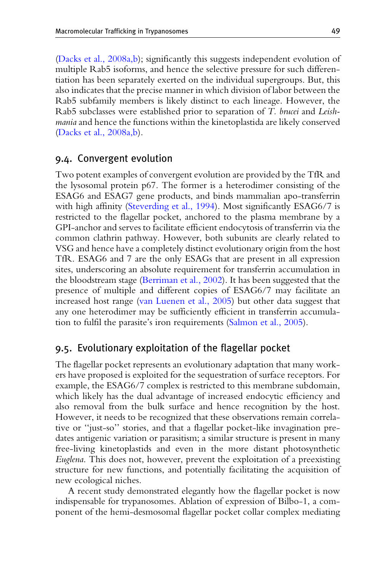[\(Dacks et al., 2008a,b](#page-54-0)); significantly this suggests independent evolution of multiple Rab5 isoforms, and hence the selective pressure for such differentiation has been separately exerted on the individual supergroups. But, this also indicates that the precise manner in which division of labor between the Rab5 subfamily members is likely distinct to each lineage. However, the Rab5 subclasses were established prior to separation of T. brucei and Leishmania and hence the functions within the kinetoplastida are likely conserved [\(Dacks et al., 2008a,b](#page-54-0)).

#### 9.4. Convergent evolution

Two potent examples of convergent evolution are provided by the TfR and the lysosomal protein p67. The former is a heterodimer consisting of the ESAG6 and ESAG7 gene products, and binds mammalian apo-transferrin with high affinity [\(Steverding et al., 1994](#page-64-0)). Most significantly ESAG6/7 is restricted to the flagellar pocket, anchored to the plasma membrane by a GPI-anchor and serves to facilitate efficient endocytosis of transferrin via the common clathrin pathway. However, both subunits are clearly related to VSG and hence have a completely distinct evolutionary origin from the host TfR. ESAG6 and 7 are the only ESAGs that are present in all expression sites, underscoring an absolute requirement for transferrin accumulation in the bloodstream stage [\(Berriman et al., 2002\)](#page-52-0). It has been suggested that the presence of multiple and different copies of ESAG6/7 may facilitate an increased host range ([van Luenen et al., 2005](#page-65-0)) but other data suggest that any one heterodimer may be sufficiently efficient in transferrin accumulation to fulfil the parasite's iron requirements ([Salmon et al., 2005](#page-63-0)).

#### 9.5. Evolutionary exploitation of the flagellar pocket

The flagellar pocket represents an evolutionary adaptation that many workers have proposed is exploited for the sequestration of surface receptors. For example, the ESAG6/7 complex is restricted to this membrane subdomain, which likely has the dual advantage of increased endocytic efficiency and also removal from the bulk surface and hence recognition by the host. However, it needs to be recognized that these observations remain correlative or ''just-so'' stories, and that a flagellar pocket-like invagination predates antigenic variation or parasitism; a similar structure is present in many free-living kinetoplastids and even in the more distant photosynthetic Euglena. This does not, however, prevent the exploitation of a preexisting structure for new functions, and potentially facilitating the acquisition of new ecological niches.

A recent study demonstrated elegantly how the flagellar pocket is now indispensable for trypanosomes. Ablation of expression of Bilbo-1, a component of the hemi-desmosomal flagellar pocket collar complex mediating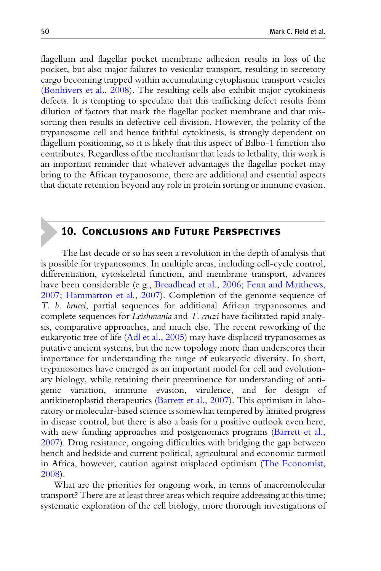flagellum and flagellar pocket membrane adhesion results in loss of the pocket, but also major failures to vesicular transport, resulting in secretory cargo becoming trapped within accumulating cytoplasmic transport vesicles ([Bonhivers et al., 2008](#page-52-0)). The resulting cells also exhibit major cytokinesis defects. It is tempting to speculate that this trafficking defect results from dilution of factors that mark the flagellar pocket membrane and that missorting then results in defective cell division. However, the polarity of the trypanosome cell and hence faithful cytokinesis, is strongly dependent on flagellum positioning, so it is likely that this aspect of Bilbo-1 function also contributes. Regardless of the mechanism that leads to lethality, this work is an important reminder that whatever advantages the flagellar pocket may bring to the African trypanosome, there are additional and essential aspects that dictate retention beyond any role in protein sorting or immune evasion.

# 10. Conclusions and Future Perspectives

The last decade or so has seen a revolution in the depth of analysis that is possible for trypanosomes. In multiple areas, including cell-cycle control, differentiation, cytoskeletal function, and membrane transport, advances have been considerable (e.g., [Broadhead et al., 2006; Fenn and Matthews,](#page-52-0) [2007; Hammarton et al., 2007](#page-52-0)). Completion of the genome sequence of T. b. brucei, partial sequences for additional African trypanosomes and complete sequences for Leishmania and T. cruzi have facilitated rapid analysis, comparative approaches, and much else. The recent reworking of the eukaryotic tree of life ([Adl et al., 2005](#page-51-0)) may have displaced trypanosomes as putative ancient systems, but the new topology more than underscores their importance for understanding the range of eukaryotic diversity. In short, trypanosomes have emerged as an important model for cell and evolutionary biology, while retaining their preeminence for understanding of antigenic variation, immune evasion, virulence, and for design of antikinetoplastid therapeutics [\(Barrett et al., 2007\)](#page-52-0). This optimism in laboratory or molecular-based science is somewhat tempered by limited progress in disease control, but there is also a basis for a positive outlook even here, with new funding approaches and postgenomics programs ([Barrett et al.,](#page-52-0) [2007\)](#page-52-0). Drug resistance, ongoing difficulties with bridging the gap between bench and bedside and current political, agricultural and economic turmoil in Africa, however, caution against misplaced optimism [\(The Economist,](#page-64-0) [2008\)](#page-64-0).

What are the priorities for ongoing work, in terms of macromolecular transport? There are at least three areas which require addressing at this time; systematic exploration of the cell biology, more thorough investigations of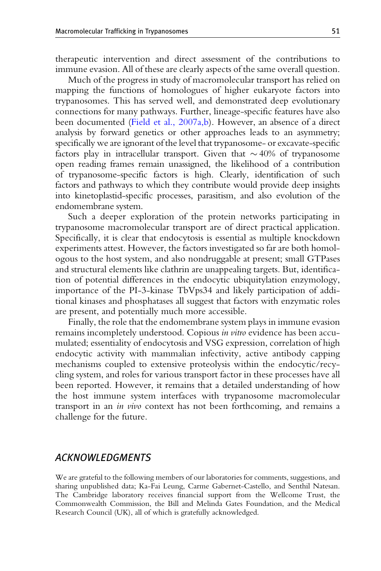therapeutic intervention and direct assessment of the contributions to immune evasion. All of these are clearly aspects of the same overall question.

Much of the progress in study of macromolecular transport has relied on mapping the functions of homologues of higher eukaryote factors into trypanosomes. This has served well, and demonstrated deep evolutionary connections for many pathways. Further, lineage-specific features have also been documented ([Field et al., 2007a,b\)](#page-55-0). However, an absence of a direct analysis by forward genetics or other approaches leads to an asymmetry; specifically we are ignorant of the level that trypanosome- or excavate-specific factors play in intracellular transport. Given that  $\sim$  40% of trypanosome open reading frames remain unassigned, the likelihood of a contribution of trypanosome-specific factors is high. Clearly, identification of such factors and pathways to which they contribute would provide deep insights into kinetoplastid-specific processes, parasitism, and also evolution of the endomembrane system.

Such a deeper exploration of the protein networks participating in trypanosome macromolecular transport are of direct practical application. Specifically, it is clear that endocytosis is essential as multiple knockdown experiments attest. However, the factors investigated so far are both homologous to the host system, and also nondruggable at present; small GTPases and structural elements like clathrin are unappealing targets. But, identification of potential differences in the endocytic ubiquitylation enzymology, importance of the PI-3-kinase TbVps34 and likely participation of additional kinases and phosphatases all suggest that factors with enzymatic roles are present, and potentially much more accessible.

Finally, the role that the endomembrane system plays in immune evasion remains incompletely understood. Copious in vitro evidence has been accumulated; essentiality of endocytosis and VSG expression, correlation of high endocytic activity with mammalian infectivity, active antibody capping mechanisms coupled to extensive proteolysis within the endocytic/recycling system, and roles for various transport factor in these processes have all been reported. However, it remains that a detailed understanding of how the host immune system interfaces with trypanosome macromolecular transport in an in vivo context has not been forthcoming, and remains a challenge for the future.

#### ACKNOWLEDGMENTS

We are grateful to the following members of our laboratories for comments, suggestions, and sharing unpublished data; Ka-Fai Leung, Carme Gabernet-Castello, and Senthil Natesan. The Cambridge laboratory receives financial support from the Wellcome Trust, the Commonwealth Commission, the Bill and Melinda Gates Foundation, and the Medical Research Council (UK), all of which is gratefully acknowledged.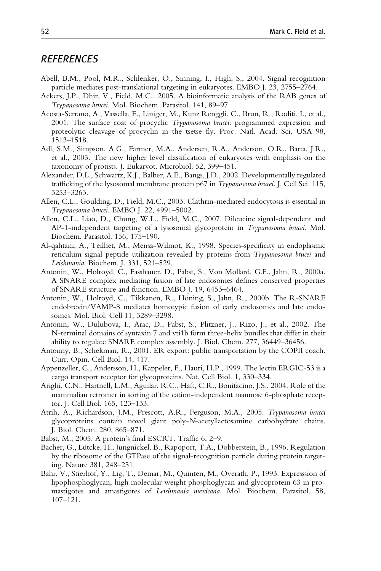#### <span id="page-51-0"></span>**REFERENCES**

- Abell, B.M., Pool, M.R., Schlenker, O., Sinning, I., High, S., 2004. Signal recognition particle mediates post-translational targeting in eukaryotes. EMBO J. 23, 2755–2764.
- Ackers, J.P., Dhir, V., Field, M.C., 2005. A bioinformatic analysis of the RAB genes of Trypanosoma brucei. Mol. Biochem. Parasitol. 141, 89–97.
- Acosta-Serrano, A., Vassella, E., Liniger, M., Kunz Renggli, C., Brun, R., Roditi, I., et al., 2001. The surface coat of procyclic Trypanosoma brucei: programmed expression and proteolytic cleavage of procyclin in the tsetse fly. Proc. Natl. Acad. Sci. USA 98, 1513–1518.
- Adl, S.M., Simpson, A.G., Farmer, M.A., Andersen, R.A., Anderson, O.R., Barta, J.R., et al., 2005. The new higher level classification of eukaryotes with emphasis on the taxonomy of protists. J. Eukaryot. Microbiol. 52, 399–451.
- Alexander, D.L., Schwartz, K.J., Balber, A.E., Bangs, J.D., 2002. Developmentally regulated trafficking of the lysosomal membrane protein p67 in Trypanosoma brucei. J. Cell Sci. 115, 3253–3263.
- Allen, C.L., Goulding, D., Field, M.C., 2003. Clathrin-mediated endocytosis is essential in Trypanosoma brucei. EMBO J. 22, 4991–5002.
- Allen, C.L., Liao, D., Chung, W.L., Field, M.C., 2007. Dileucine signal-dependent and AP-1-independent targeting of a lysosomal glycoprotein in Trypanosoma brucei. Mol. Biochem. Parasitol. 156, 175–190.
- Al-qahtani, A., Teilhet, M., Mensa-Wilmot, K., 1998. Species-specificity in endoplasmic reticulum signal peptide utilization revealed by proteins from Trypanosoma brucei and Leishmania. Biochem. J. 331, 521–529.
- Antonin, W., Holroyd, C., Fasshauer, D., Pabst, S., Von Mollard, G.F., Jahn, R., 2000a. A SNARE complex mediating fusion of late endosomes defines conserved properties of SNARE structure and function. EMBO J. 19, 6453–6464.
- Antonin, W., Holroyd, C., Tikkanen, R., Höning, S., Jahn, R., 2000b. The R-SNARE endobrevin/VAMP-8 mediates homotypic fusion of early endosomes and late endosomes. Mol. Biol. Cell 11, 3289–3298.
- Antonin, W., Dulubova, I., Arac, D., Pabst, S., Plitzner, J., Rizo, J., et al., 2002. The N-terminal domains of syntaxin 7 and vti1b form three-helix bundles that differ in their ability to regulate SNARE complex assembly. J. Biol. Chem. 277, 36449–36456.
- Antonny, B., Schekman, R., 2001. ER export: public transportation by the COPII coach. Curr. Opin. Cell Biol. 14, 417.
- Appenzeller, C., Andersson, H., Kappeler, F., Hauri, H.P., 1999. The lectin ERGIC-53 is a cargo transport receptor for glycoproteins. Nat. Cell Biol. 1, 330–334.
- Arighi, C.N., Hartnell, L.M., Aguilar, R.C., Haft, C.R., Bonifacino, J.S., 2004. Role of the mammalian retromer in sorting of the cation-independent mannose 6-phosphate receptor. J. Cell Biol. 165, 123–133.
- Atrih, A., Richardson, J.M., Prescott, A.R., Ferguson, M.A., 2005. Trypanosoma brucei glycoproteins contain novel giant poly-N-acetyllactosamine carbohydrate chains. J. Biol. Chem. 280, 865–871.
- Babst, M., 2005. A protein's final ESCRT. Traffic 6, 2–9.
- Bacher, G., Lütcke, H., Jungnickel, B., Rapoport, T.A., Dobberstein, B., 1996. Regulation by the ribosome of the GTPase of the signal-recognition particle during protein targeting. Nature 381, 248–251.
- Bahr, V., Stierhof, Y., Lig, T., Demar, M., Quinten, M., Overath, P., 1993. Expresssion of lipophosphoglycan, high molecular weight phosphoglycan and glycoprotein 63 in promastigotes and amastigotes of Leishmania mexicana. Mol. Biochem. Parasitol. 58, 107–121.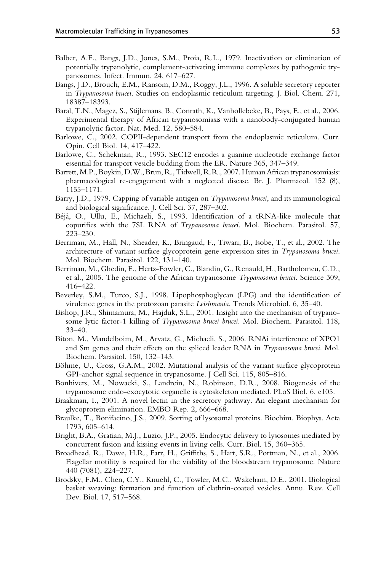- <span id="page-52-0"></span>Balber, A.E., Bangs, J.D., Jones, S.M., Proia, R.L., 1979. Inactivation or elimination of potentially trypanolytic, complement-activating immune complexes by pathogenic trypanosomes. Infect. Immun. 24, 617–627.
- Bangs, J.D., Brouch, E.M., Ransom, D.M., Roggy, J.L., 1996. A soluble secretory reporter in Trypanosoma brucei. Studies on endoplasmic reticulum targeting. J. Biol. Chem. 271, 18387–18393.
- Baral, T.N., Magez, S., Stijlemans, B., Conrath, K., Vanhollebeke, B., Pays, E., et al., 2006. Experimental therapy of African trypanosomiasis with a nanobody-conjugated human trypanolytic factor. Nat. Med. 12, 580–584.
- Barlowe, C., 2002. COPII-dependent transport from the endoplasmic reticulum. Curr. Opin. Cell Biol. 14, 417–422.
- Barlowe, C., Schekman, R., 1993. SEC12 encodes a guanine nucleotide exchange factor essential for transport vesicle budding from the ER. Nature 365, 347–349.
- Barrett, M.P., Boykin, D.W., Brun, R., Tidwell, R.R., 2007. Human African trypanosomiasis: pharmacological re-engagement with a neglected disease. Br. J. Pharmacol. 152 (8), 1155–1171.
- Barry, J.D., 1979. Capping of variable antigen on Trypanosoma brucei, and its immunological and biological significance. J. Cell Sci. 37, 287–302.
- Béjà, O., Ullu, E., Michaeli, S., 1993. Identification of a tRNA-like molecule that copurifies with the 7SL RNA of Trypanosoma brucei. Mol. Biochem. Parasitol. 57, 223–230.
- Berriman, M., Hall, N., Sheader, K., Bringaud, F., Tiwari, B., Isobe, T., et al., 2002. The architecture of variant surface glycoprotein gene expression sites in Trypanosoma brucei. Mol. Biochem. Parasitol. 122, 131–140.
- Berriman, M., Ghedin, E., Hertz-Fowler, C., Blandin, G., Renauld, H., Bartholomeu, C.D., et al., 2005. The genome of the African trypanosome Trypanosoma brucei. Science 309, 416–422.
- Beverley, S.M., Turco, S.J., 1998. Lipophosphoglycan (LPG) and the identification of virulence genes in the protozoan parasite Leishmania. Trends Microbiol. 6, 35–40.
- Bishop, J.R., Shimamura, M., Hajduk, S.L., 2001. Insight into the mechanism of trypanosome lytic factor-1 killing of Trypanosoma brucei brucei. Mol. Biochem. Parasitol. 118, 33–40.
- Biton, M., Mandelboim, M., Arvatz, G., Michaeli, S., 2006. RNAi interference of XPO1 and Sm genes and their effects on the spliced leader RNA in Trypanosoma brucei. Mol. Biochem. Parasitol. 150, 132–143.
- Böhme, U., Cross, G.A.M., 2002. Mutational analysis of the variant surface glycoprotein GPI-anchor signal sequence in trypanosome. J Cell Sci. 115, 805–816.
- Bonhivers, M., Nowacki, S., Landrein, N., Robinson, D.R., 2008. Biogenesis of the trypanosome endo-exocytotic organelle is cytoskeleton mediated. PLoS Biol. 6, e105.
- Braakman, I., 2001. A novel lectin in the secretory pathway. An elegant mechanism for glycoprotein elimination. EMBO Rep. 2, 666–668.
- Braulke, T., Bonifacino, J.S., 2009. Sorting of lysosomal proteins. Biochim. Biophys. Acta 1793, 605–614.
- Bright, B.A., Gratian, M.J., Luzio, J.P., 2005. Endocytic delivery to lysosomes mediated by concurrent fusion and kissing events in living cells. Curr. Biol. 15, 360–365.
- Broadhead, R., Dawe, H.R., Farr, H., Griffiths, S., Hart, S.R., Portman, N., et al., 2006. Flagellar motility is required for the viability of the bloodstream trypanosome. Nature 440 (7081), 224–227.
- Brodsky, F.M., Chen, C.Y., Knuehl, C., Towler, M.C., Wakeham, D.E., 2001. Biological basket weaving: formation and function of clathrin-coated vesicles. Annu. Rev. Cell Dev. Biol. 17, 517–568.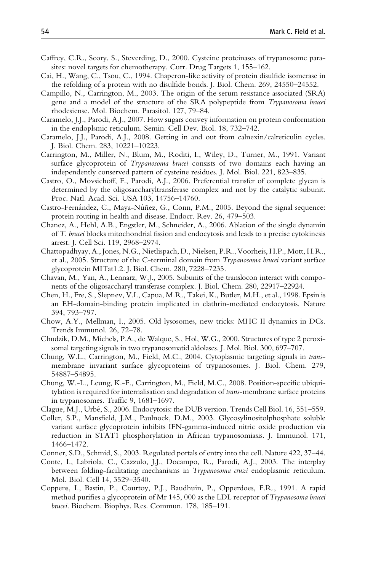- <span id="page-53-0"></span>Caffrey, C.R., Scory, S., Steverding, D., 2000. Cysteine proteinases of trypanosome parasites: novel targets for chemotherapy. Curr. Drug Targets 1, 155–162.
- Cai, H., Wang, C., Tsou, C., 1994. Chaperon-like activity of protein disulfide isomerase in the refolding of a protein with no disulfide bonds. J. Biol. Chem. 269, 24550–24552.
- Campillo, N., Carrington, M., 2003. The origin of the serum resistance associated (SRA) gene and a model of the structure of the SRA polypeptide from Trypanosoma brucei rhodesiense. Mol. Biochem. Parasitol. 127, 79–84.
- Caramelo, J.J., Parodi, A.J., 2007. How sugars convey information on protein conformation in the endoplsmic reticulum. Semin. Cell Dev. Biol. 18, 732–742.
- Caramelo, J.J., Parodi, A.J., 2008. Getting in and out from calnexin/calreticulin cycles. J. Biol. Chem. 283, 10221–10223.
- Carrington, M., Miller, N., Blum, M., Roditi, I., Wiley, D., Turner, M., 1991. Variant surface glycoprotein of *Trypanosoma brucei* consists of two domains each having an independently conserved pattern of cysteine residues. J. Mol. Biol. 221, 823–835.
- Castro, O., Movsichoff, F., Parodi, A.J., 2006. Preferential transfer of complete glycan is determined by the oligosaccharyltransferase complex and not by the catalytic subunit. Proc. Natl. Acad. Sci. USA 103, 14756–14760.
- Castro-Fernández, C., Maya-Núñez, G., Conn, P.M., 2005. Beyond the signal sequence: protein routing in health and disease. Endocr. Rev. 26, 479–503.
- Chanez, A., Hehl, A.B., Engstler, M., Schneider, A., 2006. Ablation of the single dynamin of T. brucei blocks mitochondrial fission and endocytosis and leads to a precise cytokinesis arrest. J. Cell Sci. 119, 2968–2974.
- Chattopadhyay, A., Jones, N.G., Nietlispach, D., Nielsen, P.R., Voorheis, H.P., Mott, H.R., et al., 2005. Structure of the C-terminal domain from Trypanosoma brucei variant surface glycoprotein MITat1.2. J. Biol. Chem. 280, 7228–7235.
- Chavan, M., Yan, A., Lennarz, W.J., 2005. Subunits of the translocon interact with components of the oligosaccharyl transferase complex. J. Biol. Chem. 280, 22917–22924.
- Chen, H., Fre, S., Slepnev, V.I., Capua, M.R., Takei, K., Butler, M.H., et al., 1998. Epsin is an EH-domain-binding protein implicated in clathrin-mediated endocytosis. Nature 394, 793–797.
- Chow, A.Y., Mellman, I., 2005. Old lysosomes, new tricks: MHC II dynamics in DCs. Trends Immunol. 26, 72–78.
- Chudzik, D.M., Michels, P.A., de Walque, S., Hol, W.G., 2000. Structures of type 2 peroxisomal targeting signals in two trypanosomatid aldolases. J. Mol. Biol. 300, 697–707.
- Chung, W.L., Carrington, M., Field, M.C., 2004. Cytoplasmic targeting signals in transmembrane invariant surface glycoproteins of trypanosomes. J. Biol. Chem. 279, 54887–54895.
- Chung, W.-L., Leung, K.-F., Carrington, M., Field, M.C., 2008. Position-specific ubiquitylation is required for internalisation and degradation of trans-membrane surface proteins in trypanosomes. Traffic 9, 1681–1697.
- Clague, M.J., Urbé, S., 2006. Endocytosis: the DUB version. Trends Cell Biol. 16, 551–559.
- Coller, S.P., Mansfield, J.M., Paulnock, D.M., 2003. Glycosylinositolphosphate soluble variant surface glycoprotein inhibits IFN-gamma-induced nitric oxide production via reduction in STAT1 phosphorylation in African trypanosomiasis. J. Immunol. 171, 1466–1472.
- Conner, S.D., Schmid, S., 2003. Regulated portals of entry into the cell. Nature 422, 37–44.
- Conte, I., Labriola, C., Cazzulo, J.J., Docampo, R., Parodi, A.J., 2003. The interplay between folding-facilitating mechanisms in Trypanosoma cruzi endoplasmic reticulum. Mol. Biol. Cell 14, 3529–3540.
- Coppens, I., Bastin, P., Courtoy, P.J., Baudhuin, P., Opperdoes, F.R., 1991. A rapid method purifies a glycoprotein of Mr 145, 000 as the LDL receptor of Trypanosoma brucei brucei. Biochem. Biophys. Res. Commun. 178, 185–191.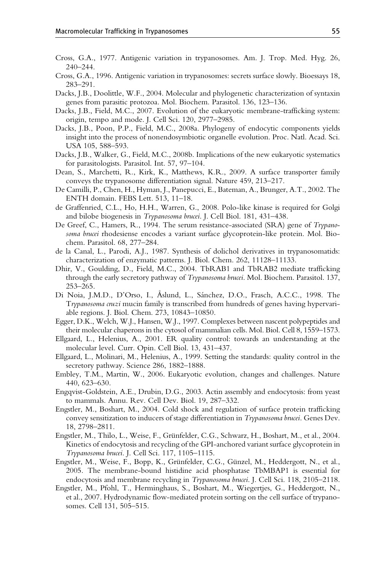- <span id="page-54-0"></span>Cross, G.A., 1977. Antigenic variation in trypanosomes. Am. J. Trop. Med. Hyg. 26, 240–244.
- Cross, G.A., 1996. Antigenic variation in trypanosomes: secrets surface slowly. Bioessays 18, 283–291.
- Dacks, J.B., Doolittle, W.F., 2004. Molecular and phylogenetic characterization of syntaxin genes from parasitic protozoa. Mol. Biochem. Parasitol. 136, 123–136.
- Dacks, J.B., Field, M.C., 2007. Evolution of the eukaryotic membrane-trafficking system: origin, tempo and mode. J. Cell Sci. 120, 2977–2985.
- Dacks, J.B., Poon, P.P., Field, M.C., 2008a. Phylogeny of endocytic components yields insight into the process of nonendosymbiotic organelle evolution. Proc. Natl. Acad. Sci. USA 105, 588–593.
- Dacks, J.B., Walker, G., Field, M.C., 2008b. Implications of the new eukaryotic systematics for parasitologists. Parasitol. Int. 57, 97–104.
- Dean, S., Marchetti, R., Kirk, K., Matthews, K.R., 2009. A surface transporter family conveys the trypanosome differentiation signal. Nature 459, 213–217.
- De Camilli, P., Chen, H., Hyman, J., Panepucci, E., Bateman, A., Brunger, A.T., 2002. The ENTH domain. FEBS Lett. 513, 11–18.
- de Graffenried, C.L., Ho, H.H., Warren, G., 2008. Polo-like kinase is required for Golgi and bilobe biogenesis in Trypanosoma brucei. J. Cell Biol. 181, 431–438.
- De Greef, C., Hamers, R., 1994. The serum resistance-associated (SRA) gene of Trypanosoma brucei rhodesiense encodes a variant surface glycoprotein-like protein. Mol. Biochem. Parasitol. 68, 277–284.
- de la Canal, L., Parodi, A.J., 1987. Synthesis of dolichol derivatives in trypanosomatids: characterization of enzymatic patterns. J. Biol. Chem. 262, 11128–11133.
- Dhir, V., Goulding, D., Field, M.C., 2004. TbRAB1 and TbRAB2 mediate trafficking through the early secretory pathway of Trypanosoma brucei. Mol. Biochem. Parasitol. 137, 253–265.
- Di Noia, J.M.D., D'Orso, I., Aslund, L., Sánchez, D.O., Frasch, A.C.C., 1998. The Trypanosoma cruzi mucin family is transcribed from hundreds of genes having hypervariable regions. J. Biol. Chem. 273, 10843–10850.
- Egger, D.K., Welch, W.J., Hansen, W.J., 1997. Complexes between nascent polypeptides and their molecular chaperons in the cytosol of mammalian cells. Mol. Biol. Cell 8, 1559–1573.
- Ellgaard, L., Helenius, A., 2001. ER quality control: towards an understanding at the molecular level. Curr. Opin. Cell Biol. 13, 431–437.
- Ellgaard, L., Molinari, M., Helenius, A., 1999. Setting the standards: quality control in the secretory pathway. Science 286, 1882–1888.
- Embley, T.M., Martin, W., 2006. Eukaryotic evolution, changes and challenges. Nature 440, 623–630.
- Engqvist-Goldstein, A.E., Drubin, D.G., 2003. Actin assembly and endocytosis: from yeast to mammals. Annu. Rev. Cell Dev. Biol. 19, 287–332.
- Engstler, M., Boshart, M., 2004. Cold shock and regulation of surface protein trafficking convey sensitization to inducers of stage differentiation in Trypanosoma brucei. Genes Dev. 18, 2798–2811.
- Engstler, M., Thilo, L., Weise, F., Grünfelder, C.G., Schwarz, H., Boshart, M., et al., 2004. Kinetics of endocytosis and recycling of the GPI-anchored variant surface glycoprotein in Trypanosoma brucei. J. Cell Sci. 117, 1105–1115.
- Engstler, M., Weise, F., Bopp, K., Grünfelder, C.G., Günzel, M., Heddergott, N., et al., 2005. The membrane-bound histidine acid phosphatase TbMBAP1 is essential for endocytosis and membrane recycling in Trypanosoma brucei. J. Cell Sci. 118, 2105–2118.
- Engstler, M., Pfohl, T., Herminghaus, S., Boshart, M., Wiegertjes, G., Heddergott, N., et al., 2007. Hydrodynamic flow-mediated protein sorting on the cell surface of trypanosomes. Cell 131, 505–515.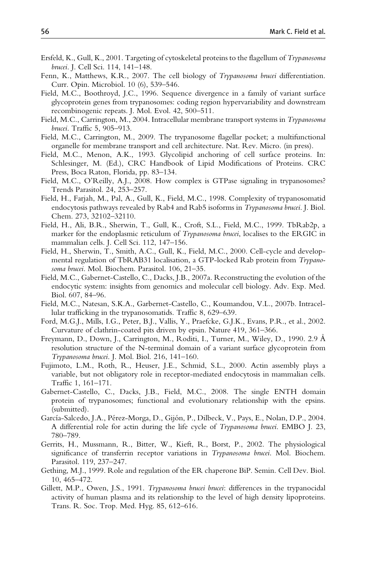- <span id="page-55-0"></span>Ersfeld, K., Gull, K., 2001. Targeting of cytoskeletal proteins to the flagellum of Trypanosoma brucei. J. Cell Sci. 114, 141–148.
- Fenn, K., Matthews, K.R., 2007. The cell biology of Trypanosoma brucei differentiation. Curr. Opin. Microbiol. 10 (6), 539–546.
- Field, M.C., Boothroyd, J.C., 1996. Sequence divergence in a family of variant surface glycoprotein genes from trypanosomes: coding region hypervariability and downstream recombinogenic repeats. J. Mol. Evol. 42, 500–511.
- Field, M.C., Carrington, M., 2004. Intracellular membrane transport systems in Trypanosoma brucei. Traffic 5, 905–913.
- Field, M.C., Carrington, M., 2009. The trypanosome flagellar pocket; a multifunctional organelle for membrane transport and cell architecture. Nat. Rev. Micro. (in press).
- Field, M.C., Menon, A.K., 1993. Glycolipid anchoring of cell surface proteins. In: Schlesinger, M. (Ed.), CRC Handbook of Lipid Modifications of Proteins. CRC Press, Boca Raton, Florida, pp. 83–134.
- Field, M.C., O'Reilly, A.J., 2008. How complex is GTPase signaling in trypanosomes? Trends Parasitol. 24, 253–257.
- Field, H., Farjah, M., Pal, A., Gull, K., Field, M.C., 1998. Complexity of trypanosomatid endocytosis pathways revealed by Rab4 and Rab5 isoforms in Trypanosoma brucei. J. Biol. Chem. 273, 32102–32110.
- Field, H., Ali, B.R., Sherwin, T., Gull, K., Croft, S.L., Field, M.C., 1999. TbRab2p, a marker for the endoplasmic reticulum of Trypanosoma brucei, localises to the ERGIC in mammalian cells. J. Cell Sci. 112, 147–156.
- Field, H., Sherwin, T., Smith, A.C., Gull, K., Field, M.C., 2000. Cell-cycle and developmental regulation of TbRAB31 localisation, a GTP-locked Rab protein from Trypanosoma brucei. Mol. Biochem. Parasitol. 106, 21–35.
- Field, M.C., Gabernet-Castello, C., Dacks, J.B., 2007a. Reconstructing the evolution of the endocytic system: insights from genomics and molecular cell biology. Adv. Exp. Med. Biol. 607, 84–96.
- Field, M.C., Natesan, S.K.A., Garbernet-Castello, C., Koumandou, V.L., 2007b. Intracellular trafficking in the trypanosomatids. Traffic 8, 629–639.
- Ford, M.G.J., Mills, I.G., Peter, B.J., Vallis, Y., Praefcke, G.J.K., Evans, P.R., et al., 2002. Curvature of clathrin-coated pits driven by epsin. Nature 419, 361–366.
- Freymann, D., Down, J., Carrington, M., Roditi, I., Turner, M., Wiley, D., 1990. 2.9 A resolution structure of the N-terminal domain of a variant surface glycoprotein from Trypanosoma brucei. J. Mol. Biol. 216, 141–160.
- Fujimoto, L.M., Roth, R., Heuser, J.E., Schmid, S.L., 2000. Actin assembly plays a variable, but not obligatory role in receptor-mediated endocytosis in mammalian cells. Traffic 1, 161–171.
- Gabernet-Castello, C., Dacks, J.B., Field, M.C., 2008. The single ENTH domain protein of trypanosomes; functional and evolutionary relationship with the epsins. (submitted).
- García-Salcedo, J.A., Pérez-Morga, D., Gijón, P., Dilbeck, V., Pays, E., Nolan, D.P., 2004. A differential role for actin during the life cycle of Trypanosoma brucei. EMBO J. 23, 780–789.
- Gerrits, H., Mussmann, R., Bitter, W., Kieft, R., Borst, P., 2002. The physiological significance of transferrin receptor variations in Trypanosoma brucei. Mol. Biochem. Parasitol. 119, 237–247.
- Gething, M.J., 1999. Role and regulation of the ER chaperone BiP. Semin. Cell Dev. Biol. 10, 465–472.
- Gillett, M.P., Owen, J.S., 1991. Trypanosoma brucei brucei: differences in the trypanocidal activity of human plasma and its relationship to the level of high density lipoproteins. Trans. R. Soc. Trop. Med. Hyg. 85, 612–616.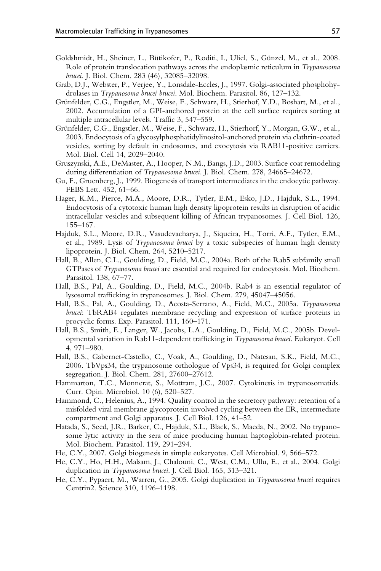- <span id="page-56-0"></span>Goldshmidt, H., Sheiner, L., Bütikofer, P., Roditi, I., Uliel, S., Günzel, M., et al., 2008. Role of protein translocation pathways across the endoplasmic reticulum in Trypanosoma brucei. J. Biol. Chem. 283 (46), 32085–32098.
- Grab, D.J., Webster, P., Verjee, Y., Lonsdale-Eccles, J., 1997. Golgi-associated phosphohydrolases in Trypanosoma brucei brucei. Mol. Biochem. Parasitol. 86, 127–132.
- Grünfelder, C.G., Engstler, M., Weise, F., Schwarz, H., Stierhof, Y.D., Boshart, M., et al., 2002. Accumulation of a GPI-anchored protein at the cell surface requires sorting at multiple intracellular levels. Traffic 3, 547–559.
- Grünfelder, C.G., Engstler, M., Weise, F., Schwarz, H., Stierhorf, Y., Morgan, G.W., et al., 2003. Endocytosis of a glycosylphosphatidylinositol-anchored protein via clathrin-coated vesicles, sorting by default in endosomes, and exocytosis via RAB11-positive carriers. Mol. Biol. Cell 14, 2029–2040.
- Gruszynski, A.E., DeMaster, A., Hooper, N.M., Bangs, J.D., 2003. Surface coat remodeling during differentiation of Trypanosoma brucei. J. Biol. Chem. 278, 24665–24672.
- Gu, F., Gruenberg, J., 1999. Biogenesis of transport intermediates in the endocytic pathway. FEBS Lett. 452, 61–66.
- Hager, K.M., Pierce, M.A., Moore, D.R., Tytler, E.M., Esko, J.D., Hajduk, S.L., 1994. Endocytosis of a cytotoxic human high density lipoprotein results in disruption of acidic intracellular vesicles and subsequent killing of African trypanosomes. J. Cell Biol. 126, 155–167.
- Hajduk, S.L., Moore, D.R., Vasudevacharya, J., Siqueira, H., Torri, A.F., Tytler, E.M., et al., 1989. Lysis of Trypanosoma brucei by a toxic subspecies of human high density lipoprotein. J. Biol. Chem. 264, 5210–5217.
- Hall, B., Allen, C.L., Goulding, D., Field, M.C., 2004a. Both of the Rab5 subfamily small GTPases of Trypanosoma brucei are essential and required for endocytosis. Mol. Biochem. Parasitol. 138, 67–77.
- Hall, B.S., Pal, A., Goulding, D., Field, M.C., 2004b. Rab4 is an essential regulator of lysosomal trafficking in trypanosomes. J. Biol. Chem. 279, 45047–45056.
- Hall, B.S., Pal, A., Goulding, D., Acosta-Serrano, A., Field, M.C., 2005a. Trypanosoma brucei: TbRAB4 regulates membrane recycling and expression of surface proteins in procyclic forms. Exp. Parasitol. 111, 160–171.
- Hall, B.S., Smith, E., Langer, W., Jacobs, L.A., Goulding, D., Field, M.C., 2005b. Developmental variation in Rab11-dependent trafficking in Trypanosoma brucei. Eukaryot. Cell 4, 971–980.
- Hall, B.S., Gabernet-Castello, C., Voak, A., Goulding, D., Natesan, S.K., Field, M.C., 2006. TbVps34, the trypanosome orthologue of Vps34, is required for Golgi complex segregation. J. Biol. Chem. 281, 27600–27612.
- Hammarton, T.C., Monnerat, S., Mottram, J.C., 2007. Cytokinesis in trypanosomatids. Curr. Opin. Microbiol. 10 (6), 520–527.
- Hammond, C., Helenius, A., 1994. Quality control in the secretory pathway: retention of a misfolded viral membrane glycoprotein involved cycling between the ER, intermediate compartment and Golgi apparatus. J. Cell Biol. 126, 41–52.
- Hatada, S., Seed, J.R., Barker, C., Hajduk, S.L., Black, S., Maeda, N., 2002. No trypanosome lytic activity in the sera of mice producing human haptoglobin-related protein. Mol. Biochem. Parasitol. 119, 291–294.
- He, C.Y., 2007. Golgi biogenesis in simple eukaryotes. Cell Microbiol. 9, 566–572.
- He, C.Y., Ho, H.H., Malsam, J., Chalouni, C., West, C.M., Ullu, E., et al., 2004. Golgi duplication in Trypanosoma brucei. J. Cell Biol. 165, 313–321.
- He, C.Y., Pypaert, M., Warren, G., 2005. Golgi duplication in Trypanosoma brucei requires Centrin2. Science 310, 1196–1198.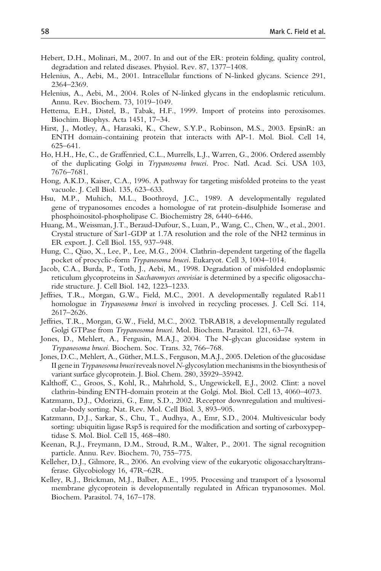- <span id="page-57-0"></span>Hebert, D.H., Molinari, M., 2007. In and out of the ER: protein folding, quality control, degradation and related diseases. Physiol. Rev. 87, 1377–1408.
- Helenius, A., Aebi, M., 2001. Intracellular functions of N-linked glycans. Science 291, 2364–2369.
- Helenius, A., Aebi, M., 2004. Roles of N-linked glycans in the endoplasmic reticulum. Annu. Rev. Biochem. 73, 1019–1049.
- Hettema, E.H., Distel, B., Tabak, H.F., 1999. Import of proteins into peroxisomes. Biochim. Biophys. Acta 1451, 17–34.
- Hirst, J., Motley, A., Harasaki, K., Chew, S.Y.P., Robinson, M.S., 2003. EpsinR: an ENTH domain-containing protein that interacts with AP-1. Mol. Biol. Cell 14, 625–641.
- Ho, H.H., He, C., de Graffenried, C.L., Murrells, L.J., Warren, G., 2006. Ordered assembly of the duplicating Golgi in Trypanosoma brucei. Proc. Natl. Acad. Sci. USA 103, 7676–7681.
- Hong, A.K.D., Kaiser, C.A., 1996. A pathway for targeting misfolded proteins to the yeast vacuole. J. Cell Biol. 135, 623–633.
- Hsu, M.P., Muhich, M.L., Boothroyd, J.C., 1989. A developmentally regulated gene of trypanosomes encodes a homologue of rat protein-disulphide Isomerase and phosphoinositol-phospholipase C. Biochemistry 28, 6440–6446.
- Huang, M., Weissman, J.T., Beraud-Dufour, S., Luan, P., Wang, C., Chen, W., et al., 2001. Crystal structure of Sar1-GDP at 1.7A resolution and the role of the NH2 terminus in ER export. J. Cell Biol. 155, 937–948.
- Hung, C., Qiao, X., Lee, P., Lee, M.G., 2004. Clathrin-dependent targeting of the flagella pocket of procyclic-form Trypanosoma brucei. Eukaryot. Cell 3, 1004–1014.
- Jacob, C.A., Burda, P., Toth, J., Aebi, M., 1998. Degradation of misfolded endoplasmic reticulum glycoproteins in *Saccharomyces cerevisiae* is determined by a specific oligosaccharide structure. J. Cell Biol. 142, 1223–1233.
- Jeffries, T.R., Morgan, G.W., Field, M.C., 2001. A developmentally regulated Rab11 homologue in Trypanosoma brucei is involved in recycling processes. J. Cell Sci. 114, 2617–2626.
- Jeffries, T.R., Morgan, G.W., Field, M.C., 2002. TbRAB18, a developmentally regulated Golgi GTPase from Trypanosoma brucei. Mol. Biochem. Parasitol. 121, 63–74.
- Jones, D., Mehlert, A., Fergusin, M.A.J., 2004. The N-glycan glucosidase system in Trypanosoma brucei. Biochem. Soc. Trans. 32, 766–768.
- Jones, D.C., Mehlert, A., Güther, M.L.S., Ferguson, M.A.J., 2005. Deletion of the glucosidase II gene in Trypanosoma brucei reveals novel N-glycosylation mechanisms in the biosynthesis of variant surface glycoprotein. J. Biol. Chem. 280, 35929–35942.
- Kalthoff, C., Groos, S., Kohl, R., Mahrhold, S., Ungewickell, E.J., 2002. Clint: a novel clathrin-binding ENTH-domain protein at the Golgi. Mol. Biol. Cell 13, 4060–4073.
- Katzmann, D.J., Odorizzi, G., Emr, S.D., 2002. Receptor downregulation and multivesicular-body sorting. Nat. Rev. Mol. Cell Biol. 3, 893–905.
- Katzmann, D.J., Sarkar, S., Chu, T., Audhya, A., Emr, S.D., 2004. Multivesicular body sorting: ubiquitin ligase Rsp5 is required for the modification and sorting of carboxypeptidase S. Mol. Biol. Cell 15, 468–480.
- Keenan, R.J., Freymann, D.M., Stroud, R.M., Walter, P., 2001. The signal recognition particle. Annu. Rev. Biochem. 70, 755–775.
- Kelleher, D.J., Gilmore, R., 2006. An evolving view of the eukaryotic oligosaccharyltransferase. Glycobiology 16, 47R–62R.
- Kelley, R.J., Brickman, M.J., Balber, A.E., 1995. Processing and transport of a lysosomal membrane glycoprotein is developmentally regulated in African trypanosomes. Mol. Biochem. Parasitol. 74, 167–178.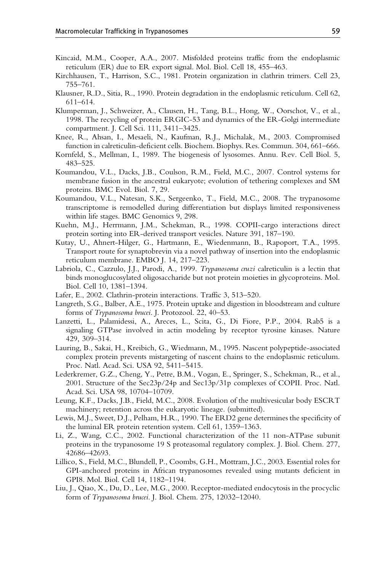- <span id="page-58-0"></span>Kincaid, M.M., Cooper, A.A., 2007. Misfolded proteins traffic from the endoplasmic reticulum (ER) due to ER export signal. Mol. Biol. Cell 18, 455–463.
- Kirchhausen, T., Harrison, S.C., 1981. Protein organization in clathrin trimers. Cell 23, 755–761.
- Klausner, R.D., Sitia, R., 1990. Protein degradation in the endoplasmic reticulum. Cell 62, 611–614.
- Klumperman, J., Schweizer, A., Clausen, H., Tang, B.L., Hong, W., Oorschot, V., et al., 1998. The recycling of protein ERGIC-53 and dynamics of the ER-Golgi intermediate compartment. J. Cell Sci. 111, 3411–3425.
- Knee, R., Ahsan, I., Mesaeli, N., Kaufman, R.J., Michalak, M., 2003. Compromised function in calreticulin-deficient cells. Biochem. Biophys. Res. Commun. 304, 661–666.
- Kornfeld, S., Mellman, I., 1989. The biogenesis of lysosomes. Annu. Rev. Cell Biol. 5, 483–525.
- Koumandou, V.L., Dacks, J.B., Coulson, R.M., Field, M.C., 2007. Control systems for membrane fusion in the ancestral eukaryote; evolution of tethering complexes and SM proteins. BMC Evol. Biol. 7, 29.
- Koumandou, V.L., Natesan, S.K., Sergeenko, T., Field, M.C., 2008. The trypanosome transcriptome is remodelled during differentiation but displays limited responsiveness within life stages. BMC Genomics 9, 298.
- Kuehn, M.J., Herrmann, J.M., Schekman, R., 1998. COPII-cargo interactions direct protein sorting into ER-derived transport vesicles. Nature 391, 187–190.
- Kutay, U., Ahnert-Hilger, G., Hartmann, E., Wiedenmann, B., Rapoport, T.A., 1995. Transport route for synaptobrevin via a novel pathway of insertion into the endoplasmic reticulum membrane. EMBO J. 14, 217–223.
- Labriola, C., Cazzulo, J.J., Parodi, A., 1999. Trypanosoma cruzi calreticulin is a lectin that binds monoglucosylated oligosaccharide but not protein moieties in glycoproteins. Mol. Biol. Cell 10, 1381–1394.
- Lafer, E., 2002. Clathrin-protein interactions. Traffic 3, 513–520.
- Langreth, S.G., Balber, A.E., 1975. Protein uptake and digestion in bloodstream and culture forms of Trypanosoma brucei. J. Protozool. 22, 40–53.
- Lanzetti, L., Palamidessi, A., Areces, L., Scita, G., Di Fiore, P.P., 2004. Rab5 is a signaling GTPase involved in actin modeling by receptor tyrosine kinases. Nature 429, 309–314.
- Lauring, B., Sakai, H., Kreibich, G., Wiedmann, M., 1995. Nascent polypeptide-associated complex protein prevents mistargeting of nascent chains to the endoplasmic reticulum. Proc. Natl. Acad. Sci. USA 92, 5411–5415.
- Lederkremer, G.Z., Cheng, Y., Petre, B.M., Vogan, E., Springer, S., Schekman, R., et al., 2001. Structure of the Sec23p/24p and Sec13p/31p complexes of COPII. Proc. Natl. Acad. Sci. USA 98, 10704–10709.
- Leung, K.F., Dacks, J.B., Field, M.C., 2008. Evolution of the multivesicular body ESCRT machinery; retention across the eukaryotic lineage. (submitted).
- Lewis, M.J., Sweet, D.J., Pelham, H.R., 1990. The ERD2 gene determines the specificity of the luminal ER protein retention system. Cell 61, 1359–1363.
- Li, Z., Wang, C.C., 2002. Functional characterization of the 11 non-ATPase subunit proteins in the trypanosome 19 S proteasomal regulatory complex. J. Biol. Chem. 277, 42686–42693.
- Lillico, S., Field, M.C., Blundell, P., Coombs, G.H., Mottram, J.C., 2003. Essential roles for GPI-anchored proteins in African trypanosomes revealed using mutants deficient in GPI8. Mol. Biol. Cell 14, 1182–1194.
- Liu, J., Qiao, X., Du, D., Lee, M.G., 2000. Receptor-mediated endocytosis in the procyclic form of Trypanosoma brucei. J. Biol. Chem. 275, 12032–12040.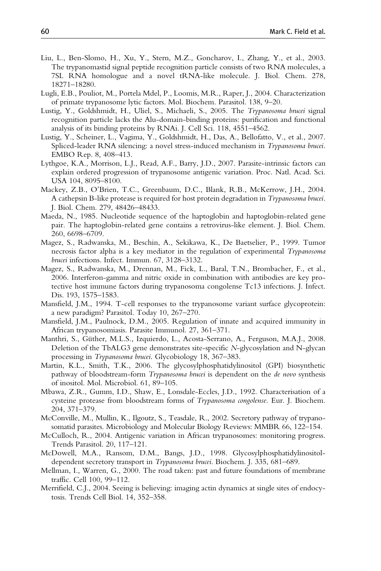- <span id="page-59-0"></span>Liu, L., Ben-Slomo, H., Xu, Y., Stern, M.Z., Goncharov, I., Zhang, Y., et al., 2003. The trypanomastid signal peptide recognition particle consists of two RNA molecules, a 7SL RNA homologue and a novel tRNA-like molecule. J. Biol. Chem. 278, 18271–18280.
- Lugli, E.B., Pouliot, M., Portela Mdel, P., Loomis, M.R., Raper, J., 2004. Characterization of primate trypanosome lytic factors. Mol. Biochem. Parasitol. 138, 9–20.
- Lustig, Y., Goldshmidt, H., Uliel, S., Michaeli, S., 2005. The Trypanosoma brucei signal recognition particle lacks the Alu-domain-binding proteins: purification and functional analysis of its binding proteins by RNAi. J. Cell Sci. 118, 4551–4562.
- Lustig, Y., Scheiner, L., Vagima, Y., Goldshmidt, H., Das, A., Bellofatto, V., et al., 2007. Spliced-leader RNA silencing: a novel stress-induced mechanism in Trypanosoma brucei. EMBO Rep. 8, 408–413.
- Lythgoe, K.A., Morrison, L.J., Read, A.F., Barry, J.D., 2007. Parasite-intrinsic factors can explain ordered progression of trypanosome antigenic variation. Proc. Natl. Acad. Sci. USA 104, 8095–8100.
- Mackey, Z.B., O'Brien, T.C., Greenbaum, D.C., Blank, R.B., McKerrow, J.H., 2004. A cathepsin B-like protease is required for host protein degradation in Trypanosoma brucei. J. Biol. Chem. 279, 48426–48433.
- Maeda, N., 1985. Nucleotide sequence of the haptoglobin and haptoglobin-related gene pair. The haptoglobin-related gene contains a retrovirus-like element. J. Biol. Chem. 260, 6698–6709.
- Magez, S., Radwanska, M., Beschin, A., Sekikawa, K., De Baetselier, P., 1999. Tumor necrosis factor alpha is a key mediator in the regulation of experimental Trypanosoma brucei infections. Infect. Immun. 67, 3128–3132.
- Magez, S., Radwanska, M., Drennan, M., Fick, L., Baral, T.N., Brombacher, F., et al., 2006. Interferon-gamma and nitric oxide in combination with antibodies are key protective host immune factors during trypanosoma congolense Tc13 infections. J. Infect. Dis. 193, 1575–1583.
- Mansfield, J.M., 1994. T-cell responses to the trypanosome variant surface glycoprotein: a new paradigm? Parasitol. Today 10, 267–270.
- Mansfield, J.M., Paulnock, D.M., 2005. Regulation of innate and acquired immunity in African trypanosomiasis. Parasite Immunol. 27, 361–371.
- Manthri, S., Güther, M.L.S., Izquierdo, L., Acosta-Serrano, A., Ferguson, M.A.J., 2008. Deletion of the TbALG3 gene demonstrates site-specific N-glycosylation and N-glycan processing in Trypanosoma brucei. Glycobiology 18, 367–383.
- Martin, K.L., Smith, T.K., 2006. The glycosylphosphatidylinositol (GPI) biosynthetic pathway of bloodstream-form Trypanosoma brucei is dependent on the de novo synthesis of inositol. Mol. Microbiol. 61, 89–105.
- Mbawa, Z.R., Gumm, I.D., Shaw, E., Lonsdale-Eccles, J.D., 1992. Characterisation of a cysteine protease from bloodstream forms of Trypanosoma congolense. Eur. J. Biochem. 204, 371–379.
- McConville, M., Mullin, K., Ilgoutz, S., Teasdale, R., 2002. Secretory pathway of trypanosomatid parasites. Microbiology and Molecular Biology Reviews: MMBR 66, 122–154.
- McCulloch, R., 2004. Antigenic variation in African trypanosomes: monitoring progress. Trends Parasitol. 20, 117–121.
- McDowell, M.A., Ransom, D.M., Bangs, J.D., 1998. Glycosylphosphatidylinositoldependent secretory transport in Trypanosoma brucei. Biochem. J. 335, 681–689.
- Mellman, I., Warren, G., 2000. The road taken: past and future foundations of membrane traffic. Cell 100, 99–112.
- Merrifield, C.J., 2004. Seeing is believing: imaging actin dynamics at single sites of endocytosis. Trends Cell Biol. 14, 352–358.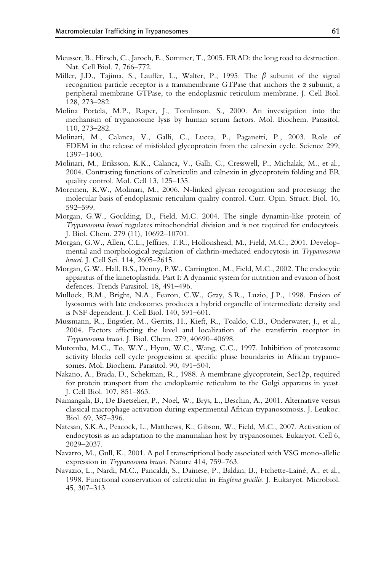- <span id="page-60-0"></span>Meusser, B., Hirsch, C., Jaroch, E., Sommer, T., 2005. ERAD: the long road to destruction. Nat. Cell Biol. 7, 766–772.
- Miller, J.D., Tajima, S., Lauffer, L., Walter, P., 1995. The  $\beta$  subunit of the signal recognition particle receptor is a transmembrane GTPase that anchors the  $\alpha$  subunit, a peripheral membrane GTPase, to the endoplasmic reticulum membrane. J. Cell Biol. 128, 273–282.
- Molina Portela, M.P., Raper, J., Tomlinson, S., 2000. An investigation into the mechanism of trypanosome lysis by human serum factors. Mol. Biochem. Parasitol. 110, 273–282.
- Molinari, M., Calanca, V., Galli, C., Lucca, P., Paganetti, P., 2003. Role of EDEM in the release of misfolded glycoprotein from the calnexin cycle. Science 299, 1397–1400.
- Molinari, M., Eriksson, K.K., Calanca, V., Galli, C., Cresswell, P., Michalak, M., et al., 2004. Contrasting functions of calreticulin and calnexin in glycoprotein folding and ER quality control. Mol. Cell 13, 125–135.
- Moremen, K.W., Molinari, M., 2006. N-linked glycan recognition and processing: the molecular basis of endoplasmic reticulum quality control. Curr. Opin. Struct. Biol. 16, 592–599.
- Morgan, G.W., Goulding, D., Field, M.C. 2004. The single dynamin-like protein of Trypanosoma brucei regulates mitochondrial division and is not required for endocytosis. J. Biol. Chem. 279 (11), 10692–10701.
- Morgan, G.W., Allen, C.L., Jeffries, T.R., Hollonshead, M., Field, M.C., 2001. Developmental and morphological regulation of clathrin-mediated endocytosis in Trypanosoma brucei. J. Cell Sci. 114, 2605–2615.
- Morgan, G.W., Hall, B.S., Denny, P.W., Carrington, M., Field, M.C., 2002. The endocytic apparatus of the kinetoplastida. Part I: A dynamic system for nutrition and evasion of host defences. Trends Parasitol. 18, 491–496.
- Mullock, B.M., Bright, N.A., Fearon, C.W., Gray, S.R., Luzio, J.P., 1998. Fusion of lysosomes with late endosomes produces a hybrid organelle of intermediate density and is NSF dependent. J. Cell Biol. 140, 591–601.
- Mussmann, R., Engstler, M., Gerrits, H., Kieft, R., Toaldo, C.B., Onderwater, J., et al., 2004. Factors affecting the level and localization of the transferrin receptor in Trypanosoma brucei. J. Biol. Chem. 279, 40690–40698.
- Mutomba, M.C., To, W.Y., Hyun, W.C., Wang, C.C., 1997. Inhibition of proteasome activity blocks cell cycle progression at specific phase boundaries in African trypanosomes. Mol. Biochem. Parasitol. 90, 491–504.
- Nakano, A., Brada, D., Schekman, R., 1988. A membrane glycoprotein, Sec12p, required for protein transport from the endoplasmic reticulum to the Golgi apparatus in yeast. J. Cell Biol. 107, 851–863.
- Namangala, B., De Baetselier, P., Noel, W., Brys, L., Beschin, A., 2001. Alternative versus classical macrophage activation during experimental African trypanosomosis. J. Leukoc. Biol. 69, 387–396.
- Natesan, S.K.A., Peacock, L., Matthews, K., Gibson, W., Field, M.C., 2007. Activation of endocytosis as an adaptation to the mammalian host by trypanosomes. Eukaryot. Cell 6, 2029–2037.
- Navarro, M., Gull, K., 2001. A pol I transcriptional body associated with VSG mono-allelic expression in Trypanosoma brucei. Nature 414, 759–763.
- Navazio, L., Nardi, M.C., Pancaldi, S., Dainese, P., Baldan, B., Ftchette-Lainé, A., et al., 1998. Functional conservation of calreticulin in Euglena gracilis. J. Eukaryot. Microbiol. 45, 307–313.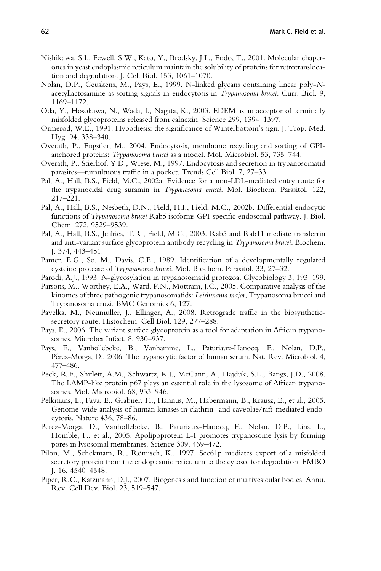- <span id="page-61-0"></span>Nishikawa, S.I., Fewell, S.W., Kato, Y., Brodsky, J.L., Endo, T., 2001. Molecular chaperones in yeast endoplasmic reticulum maintain the solubility of proteins for retrotranslocation and degradation. J. Cell Biol. 153, 1061–1070.
- Nolan, D.P., Geuskens, M., Pays, E., 1999. N-linked glycans containing linear poly-Nacetyllactosamine as sorting signals in endocytosis in Trypanosoma brucei. Curr. Biol. 9, 1169–1172.
- Oda, Y., Hosokawa, N., Wada, I., Nagata, K., 2003. EDEM as an acceptor of terminally misfolded glycoproteins released from calnexin. Science 299, 1394–1397.
- Ormerod, W.E., 1991. Hypothesis: the significance of Winterbottom's sign. J. Trop. Med. Hyg. 94, 338–340.
- Overath, P., Engstler, M., 2004. Endocytosis, membrane recycling and sorting of GPIanchored proteins: Trypanosoma brucei as a model. Mol. Microbiol. 53, 735–744.
- Overath, P., Stierhof, Y.D., Wiese, M., 1997. Endocytosis and secretion in trypanosomatid parasites—tumultuous traffic in a pocket. Trends Cell Biol. 7, 27–33.
- Pal, A., Hall, B.S., Field, M.C., 2002a. Evidence for a non-LDL-mediated entry route for the trypanocidal drug suramin in Trypanosoma brucei. Mol. Biochem. Parasitol. 122, 217–221.
- Pal, A., Hall, B.S., Nesbeth, D.N., Field, H.I., Field, M.C., 2002b. Differential endocytic functions of Trypanosoma brucei Rab5 isoforms GPI-specific endosomal pathway. J. Biol. Chem. 272, 9529–9539.
- Pal, A., Hall, B.S., Jeffries, T.R., Field, M.C., 2003. Rab5 and Rab11 mediate transferrin and anti-variant surface glycoprotein antibody recycling in Trypanosoma brucei. Biochem. J. 374, 443–451.
- Pamer, E.G., So, M., Davis, C.E., 1989. Identification of a developmentally regulated cysteine protease of Trypanosoma brucei. Mol. Biochem. Parasitol. 33, 27–32.
- Parodi, A.J., 1993. N-glycosylation in trypanosomatid protozoa. Glycobiology 3, 193–199.
- Parsons, M., Worthey, E.A., Ward, P.N., Mottram, J.C., 2005. Comparative analysis of the kinomes of three pathogenic trypanosomatids: Leishmania major, Trypanosoma brucei and Trypanosoma cruzi. BMC Genomics 6, 127.
- Pavelka, M., Neumuller, J., Ellinger, A., 2008. Retrograde traffic in the biosyntheticsecretory route. Histochem. Cell Biol. 129, 277–288.
- Pays, E., 2006. The variant surface glycoprotein as a tool for adaptation in African trypanosomes. Microbes Infect. 8, 930–937.
- Pays, E., Vanhollebeke, B., Vanhamme, L., Paturiaux-Hanocq, F., Nolan, D.P., Pérez-Morga, D., 2006. The trypanolytic factor of human serum. Nat. Rev. Microbiol. 4, 477–486.
- Peck, R.F., Shiflett, A.M., Schwartz, K.J., McCann, A., Hajduk, S.L., Bangs, J.D., 2008. The LAMP-like protein p67 plays an essential role in the lysosome of African trypanosomes. Mol. Microbiol. 68, 933–946.
- Pelkmans, L., Fava, E., Grabner, H., Hannus, M., Habermann, B., Krausz, E., et al., 2005. Genome-wide analysis of human kinases in clathrin- and caveolae/raft-mediated endocytosis. Nature 436, 78–86.
- Perez-Morga, D., Vanhollebeke, B., Paturiaux-Hanocq, F., Nolan, D.P., Lins, L., Homble, F., et al., 2005. Apolipoprotein L-I promotes trypanosome lysis by forming pores in lysosomal membranes. Science 309, 469–472.
- Pilon, M., Schekmam, R., Römisch, K., 1997. Sec61p mediates export of a misfolded secretory protein from the endoplasmic reticulum to the cytosol for degradation. EMBO J. 16, 4540–4548.
- Piper, R.C., Katzmann, D.J., 2007. Biogenesis and function of multivesicular bodies. Annu. Rev. Cell Dev. Biol. 23, 519–547.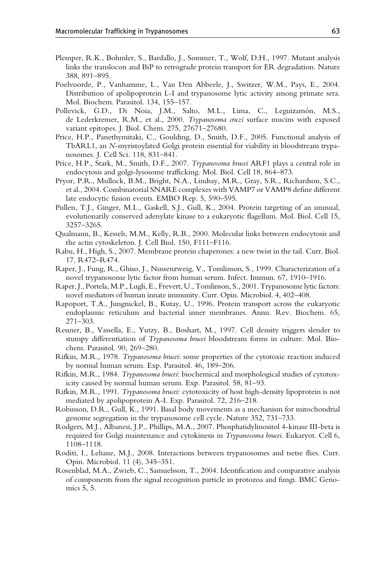- <span id="page-62-0"></span>Plemper, R.K., Bohmler, S., Bardallo, J., Sommer, T., Wolf, D.H., 1997. Mutant analysis links the translocon and BiP to retrograde protein transport for ER degradation. Nature 388, 891–895.
- Poelvoorde, P., Vanhamme, L., Van Den Abbeele, J., Switzer, W.M., Pays, E., 2004. Distribution of apolipoprotein L-I and trypanosome lytic activity among primate sera. Mol. Biochem. Parasitol. 134, 155–157.
- Pollevick, G.D., Di Noia, J.M., Salto, M.L., Lima, C., Leguizamón, M.S., de Lederkremer, R.M., et al., 2000. Trypanosoma cruzi surface mucins with exposed variant epitopes. J. Biol. Chem. 275, 27671–27680.
- Price, H.P., Panethymitaki, C., Goulding, D., Smith, D.F., 2005. Functional analysis of TbARL1, an N-myristoylated Golgi protein essential for viability in bloodstream trypanosomes. J. Cell Sci. 118, 831–841.
- Price, H.P., Stark, M., Smith, D.F., 2007. Trypanosoma brucei ARF1 plays a central role in endocytosis and golgi-lysosome trafficking. Mol. Biol. Cell 18, 864–873.
- Pryor, P.R., Mullock, B.M., Bright, N.A., Lindsay, M.R., Gray, S.R., Richardson, S.C., et al., 2004. Combinatorial SNARE complexes with VAMP7 or VAMP8 define different late endocytic fusion events. EMBO Rep. 5, 590–595.
- Pullen, T.J., Ginger, M.L., Gaskell, S.J., Gull, K., 2004. Protein targeting of an unusual, evolutionarily conserved adenylate kinase to a eukaryotic flagellum. Mol. Biol. Cell 15, 3257–3265.
- Qualmann, B., Kessels, M.M., Kelly, R.B., 2000. Molecular links between endocytosis and the actin cytoskeleton. J. Cell Biol. 150, F111–F116.
- Rabu, H., High, S., 2007. Membrane protein chaperones: a new twist in the tail. Curr. Biol. 17, R472–R474.
- Raper, J., Fung, R., Ghiso, J., Nussenzweig, V., Tomlinson, S., 1999. Characterization of a novel trypanosome lytic factor from human serum. Infect. Immun. 67, 1910–1916.
- Raper, J., Portela, M.P., Lugli, E., Frevert, U., Tomlinson, S., 2001. Trypanosome lytic factors: novel mediators of human innate immunity. Curr. Opin. Microbiol. 4, 402–408.
- Rapoport, T.A., Jungnickel, B., Kutay, U., 1996. Protein transport across the eukaryotic endoplasmic reticulum and bacterial inner membranes. Annu. Rev. Biochem. 65, 271–303.
- Reuner, B., Vassella, E., Yutzy, B., Boshart, M., 1997. Cell density triggers slender to stumpy differentiation of Trypanosoma brucei bloodstream forms in culture. Mol. Biochem. Parasitol. 90, 269–280.
- Rifkin, M.R., 1978. Trypanosoma brucei: some properties of the cytotoxic reaction induced by normal human serum. Exp. Parasitol. 46, 189–206.
- Rifkin, M.R., 1984. Trypanosoma brucei: biochemical and morphological studies of cytotoxicity caused by normal human serum. Exp. Parasitol. 58, 81–93.
- Rifkin, M.R., 1991. Trypanosoma brucei: cytotoxicity of host high-density lipoprotein is not mediated by apolipoprotein A-I. Exp. Parasitol. 72, 216–218.
- Robinson, D.R., Gull, K., 1991. Basal body movements as a mechanism for mitochondrial genome segregation in the trypanosome cell cycle. Nature 352, 731–733.
- Rodgers, M.J., Albanesi, J.P., Phillips, M.A., 2007. Phosphatidylinositol 4-kinase III-beta is required for Golgi maintenance and cytokinesis in Trypanosoma brucei. Eukaryot. Cell 6, 1108–1118.
- Roditi, I., Lehane, M.J., 2008. Interactions between trypanosomes and tsetse flies. Curr. Opin. Microbiol. 11 (4), 345–351.
- Rosenblad, M.A., Zwieb, C., Samuelsson, T., 2004. Identification and comparative analysis of components from the signal recognition particle in protozoa and fungi. BMC Genomics 5, 5.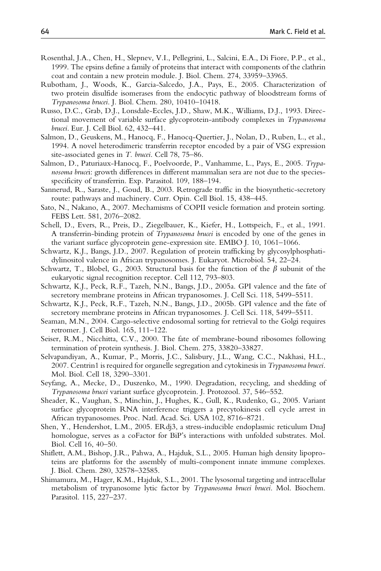- <span id="page-63-0"></span>Rosenthal, J.A., Chen, H., Slepnev, V.I., Pellegrini, L., Salcini, E.A., Di Fiore, P.P., et al., 1999. The epsins define a family of proteins that interact with components of the clathrin coat and contain a new protein module. J. Biol. Chem. 274, 33959–33965.
- Rubotham, J., Woods, K., Garcia-Salcedo, J.A., Pays, E., 2005. Characterization of two protein disulfide isomerases from the endocytic pathway of bloodstream forms of Trypanosoma brucei. J. Biol. Chem. 280, 10410–10418.
- Russo, D.C., Grab, D.J., Lonsdale-Eccles, J.D., Shaw, M.K., Williams, D.J., 1993. Directional movement of variable surface glycoprotein-antibody complexes in Trypanosoma brucei. Eur. J. Cell Biol. 62, 432–441.
- Salmon, D., Geuskens, M., Hanocq, F., Hanocq-Quertier, J., Nolan, D., Ruben, L., et al., 1994. A novel heterodimeric transferrin receptor encoded by a pair of VSG expression site-associated genes in T. brucei. Cell 78, 75–86.
- Salmon, D., Paturiaux-Hanocq, F., Poelvoorde, P., Vanhamme, L., Pays, E., 2005. Trypanosoma brucei: growth differences in different mammalian sera are not due to the speciesspecificity of transferrin. Exp. Parasitol. 109, 188–194.
- Sannerud, R., Saraste, J., Goud, B., 2003. Retrograde traffic in the biosynthetic-secretory route: pathways and machinery. Curr. Opin. Cell Biol. 15, 438–445.
- Sato, N., Nakano, A., 2007. Mechamisms of COPII vesicle formation and protein sorting. FEBS Lett. 581, 2076–2082.
- Schell, D., Evers, R., Preis, D., Ziegelbauer, K., Kiefer, H., Lottspeich, F., et al., 1991. A transferrin-binding protein of Trypanosoma brucei is encoded by one of the genes in the variant surface glycoprotein gene-expression site. EMBO J. 10, 1061–1066.
- Schwartz, K.J., Bangs, J.D., 2007. Regulation of protein trafficking by glycosylphosphatidylinositol valence in African trypanosomes. J. Eukaryot. Microbiol. 54, 22–24.
- Schwartz, T., Blobel, G., 2003. Structural basis for the function of the  $\beta$  subunit of the eukaryotic signal recognition receptor. Cell 112, 793–803.
- Schwartz, K.J., Peck, R.F., Tazeh, N.N., Bangs, J.D., 2005a. GPI valence and the fate of secretory membrane proteins in African trypanosomes. J. Cell Sci. 118, 5499–5511.
- Schwartz, K.J., Peck, R.F., Tazeh, N.N., Bangs, J.D., 2005b. GPI valence and the fate of secretory membrane proteins in African trypanosomes. J. Cell Sci. 118, 5499–5511.
- Seaman, M.N., 2004. Cargo-selective endosomal sorting for retrieval to the Golgi requires retromer. J. Cell Biol. 165, 111–122.
- Seiser, R.M., Nicchitta, C.V., 2000. The fate of membrane-bound ribosomes following termination of protein synthesis. J. Biol. Chem. 275, 33820–33827.
- Selvapandiyan, A., Kumar, P., Morris, J.C., Salisbury, J.L., Wang, C.C., Nakhasi, H.L., 2007. Centrin1 is required for organelle segregation and cytokinesis in Trypanosoma brucei. Mol. Biol. Cell 18, 3290–3301.
- Seyfang, A., Mecke, D., Duszenko, M., 1990. Degradation, recycling, and shedding of Trypanosoma brucei variant surface glycoprotein. J. Protozool. 37, 546–552.
- Sheader, K., Vaughan, S., Minchin, J., Hughes, K., Gull, K., Rudenko, G., 2005. Variant surface glycoprotein RNA interference triggers a precytokinesis cell cycle arrest in African trypanosomes. Proc. Natl. Acad. Sci. USA 102, 8716–8721.
- Shen, Y., Hendershot, L.M., 2005. ERdj3, a stress-inducible endoplasmic reticulum DnaJ homologue, serves as a coFactor for BiP's interactions with unfolded substrates. Mol. Biol. Cell 16, 40–50.
- Shiflett, A.M., Bishop, J.R., Pahwa, A., Hajduk, S.L., 2005. Human high density lipoproteins are platforms for the assembly of multi-component innate immune complexes. J. Biol. Chem. 280, 32578–32585.
- Shimamura, M., Hager, K.M., Hajduk, S.L., 2001. The lysosomal targeting and intracellular metabolism of trypanosome lytic factor by Trypanosoma brucei brucei. Mol. Biochem. Parasitol. 115, 227–237.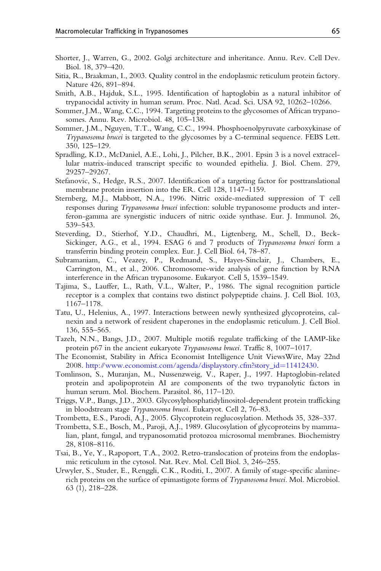- <span id="page-64-0"></span>Shorter, J., Warren, G., 2002. Golgi architecture and inheritance. Annu. Rev. Cell Dev. Biol. 18, 379–420.
- Sitia, R., Braakman, I., 2003. Quality control in the endoplasmic reticulum protein factory. Nature 426, 891–894.
- Smith, A.B., Hajduk, S.L., 1995. Identification of haptoglobin as a natural inhibitor of trypanocidal activity in human serum. Proc. Natl. Acad. Sci. USA 92, 10262–10266.
- Sommer, J.M., Wang, C.C., 1994. Targeting proteins to the glycosomes of African trypanosomes. Annu. Rev. Microbiol. 48, 105–138.
- Sommer, J.M., Nguyen, T.T., Wang, C.C., 1994. Phosphoenolpyruvate carboxykinase of Trypanosoma brucei is targeted to the glycosomes by a C-terminal sequence. FEBS Lett. 350, 125–129.
- Spradling, K.D., McDaniel, A.E., Lohi, J., Pilcher, B.K., 2001. Epsin 3 is a novel extracellular matrix-induced transcript specific to wounded epithelia. J. Biol. Chem. 279, 29257–29267.
- Stefanovic, S., Hedge, R.S., 2007. Identification of a targeting factor for posttranslational membrane protein insertion into the ER. Cell 128, 1147–1159.
- Sternberg, M.J., Mabbott, N.A., 1996. Nitric oxide-mediated suppression of T cell responses during Trypanosoma brucei infection: soluble trypanosome products and interferon-gamma are synergistic inducers of nitric oxide synthase. Eur. J. Immunol. 26, 539–543.
- Steverding, D., Stierhof, Y.D., Chaudhri, M., Ligtenberg, M., Schell, D., Beck-Sickinger, A.G., et al., 1994. ESAG 6 and 7 products of Trypanosoma brucei form a transferrin binding protein complex. Eur. J. Cell Biol. 64, 78–87.
- Subramaniam, C., Veazey, P., Redmand, S., Hayes-Sinclair, J., Chambers, E., Carrington, M., et al., 2006. Chromosome-wide analysis of gene function by RNA interference in the African trypanosome. Eukaryot. Cell 5, 1539–1549.
- Tajima, S., Lauffer, L., Rath, V.L., Walter, P., 1986. The signal recognition particle receptor is a complex that contains two distinct polypeptide chains. J. Cell Biol. 103, 1167–1178.
- Tatu, U., Helenius, A., 1997. Interactions between newly synthesized glycoproteins, calnexin and a network of resident chaperones in the endoplasmic reticulum. J. Cell Biol. 136, 555–565.
- Tazeh, N.N., Bangs, J.D., 2007. Multiple motifs regulate trafficking of the LAMP-like protein p67 in the ancient eukaryote Trypanosoma brucei. Traffic 8, 1007–1017.
- The Economist, Stability in Africa Economist Intelligence Unit ViewsWire, May 22nd 2008. [http://www.economist.com/agenda/displaystory.cfm?story\\_id](http://www.economist.com/agenda/displaystory.cfm?story_id�11412430)=11412430.
- Tomlinson, S., Muranjan, M., Nussenzweig, V., Raper, J., 1997. Haptoglobin-related protein and apolipoprotein AI are components of the two trypanolytic factors in human serum. Mol. Biochem. Parasitol. 86, 117–120.
- Triggs, V.P., Bangs, J.D., 2003. Glycosylphosphatidylinositol-dependent protein trafficking in bloodstream stage Trypanosoma brucei. Eukaryot. Cell 2, 76–83.
- Trombetta, E.S., Parodi, A.J., 2005. Glycoprotein reglucosylation. Methods 35, 328–337.
- Trombetta, S.E., Bosch, M., Paroji, A.J., 1989. Glucosylation of glycoproteins by mammalian, plant, fungal, and trypanosomatid protozoa microsomal membranes. Biochemistry 28, 8108–8116.
- Tsai, B., Ye, Y., Rapoport, T.A., 2002. Retro-translocation of proteins from the endoplasmic reticulum in the cytosol. Nat. Rev. Mol. Cell Biol. 3, 246–255.
- Urwyler, S., Studer, E., Renggli, C.K., Roditi, I., 2007. A family of stage-specific alaninerich proteins on the surface of epimastigote forms of Trypanosoma brucei. Mol. Microbiol. 63 (1), 218–228.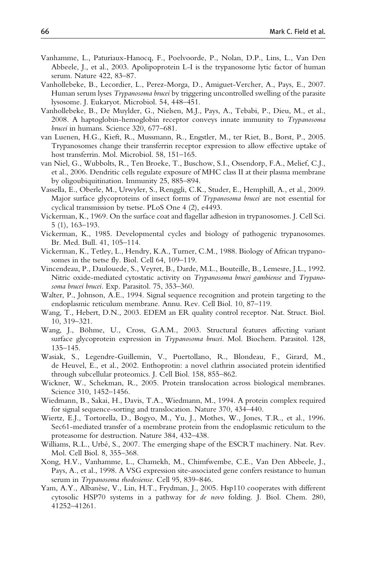- <span id="page-65-0"></span>Vanhamme, L., Paturiaux-Hanocq, F., Poelvoorde, P., Nolan, D.P., Lins, L., Van Den Abbeele, J., et al., 2003. Apolipoprotein L-I is the trypanosome lytic factor of human serum. Nature 422, 83–87.
- Vanhollebeke, B., Lecordier, L., Perez-Morga, D., Amiguet-Vercher, A., Pays, E., 2007. Human serum lyses Trypanosoma brucei by triggering uncontrolled swelling of the parasite lysosome. J. Eukaryot. Microbiol. 54, 448–451.
- Vanhollebeke, B., De Muylder, G., Nielsen, M.J., Pays, A., Tebabi, P., Dieu, M., et al., 2008. A haptoglobin-hemoglobin receptor conveys innate immunity to Trypanosoma brucei in humans. Science 320, 677–681.
- van Luenen, H.G., Kieft, R., Mussmann, R., Engstler, M., ter Riet, B., Borst, P., 2005. Trypanosomes change their transferrin receptor expression to allow effective uptake of host transferrin. Mol. Microbiol. 58, 151–165.
- van Niel, G., Wubbolts, R., Ten Broeke, T., Buschow, S.I., Ossendorp, F.A., Melief, C.J., et al., 2006. Dendritic cells regulate exposure of MHC class II at their plasma membrane by oligoubiquitination. Immunity 25, 885–894.
- Vassella, E., Oberle, M., Urwyler, S., Renggli, C.K., Studer, E., Hemphill, A., et al., 2009. Major surface glycoproteins of insect forms of Trypanosoma brucei are not essential for cyclical transmission by tsetse. PLoS One 4 (2), e4493.
- Vickerman, K., 1969. On the surface coat and flagellar adhesion in trypanosomes. J. Cell Sci. 5 (1), 163–193.
- Vickerman, K., 1985. Developmental cycles and biology of pathogenic trypanosomes. Br. Med. Bull. 41, 105–114.
- Vickerman, K., Tetley, L., Hendry, K.A., Turner, C.M., 1988. Biology of African trypanosomes in the tsetse fly. Biol. Cell 64, 109–119.
- Vincendeau, P., Daulouede, S., Veyret, B., Darde, M.L., Bouteille, B., Lemesre, J.L., 1992. Nitric oxide-mediated cytostatic activity on Trypanosoma brucei gambiense and Trypanosoma brucei brucei. Exp. Parasitol. 75, 353–360.
- Walter, P., Johnson, A.E., 1994. Signal sequence recognition and protein targeting to the endoplasmic reticulum membrane. Annu. Rev. Cell Biol. 10, 87–119.
- Wang, T., Hebert, D.N., 2003. EDEM an ER quality control receptor. Nat. Struct. Biol. 10, 319–321.
- Wang, J., Böhme, U., Cross, G.A.M., 2003. Structural features affecting variant surface glycoprotein expression in Trypanosoma brucei. Mol. Biochem. Parasitol. 128, 135–145.
- Wasiak, S., Legendre-Guillemin, V., Puertollano, R., Blondeau, F., Girard, M., de Heuvel, E., et al., 2002. Enthoprotin: a novel clathrin associated protein identified through subcellular proteomics. J. Cell Biol. 158, 855–862.
- Wickner, W., Schekman, R., 2005. Protein translocation across biological membranes. Science 310, 1452–1456.
- Wiedmann, B., Sakai, H., Davis, T.A., Wiedmann, M., 1994. A protein complex required for signal sequence-sorting and translocation. Nature 370, 434–440.
- Wiertz, E.J., Tortorella, D., Bogyo, M., Yu, J., Mothes, W., Jones, T.R., et al., 1996. Sec61-mediated transfer of a membrane protein from the endoplasmic reticulum to the proteasome for destruction. Nature 384, 432–438.
- Williams, R.L., Urbé, S., 2007. The emerging shape of the ESCRT machinery. Nat. Rev. Mol. Cell Biol. 8, 355–368.
- Xong, H.V., Vanhamme, L., Chamekh, M., Chimfwembe, C.E., Van Den Abbeele, J., Pays, A., et al., 1998. A VSG expression site-associated gene confers resistance to human serum in Trypanosoma rhodesiense. Cell 95, 839-846.
- Yam, A.Y., Albanèse, V., Lin, H.T., Frydman, J., 2005. Hsp110 cooperates with different cytosolic HSP70 systems in a pathway for de novo folding. J. Biol. Chem. 280, 41252–41261.